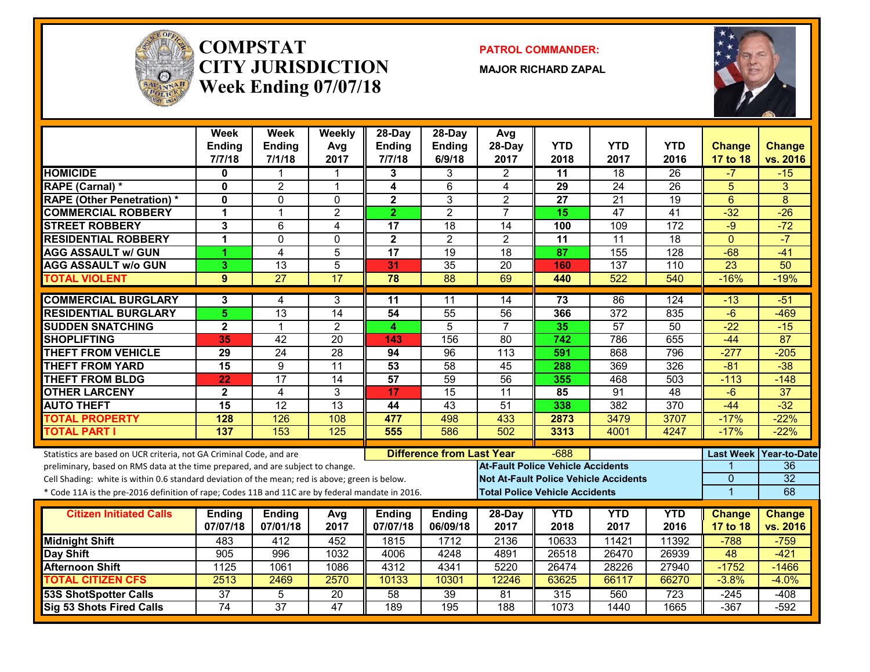

#### **COMPSTATCITY JURISDICTIONWeek Ending 07/07/18**

**PATROL COMMANDER:**

**MAJOR RICHARD ZAPAL**



|                                                                                                  | <b>Week</b><br><b>Ending</b><br>7/7/18 | Week<br><b>Ending</b><br>7/1/18 | Weekly<br>Avg<br>2017 | 28-Day<br><b>Ending</b><br>7/7/18 | $28-Dav$<br><b>Ending</b><br>6/9/18 | Avg<br>28-Day<br>2017                        | <b>YTD</b><br>2018 | <b>YTD</b><br>2017 | <b>YTD</b><br>2016 | <b>Change</b><br>17 to 18 | <b>Change</b><br>vs. 2016 |
|--------------------------------------------------------------------------------------------------|----------------------------------------|---------------------------------|-----------------------|-----------------------------------|-------------------------------------|----------------------------------------------|--------------------|--------------------|--------------------|---------------------------|---------------------------|
| <b>HOMICIDE</b>                                                                                  | 0                                      | -1                              | 1                     | 3                                 | 3                                   | $\mathbf{2}$                                 | 11                 | $\overline{18}$    | 26                 | $-7$                      | $-15$                     |
| RAPE (Carnal) *                                                                                  | 0                                      | $\overline{2}$                  | $\mathbf{1}$          | 4                                 | $6\,$                               | 4                                            | 29                 | 24                 | $\overline{26}$    | $\overline{5}$            | 3                         |
| <b>RAPE (Other Penetration)*</b>                                                                 | $\mathbf{0}$                           | $\mathbf 0$                     | $\mathbf 0$           | $\overline{\mathbf{2}}$           | 3                                   | $\overline{2}$                               | 27                 | $\overline{21}$    | $\overline{19}$    | $6\phantom{1}$            | 8                         |
| <b>COMMERCIAL ROBBERY</b>                                                                        | 1                                      | $\overline{1}$                  | $\overline{2}$        | $\overline{2}$                    | $\overline{2}$                      | $\overline{7}$                               | 15                 | $\overline{47}$    | $\overline{41}$    | $-32$                     | $-26$                     |
| <b>STREET ROBBERY</b>                                                                            | 3                                      | 6                               | $\overline{4}$        | 17                                | $\overline{18}$                     | $\overline{14}$                              | 100                | 109                | 172                | $-9$                      | $-72$                     |
| <b>RESIDENTIAL ROBBERY</b>                                                                       | 1                                      | $\Omega$                        | $\mathbf 0$           | $\overline{\mathbf{2}}$           | $\overline{2}$                      | $\overline{2}$                               | $\overline{11}$    | $\overline{11}$    | 18                 | $\Omega$                  | $-7$                      |
| <b>AGG ASSAULT w/ GUN</b>                                                                        | 1                                      | $\overline{4}$                  | 5                     | $\overline{17}$                   | 19                                  | 18                                           | 87                 | 155                | 128                | $-68$                     | $-41$                     |
| <b>AGG ASSAULT w/o GUN</b>                                                                       | 3                                      | 13                              | 5                     | 31                                | 35                                  | 20                                           | 160                | 137                | 110                | $\overline{23}$           | 50                        |
| <b>TOTAL VIOLENT</b>                                                                             | 9                                      | $\overline{27}$                 | 17                    | 78                                | 88                                  | 69                                           | 440                | 522                | 540                | $-16%$                    | $-19%$                    |
| <b>COMMERCIAL BURGLARY</b>                                                                       | 3                                      | 4                               | 3                     | 11                                | 11                                  | 14                                           | 73                 | 86                 | 124                | $-13$                     | $-51$                     |
| <b>RESIDENTIAL BURGLARY</b>                                                                      | 5                                      | $\overline{13}$                 | $\overline{14}$       | 54                                | $\overline{55}$                     | $\overline{56}$                              | 366                | $\overline{372}$   | 835                | $-6$                      | $-469$                    |
| <b>SUDDEN SNATCHING</b>                                                                          | $\mathbf 2$                            | $\overline{1}$                  | $\overline{2}$        | 4                                 | $\overline{5}$                      | $\overline{7}$                               | 35                 | $\overline{57}$    | 50                 | $-22$                     | $-15$                     |
| <b>SHOPLIFTING</b>                                                                               | 35                                     | $\overline{42}$                 | $\overline{20}$       | 143                               | 156                                 | $\overline{80}$                              | $\overline{742}$   | 786                | 655                | $-44$                     | 87                        |
| <b>THEFT FROM VEHICLE</b>                                                                        | $\overline{29}$                        | $\overline{24}$                 | $\overline{28}$       | 94                                | $\overline{96}$                     | $\overline{113}$                             | 591                | 868                | 796                | $-277$                    | $-205$                    |
| <b>THEFT FROM YARD</b>                                                                           | 15                                     | 9                               | $\overline{11}$       | 53                                | 58                                  | 45                                           | 288                | 369                | 326                | $-81$                     | $-38$                     |
| <b>THEFT FROM BLDG</b>                                                                           | $\overline{22}$                        | $\overline{17}$                 | 14                    | 57                                | 59                                  | $\overline{56}$                              | 355                | 468                | 503                | $-113$                    | $-148$                    |
| <b>OTHER LARCENY</b>                                                                             | $\overline{2}$                         | 4                               | 3                     | 17                                | $\overline{15}$                     | 11                                           | 85                 | 91                 | 48                 | $-6$                      | 37                        |
| <b>AUTO THEFT</b>                                                                                | 15                                     | $\overline{12}$                 | $\overline{13}$       | 44                                | $\overline{43}$                     | 51                                           | 338                | 382                | 370                | $-44$                     | $-32$                     |
| <b>TOTAL PROPERTY</b>                                                                            | 128                                    | 126                             | 108                   | 477                               | 498                                 | 433                                          | 2873               | 3479               | 3707               | $-17%$                    | $-22%$                    |
| <b>TOTAL PART I</b>                                                                              | 137                                    | 153                             | 125                   | 555                               | 586                                 | 502                                          | 3313               | 4001               | 4247               | $-17%$                    | $-22%$                    |
| Statistics are based on UCR criteria, not GA Criminal Code, and are                              |                                        |                                 |                       |                                   | <b>Difference from Last Year</b>    |                                              | $-688$             |                    |                    |                           | Last Week   Year-to-Date  |
| preliminary, based on RMS data at the time prepared, and are subject to change.                  |                                        |                                 |                       |                                   |                                     | <b>At-Fault Police Vehicle Accidents</b>     |                    |                    |                    |                           | 36                        |
| Cell Shading: white is within 0.6 standard deviation of the mean; red is above; green is below.  |                                        |                                 |                       |                                   |                                     | <b>Not At-Fault Police Vehicle Accidents</b> |                    |                    |                    | $\overline{0}$            | $\overline{32}$           |
| * Code 11A is the pre-2016 definition of rape; Codes 11B and 11C are by federal mandate in 2016. |                                        |                                 |                       |                                   |                                     | <b>Total Police Vehicle Accidents</b>        |                    |                    |                    | $\overline{1}$            | 68                        |
| <b>Citizen Initiated Calls</b>                                                                   | <b>Ending</b>                          | <b>Ending</b>                   |                       | <b>Ending</b>                     | <b>Ending</b>                       | 28-Day                                       | <b>YTD</b>         | <b>YTD</b>         | <b>YTD</b>         | <b>Change</b>             | <b>Change</b>             |
|                                                                                                  | 07/07/18                               | 07/01/18                        | Avg<br>2017           | 07/07/18                          | 06/09/18                            | 2017                                         | 2018               | 2017               | 2016               | 17 to 18                  | vs. 2016                  |
| <b>Midnight Shift</b>                                                                            | 483                                    | 412                             | 452                   | 1815                              | 1712                                | 2136                                         | 10633              | 11421              | 11392              | $-788$                    | $-759$                    |
| <b>Day Shift</b>                                                                                 | 905                                    | 996                             | 1032                  | 4006                              | 4248                                | 4891                                         | 26518              | 26470              | 26939              | 48                        | $-421$                    |
| <b>Afternoon Shift</b>                                                                           | 1125                                   | 1061                            | 1086                  | 4312                              | 4341                                | 5220                                         | 26474              | 28226              | 27940              | $-1752$                   | $-1466$                   |
| <b>TOTAL CITIZEN CFS</b>                                                                         | 2513                                   | 2469                            | 2570                  | 10133                             | 10301                               | 12246                                        | 63625              | 66117              | 66270              | $-3.8%$                   | $-4.0%$                   |
| <b>53S ShotSpotter Calls</b>                                                                     | $\overline{37}$                        | 5                               | 20                    | 58                                | 39                                  | 81                                           | 315                | 560                | 723                | $-245$                    | $-408$                    |
| <b>Sig 53 Shots Fired Calls</b>                                                                  | $\overline{74}$                        | $\overline{37}$                 | 47                    | 189                               | 195                                 | 188                                          | 1073               | 1440               | 1665               | $-367$                    | $-592$                    |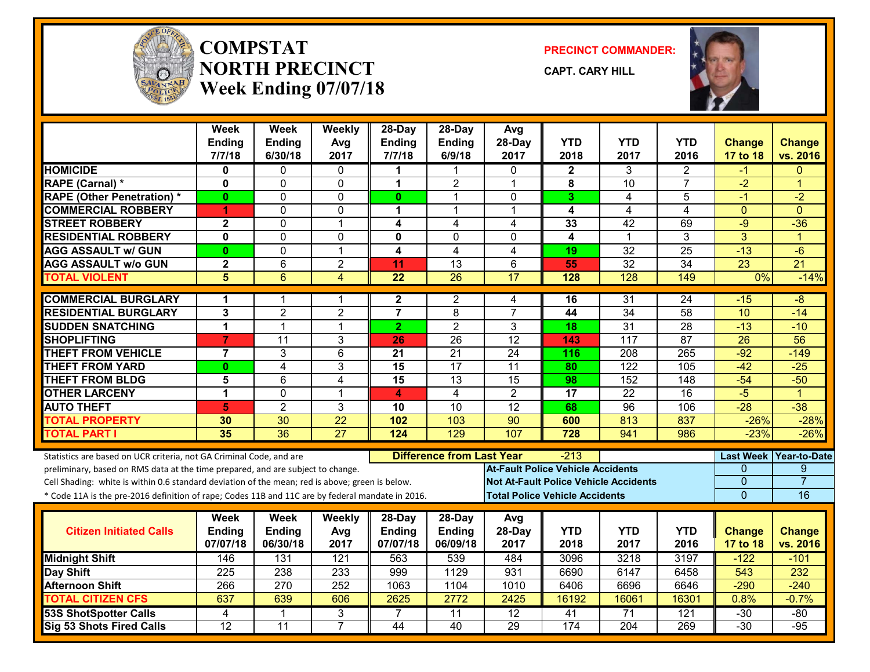

#### **COMPSTATNORTH PRECINCTWeek Ending 07/07/18**

**PRECINCT COMMANDER:**

**CAPT. CARY HILL**



|                                                                                                  | Week<br><b>Ending</b><br>7/7/18 | <b>Week</b><br><b>Ending</b><br>6/30/18 | Weekly<br>Avg<br>2017 | $28$ -Day<br><b>Ending</b><br>7/7/18 | 28-Day<br>Ending<br>6/9/18       | Avg<br>28-Day<br>2017                    | <b>YTD</b><br>2018                    | <b>YTD</b><br>2017                           | YTD<br>2016     | <b>Change</b><br>17 to 18 | <b>Change</b><br>vs. 2016 |
|--------------------------------------------------------------------------------------------------|---------------------------------|-----------------------------------------|-----------------------|--------------------------------------|----------------------------------|------------------------------------------|---------------------------------------|----------------------------------------------|-----------------|---------------------------|---------------------------|
| <b>HOMICIDE</b>                                                                                  | 0                               | 0                                       | 0                     |                                      |                                  | $\Omega$                                 | $\mathbf{2}$                          | 3                                            | 2               | -1                        | $\Omega$                  |
| <b>RAPE (Carnal) *</b>                                                                           | 0                               | 0                                       | 0                     | 1                                    | $\overline{2}$                   | $\mathbf 1$                              | 8                                     | $\overline{10}$                              | $\overline{7}$  | $-2$                      | 1                         |
| <b>RAPE (Other Penetration) *</b>                                                                | 0                               | $\mathbf{0}$                            | 0                     | $\mathbf{0}$                         | 1                                | $\mathbf{0}$                             | 3                                     | 4                                            | 5               | -1                        | $-2$                      |
| <b>COMMERCIAL ROBBERY</b>                                                                        | 1                               | $\Omega$                                | $\Omega$              | 1                                    | 1                                | $\overline{1}$                           | $\overline{\mathbf{4}}$               | 4                                            | $\overline{4}$  | $\Omega$                  | $\Omega$                  |
| <b>STREET ROBBERY</b>                                                                            | $\overline{\mathbf{2}}$         | $\Omega$                                | 1                     | 4                                    | 4                                | 4                                        | 33                                    | $\overline{42}$                              | 69              | $-9$                      | $-36$                     |
| <b>RESIDENTIAL ROBBERY</b>                                                                       | 0                               | $\mathbf 0$                             | 0                     | 0                                    | $\mathbf 0$                      | $\mathbf{0}$                             | $\overline{\mathbf{4}}$               | 1                                            | 3               | 3                         | $\blacktriangleleft$      |
| <b>AGG ASSAULT w/ GUN</b>                                                                        | 0                               | $\overline{0}$                          | $\overline{1}$        | 4                                    | $\overline{4}$                   | 4                                        | 19                                    | $\overline{32}$                              | $\overline{25}$ | $-13$                     | $-6$                      |
| <b>AGG ASSAULT w/o GUN</b>                                                                       | $\overline{\mathbf{2}}$         | $6\phantom{1}$                          | $\overline{2}$        | 11                                   | 13                               | 6                                        | 55                                    | $\overline{32}$                              | 34              | 23                        | $\overline{21}$           |
| <b>TOTAL VIOLENT</b>                                                                             | $\overline{\mathbf{5}}$         | $\overline{6}$                          | $\overline{4}$        | $\overline{22}$                      | $\overline{26}$                  | 17                                       | 128                                   | 128                                          | 149             | 0%                        | $-14%$                    |
|                                                                                                  |                                 |                                         |                       |                                      |                                  |                                          |                                       |                                              |                 |                           |                           |
| <b>COMMERCIAL BURGLARY</b>                                                                       | 1                               | 1                                       | 1                     | $\mathbf{2}$                         | 2                                | 4                                        | 16                                    | 31                                           | 24              | $-15$                     | -8                        |
| <b>RESIDENTIAL BURGLARY</b>                                                                      | 3                               | $\overline{2}$                          | $\overline{2}$        | $\overline{7}$                       | 8                                | $\overline{7}$                           | 44                                    | $\overline{34}$                              | 58              | 10                        | $-14$                     |
| <b>SUDDEN SNATCHING</b>                                                                          | 1                               | $\overline{1}$                          | $\mathbf 1$           | $\overline{2}$                       | $\overline{2}$                   | 3                                        | 18                                    | 31                                           | 28              | $-13$                     | $-10$                     |
| <b>SHOPLIFTING</b>                                                                               | $\overline{7}$                  | 11                                      | 3                     | 26                                   | 26                               | 12                                       | 143                                   | 117                                          | 87              | $\overline{26}$           | 56                        |
| <b>THEFT FROM VEHICLE</b>                                                                        | $\overline{7}$                  | 3                                       | $6\phantom{1}$        | 21                                   | $\overline{21}$                  | 24                                       | 116                                   | 208                                          | 265             | $-92$                     | $-149$                    |
| <b>THEFT FROM YARD</b>                                                                           | 0                               | 4                                       | 3                     | $\overline{15}$                      | $\overline{17}$                  | $\overline{11}$                          | 80                                    | 122                                          | 105             | $-42$                     | $-25$                     |
| <b>THEFT FROM BLDG</b>                                                                           | 5                               | 6                                       | 4                     | 15                                   | 13                               | $\overline{15}$                          | 98                                    | 152                                          | 148             | $-54$                     | $-50$                     |
| <b>OTHER LARCENY</b>                                                                             | 1                               | $\Omega$                                | $\overline{1}$        | 4                                    | $\overline{4}$                   | 2                                        | 17                                    | $\overline{22}$                              | 16              | $-5$                      | $\blacktriangleleft$      |
| <b>AUTO THEFT</b>                                                                                | 5                               | $\overline{2}$                          | 3                     | 10                                   | $\overline{10}$                  | $\overline{12}$                          | 68                                    | 96                                           | 106             | $-28$                     | $-38$                     |
| <b>TOTAL PROPERTY</b>                                                                            | 30                              | $\overline{30}$                         | $\overline{22}$       | 102                                  | 103                              | $\overline{90}$                          | 600                                   | 813                                          | 837             | $-26%$                    | $-28%$                    |
| <b>TOTAL PART I</b>                                                                              | 35                              | $\overline{36}$                         | $\overline{27}$       | 124                                  | $\overline{129}$                 | 107                                      | 728                                   | 941                                          | 986             | $-23%$                    | $-26%$                    |
| Statistics are based on UCR criteria, not GA Criminal Code, and are                              |                                 |                                         |                       |                                      | <b>Difference from Last Year</b> |                                          | -213                                  |                                              |                 | <b>Last Week</b>          | <b>Year-to-Date</b>       |
| preliminary, based on RMS data at the time prepared, and are subject to change.                  |                                 |                                         |                       |                                      |                                  | <b>At-Fault Police Vehicle Accidents</b> |                                       |                                              |                 | 0                         | 9                         |
| Cell Shading: white is within 0.6 standard deviation of the mean; red is above; green is below.  |                                 |                                         |                       |                                      |                                  |                                          |                                       | <b>Not At-Fault Police Vehicle Accidents</b> |                 | $\Omega$                  | $\overline{7}$            |
| * Code 11A is the pre-2016 definition of rape; Codes 11B and 11C are by federal mandate in 2016. |                                 |                                         |                       |                                      |                                  |                                          | <b>Total Police Vehicle Accidents</b> |                                              |                 | $\overline{0}$            | 16                        |
|                                                                                                  | Week                            | <b>Week</b>                             | Weekly                | $28$ -Day                            | $28-Day$                         | Avg                                      |                                       |                                              |                 |                           |                           |
| <b>Citizen Initiated Calls</b>                                                                   | <b>Ending</b>                   | <b>Ending</b>                           | Avg                   | Ending                               | Ending                           | 28-Day                                   | <b>YTD</b>                            | <b>YTD</b>                                   | <b>YTD</b>      | <b>Change</b>             | <b>Change</b>             |
|                                                                                                  | 07/07/18                        | 06/30/18                                | 2017                  | 07/07/18                             | 06/09/18                         | 2017                                     | 2018                                  | 2017                                         | 2016            | 17 to 18                  | vs. 2016                  |
| <b>Midnight Shift</b>                                                                            | 146                             | 131                                     | $\overline{121}$      | 563                                  | 539                              | 484                                      | 3096                                  | 3218                                         | 3197            | $-122$                    | $-101$                    |
| Day Shift                                                                                        | 225                             | 238                                     | 233                   | 999                                  | 1129                             | 931                                      | 6690                                  | 6147                                         | 6458            | 543                       | 232                       |
| <b>Afternoon Shift</b>                                                                           | 266                             | $\overline{270}$                        | 252                   | 1063                                 | 1104                             | 1010                                     | 6406                                  | 6696                                         | 6646            | $-290$                    | $-240$                    |
| <b>TOTAL CITIZEN CFS</b>                                                                         | 637                             | 639                                     | 606                   | 2625                                 | 2772                             | 2425                                     | 16192                                 | 16061                                        | 16301           | 0.8%                      | $-0.7%$                   |
| <b>53S ShotSpotter Calls</b>                                                                     | 4                               | 1                                       | 3                     | 7                                    | $\overline{11}$                  | $\overline{12}$                          | 41                                    | $\overline{71}$                              | 121             | $-30$                     | $-80$                     |
| Sig 53 Shots Fired Calls                                                                         | 12                              | $\overline{11}$                         | $\overline{7}$        | 44                                   | 40                               | 29                                       | 174                                   | $\overline{204}$                             | 269             | $-30$                     | $-95$                     |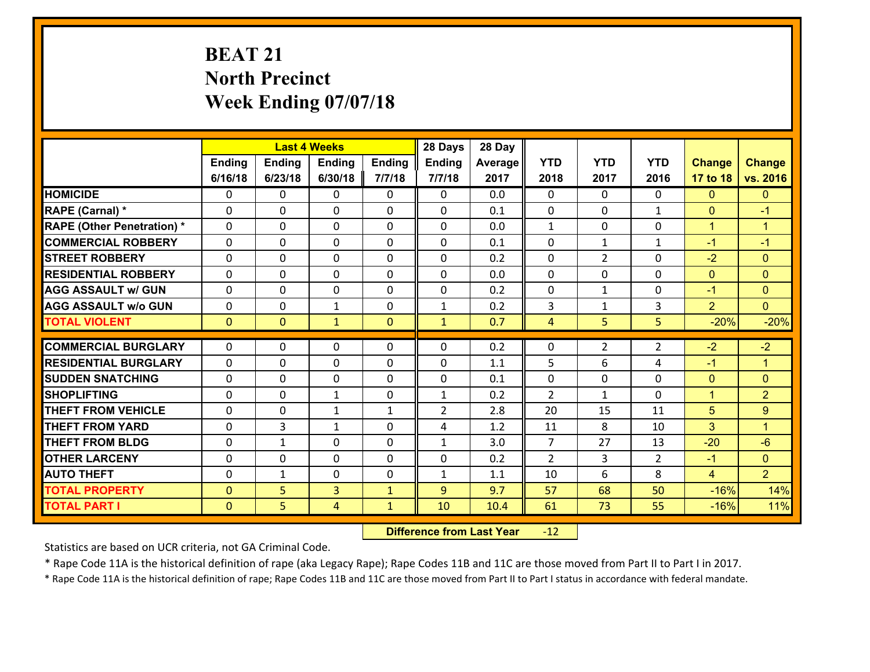# **BEAT 21 North Precinct Week Ending 07/07/18**

|                                   |              |                | <b>Last 4 Weeks</b> |                | 28 Days        | 28 Day  |                |                |                |                |                      |
|-----------------------------------|--------------|----------------|---------------------|----------------|----------------|---------|----------------|----------------|----------------|----------------|----------------------|
|                                   | Ending       | <b>Ending</b>  | <b>Ending</b>       | <b>Ending</b>  | Ending         | Average | <b>YTD</b>     | <b>YTD</b>     | <b>YTD</b>     | <b>Change</b>  | <b>Change</b>        |
|                                   | 6/16/18      | 6/23/18        | 6/30/18             | 7/7/18         | 7/7/18         | 2017    | 2018           | 2017           | 2016           | 17 to 18       | vs. 2016             |
| <b>HOMICIDE</b>                   | $\Omega$     | 0              | $\mathbf{0}$        | 0              | $\mathbf{0}$   | 0.0     | $\Omega$       | $\Omega$       | $\Omega$       | $\mathbf{0}$   | $\mathbf{0}$         |
| RAPE (Carnal) *                   | $\Omega$     | 0              | $\mathbf 0$         | $\Omega$       | 0              | 0.1     | $\mathbf{0}$   | $\Omega$       | $\mathbf{1}$   | $\mathbf{0}$   | $-1$                 |
| <b>RAPE (Other Penetration) *</b> | $\Omega$     | 0              | $\mathbf 0$         | $\Omega$       | 0              | 0.0     | $\mathbf{1}$   | $\Omega$       | $\Omega$       | $\mathbf{1}$   | $\overline{1}$       |
| <b>COMMERCIAL ROBBERY</b>         | 0            | 0              | $\mathbf 0$         | 0              | 0              | 0.1     | 0              | $\mathbf{1}$   | $\mathbf{1}$   | $-1$           | $-1$                 |
| <b>STREET ROBBERY</b>             | $\Omega$     | 0              | $\mathbf{0}$        | $\Omega$       | $\Omega$       | 0.2     | $\Omega$       | $\overline{2}$ | $\Omega$       | $-2$           | $\mathbf{0}$         |
| <b>RESIDENTIAL ROBBERY</b>        | $\Omega$     | 0              | $\mathbf{0}$        | $\Omega$       | $\Omega$       | 0.0     | $\Omega$       | $\Omega$       | $\Omega$       | $\mathbf{0}$   | $\mathbf{0}$         |
| <b>AGG ASSAULT w/ GUN</b>         | $\Omega$     | $\Omega$       | $\mathbf 0$         | $\Omega$       | 0              | 0.2     | $\Omega$       | $\mathbf{1}$   | $\Omega$       | $-1$           | $\mathbf{0}$         |
| <b>AGG ASSAULT w/o GUN</b>        | $\Omega$     | 0              | $\mathbf{1}$        | 0              | $\mathbf{1}$   | 0.2     | 3              | $\mathbf{1}$   | 3              | 2              | $\overline{0}$       |
| <b>TOTAL VIOLENT</b>              | $\mathbf{0}$ | $\overline{0}$ | $\mathbf{1}$        | $\overline{0}$ | $\mathbf{1}$   | 0.7     | $\overline{4}$ | 5              | 5              | $-20%$         | $-20%$               |
| <b>COMMERCIAL BURGLARY</b>        | $\Omega$     | 0              | $\mathbf{0}$        | 0              | $\Omega$       | 0.2     | $\mathbf{0}$   | $\overline{2}$ | 2              | $-2$           | $-2$                 |
|                                   |              |                |                     |                |                |         |                |                |                |                |                      |
| <b>RESIDENTIAL BURGLARY</b>       | 0            | 0              | 0                   | 0              | 0              | 1.1     | 5              | 6              | 4              | $-1$           | $\overline{1}$       |
| <b>SUDDEN SNATCHING</b>           | 0            | 0              | $\mathbf 0$         | 0              | 0              | 0.1     | 0              | 0              | 0              | $\mathbf{0}$   | $\mathbf{0}$         |
| <b>SHOPLIFTING</b>                | $\Omega$     | 0              | $\mathbf{1}$        | 0              | $\mathbf{1}$   | 0.2     | $\overline{2}$ | $\mathbf 1$    | $\Omega$       | $\mathbf{1}$   | $\overline{2}$       |
| <b>THEFT FROM VEHICLE</b>         | $\Omega$     | 0              | $\mathbf{1}$        | $\mathbf{1}$   | $\overline{2}$ | 2.8     | 20             | 15             | 11             | 5              | 9                    |
|                                   |              |                |                     |                |                |         |                |                |                |                |                      |
| <b>THEFT FROM YARD</b>            | $\Omega$     | 3              | $\mathbf{1}$        | $\Omega$       | 4              | 1.2     | 11             | 8              | 10             | 3              | $\blacktriangleleft$ |
| <b>THEFT FROM BLDG</b>            | $\mathbf{0}$ | 1              | 0                   | 0              | $\mathbf{1}$   | 3.0     | $\overline{7}$ | 27             | 13             | $-20$          | $-6$                 |
| <b>OTHER LARCENY</b>              | 0            | 0              | $\mathbf 0$         | 0              | 0              | 0.2     | $\overline{2}$ | 3              | $\overline{2}$ | $-1$           | $\mathbf{0}$         |
| <b>AUTO THEFT</b>                 | 0            | $\mathbf{1}$   | $\mathbf 0$         | 0              | $\mathbf{1}$   | 1.1     | 10             | 6              | 8              | $\overline{4}$ | 2 <sup>1</sup>       |
| <b>TOTAL PROPERTY</b>             | $\mathbf{0}$ | 5              | $\overline{3}$      | $\mathbf{1}$   | 9              | 9.7     | 57             | 68             | 50             | $-16%$         | 14%                  |

 **Difference from Last Year**r -12

Statistics are based on UCR criteria, not GA Criminal Code.

\* Rape Code 11A is the historical definition of rape (aka Legacy Rape); Rape Codes 11B and 11C are those moved from Part II to Part I in 2017.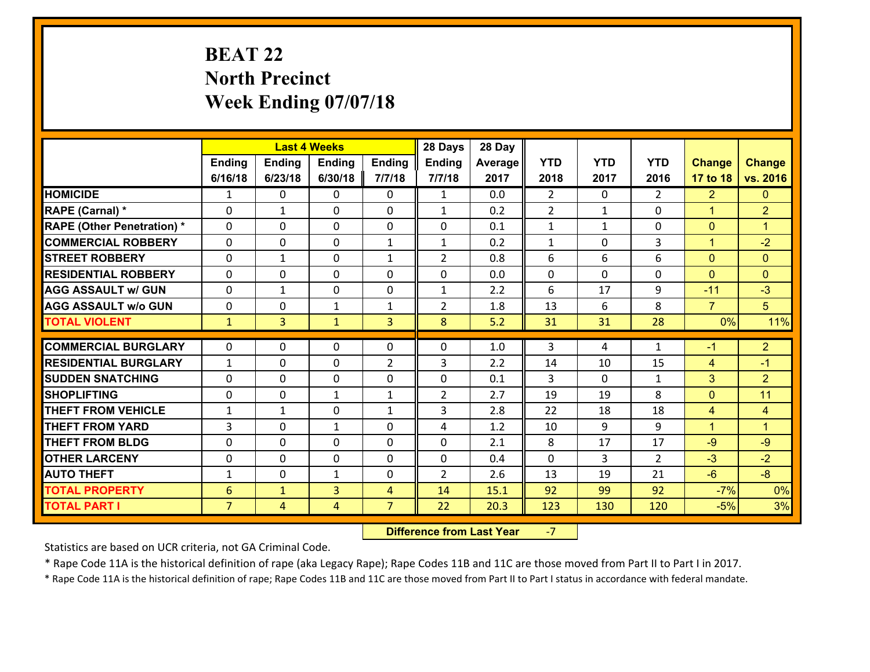# **BEAT 22 North Precinct Week Ending 07/07/18**

|                                              |                                   |                                | <b>Last 4 Weeks</b> |                     | 28 Days        | 28 Day       |                |              |                |                |                      |
|----------------------------------------------|-----------------------------------|--------------------------------|---------------------|---------------------|----------------|--------------|----------------|--------------|----------------|----------------|----------------------|
|                                              | Ending                            | <b>Ending</b>                  | <b>Ending</b>       | Ending              | <b>Ending</b>  | Average      | <b>YTD</b>     | <b>YTD</b>   | <b>YTD</b>     | <b>Change</b>  | <b>Change</b>        |
|                                              | 6/16/18                           | 6/23/18                        | 6/30/18             | 7/7/18              | 7/7/18         | 2017         | 2018           | 2017         | 2016           | 17 to 18       | vs. 2016             |
| <b>HOMICIDE</b>                              | $\mathbf{1}$                      | 0                              | $\mathbf{0}$        | 0                   | $\mathbf{1}$   | 0.0          | $\overline{2}$ | $\Omega$     | $\overline{2}$ | $\overline{2}$ | $\mathbf{0}$         |
| RAPE (Carnal) *                              | 0                                 | 1                              | $\mathbf{0}$        | 0                   | $\mathbf{1}$   | 0.2          | 2              | $\mathbf{1}$ | $\Omega$       | $\mathbf{1}$   | $\overline{2}$       |
| <b>RAPE (Other Penetration) *</b>            | $\Omega$                          | 0                              | $\Omega$            | $\Omega$            | 0              | 0.1          | $\mathbf{1}$   | $\mathbf{1}$ | $\Omega$       | $\mathbf{0}$   | $\blacktriangleleft$ |
| <b>COMMERCIAL ROBBERY</b>                    | $\Omega$                          | $\Omega$                       | $\mathbf 0$         | $\mathbf{1}$        | $\mathbf{1}$   | 0.2          | $\mathbf{1}$   | $\mathbf{0}$ | 3              | $\mathbf{1}$   | $-2$                 |
| <b>STREET ROBBERY</b>                        | 0                                 | $\mathbf{1}$                   | $\mathbf 0$         | $\mathbf{1}$        | $\overline{2}$ | 0.8          | 6              | 6            | 6              | $\mathbf{0}$   | $\mathbf{0}$         |
| <b>RESIDENTIAL ROBBERY</b>                   | $\Omega$                          | 0                              | $\mathbf 0$         | 0                   | 0              | 0.0          | $\mathbf 0$    | 0            | 0              | $\overline{0}$ | $\mathbf{0}$         |
| <b>AGG ASSAULT w/ GUN</b>                    | 0                                 | $\mathbf{1}$                   | $\mathbf 0$         | 0                   | $\mathbf{1}$   | 2.2          | 6              | 17           | 9              | $-11$          | $-3$                 |
| <b>AGG ASSAULT w/o GUN</b>                   | 0                                 | 0                              | $\mathbf{1}$        | $\mathbf{1}$        | $\overline{2}$ | 1.8          | 13             | 6            | 8              | $\overline{7}$ | 5 <sup>5</sup>       |
| <b>TOTAL VIOLENT</b>                         | $\mathbf{1}$                      | $\overline{3}$                 | $\mathbf{1}$        | 3                   | 8              | 5.2          | 31             | 31           | 28             | 0%             | 11%                  |
| <b>COMMERCIAL BURGLARY</b>                   | 0                                 | 0                              | 0                   | 0                   | $\Omega$       | 1.0          | 3              | 4            | $\mathbf{1}$   | $-1$           | $\overline{2}$       |
|                                              |                                   |                                |                     |                     |                |              |                |              |                |                |                      |
|                                              |                                   |                                |                     |                     |                |              |                |              |                |                |                      |
| <b>RESIDENTIAL BURGLARY</b>                  | $\mathbf{1}$                      | 0                              | $\mathbf 0$         | $\overline{2}$      | 3              | 2.2          | 14             | 10           | 15             | 4              | $-1$                 |
| <b>SUDDEN SNATCHING</b>                      | $\Omega$                          | 0                              | $\mathbf 0$         | $\Omega$            | 0              | 0.1          | 3              | $\Omega$     | $\mathbf{1}$   | 3              | 2 <sup>1</sup>       |
| <b>SHOPLIFTING</b>                           | 0                                 | 0                              | 1                   | $\mathbf{1}$        | $\overline{2}$ | 2.7          | 19             | 19           | 8              | $\mathbf 0$    | 11                   |
| <b>THEFT FROM VEHICLE</b>                    | 1                                 | 1                              | 0                   | $\mathbf{1}$        | 3              | 2.8          | 22             | 18           | 18             | 4              | 4                    |
| <b>THEFT FROM YARD</b>                       | 3                                 | 0                              | $\mathbf{1}$        | 0                   | 4              | 1.2          | 10             | 9            | 9              | $\mathbf{1}$   | $\blacktriangleleft$ |
| <b>THEFT FROM BLDG</b>                       | 0                                 | 0                              | $\mathbf 0$         | 0                   | 0              | 2.1          | 8              | 17           | 17             | $-9$           | $-9$                 |
| <b>OTHER LARCENY</b>                         | 0                                 | 0                              | $\mathbf 0$         | 0                   | 0              | 0.4          | $\mathbf 0$    | 3            | $\overline{2}$ | $-3$           | $-2$                 |
| <b>AUTO THEFT</b>                            | $\mathbf{1}$                      | 0                              | 1                   | 0                   | $\overline{2}$ | 2.6          | 13             | 19           | 21             | $-6$           | $-8$                 |
| <b>TOTAL PROPERTY</b><br><b>TOTAL PART I</b> | $6\phantom{1}6$<br>$\overline{7}$ | $\mathbf{1}$<br>$\overline{4}$ | $\overline{3}$<br>4 | 4<br>$\overline{7}$ | 14<br>22       | 15.1<br>20.3 | 92<br>123      | 99<br>130    | 92<br>120      | $-7%$<br>$-5%$ | 0%<br>3%             |

 **Difference from Last Year**‐7

Statistics are based on UCR criteria, not GA Criminal Code.

\* Rape Code 11A is the historical definition of rape (aka Legacy Rape); Rape Codes 11B and 11C are those moved from Part II to Part I in 2017.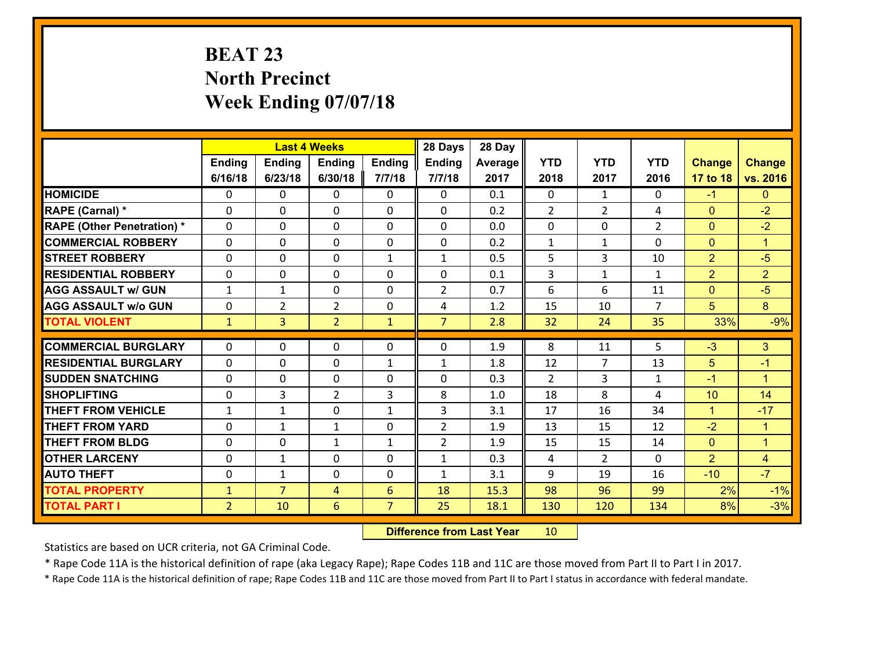# **BEAT 23 North Precinct Week Ending 07/07/18**

|                                   |                |                | <b>Last 4 Weeks</b> |                | 28 Days        | 28 Day  |                |                |                |                |                      |
|-----------------------------------|----------------|----------------|---------------------|----------------|----------------|---------|----------------|----------------|----------------|----------------|----------------------|
|                                   | Ending         | <b>Ending</b>  | <b>Ending</b>       | <b>Ending</b>  | <b>Ending</b>  | Average | <b>YTD</b>     | <b>YTD</b>     | <b>YTD</b>     | <b>Change</b>  | <b>Change</b>        |
|                                   | 6/16/18        | 6/23/18        | 6/30/18             | 7/7/18         | 7/7/18         | 2017    | 2018           | 2017           | 2016           | 17 to 18       | vs. 2016             |
| <b>HOMICIDE</b>                   | $\Omega$       | 0              | 0                   | 0              | 0              | 0.1     | $\Omega$       | $\mathbf{1}$   | 0              | $-1$           | $\mathbf{0}$         |
| RAPE (Carnal) *                   | 0              | 0              | $\mathbf{0}$        | 0              | $\Omega$       | 0.2     | $\overline{2}$ | $\overline{2}$ | 4              | $\mathbf{0}$   | $-2$                 |
| <b>RAPE (Other Penetration) *</b> | 0              | 0              | $\mathbf{0}$        | $\Omega$       | $\Omega$       | 0.0     | $\mathbf{0}$   | 0              | $\overline{2}$ | $\mathbf{0}$   | $-2$                 |
| <b>COMMERCIAL ROBBERY</b>         | 0              | 0              | 0                   | 0              | 0              | 0.2     | $\mathbf{1}$   | $\mathbf{1}$   | $\Omega$       | $\mathbf{0}$   | $\blacktriangleleft$ |
| <b>STREET ROBBERY</b>             | $\Omega$       | 0              | $\mathbf{0}$        | $\mathbf{1}$   | $\mathbf{1}$   | 0.5     | 5              | 3              | 10             | $\overline{2}$ | $-5$                 |
| <b>RESIDENTIAL ROBBERY</b>        | $\Omega$       | 0              | $\mathbf 0$         | $\Omega$       | 0              | 0.1     | $\overline{3}$ | $\mathbf{1}$   | $\mathbf{1}$   | $\overline{2}$ | $\overline{2}$       |
| <b>AGG ASSAULT w/ GUN</b>         | $\mathbf{1}$   | $\mathbf{1}$   | $\mathbf 0$         | 0              | $\overline{2}$ | 0.7     | 6              | 6              | 11             | $\mathbf{0}$   | $-5$                 |
| <b>AGG ASSAULT w/o GUN</b>        | 0              | $\overline{2}$ | $\overline{2}$      | 0              | 4              | 1.2     | 15             | 10             | $\overline{7}$ | 5              | 8                    |
| <b>TOTAL VIOLENT</b>              | $\mathbf{1}$   | $\overline{3}$ | $\overline{2}$      | $\mathbf{1}$   | $\overline{7}$ | 2.8     | 32             | 24             | 35             | 33%            | $-9%$                |
| <b>COMMERCIAL BURGLARY</b>        | $\Omega$       |                |                     |                |                |         |                |                |                |                |                      |
|                                   |                | 0              | $\mathbf{0}$        | 0              | $\Omega$       | 1.9     | 8              | 11             | 5              | $-3$           | 3                    |
| <b>RESIDENTIAL BURGLARY</b>       | $\Omega$       | 0              | $\mathbf{0}$        | $\mathbf{1}$   | 1              | 1.8     | 12             | 7              | 13             | 5              | $-1$                 |
| <b>SUDDEN SNATCHING</b>           | 0              | 0              | 0                   | 0              | 0              | 0.3     | $\mathcal{L}$  | 3              | $\mathbf{1}$   | $-1$           | $\blacktriangleleft$ |
| <b>SHOPLIFTING</b>                | $\Omega$       | 3              | $\overline{2}$      | 3              | 8              | 1.0     | 18             | 8              | 4              | 10             | 14                   |
| <b>THEFT FROM VEHICLE</b>         | $\mathbf{1}$   | 1              | $\mathbf 0$         | $\mathbf{1}$   | 3              | 3.1     | 17             | 16             | 34             | $\mathbf{1}$   | $-17$                |
| <b>THEFT FROM YARD</b>            | 0              | 1              | $\mathbf{1}$        | 0              | $\overline{2}$ | 1.9     | 13             | 15             | 12             | $-2$           | $\mathbf{1}$         |
| <b>THEFT FROM BLDG</b>            | 0              | 0              | 1                   | $\mathbf{1}$   | $\overline{2}$ | 1.9     | 15             | 15             | 14             | $\overline{0}$ | $\mathbf{1}$         |
| <b>OTHER LARCENY</b>              | $\mathbf 0$    | $\mathbf{1}$   | $\mathbf 0$         | 0              | $\mathbf{1}$   | 0.3     | 4              | $\overline{2}$ | 0              | $\overline{2}$ | $\overline{4}$       |
| <b>AUTO THEFT</b>                 | 0              | 1              | 0                   | 0              | $\mathbf{1}$   | 3.1     | 9              | 19             | 16             | $-10$          | $-7$                 |
| <b>TOTAL PROPERTY</b>             | $\mathbf{1}$   | $\overline{7}$ | 4                   | 6              | 18             | 15.3    | 98             | 96             | 99             | 2%             | $-1%$                |
| <b>TOTAL PART I</b>               | $\overline{2}$ | 10             | 6                   | $\overline{7}$ | 25             | 18.1    | 130            | 120            | 134            | 8%             | $-3%$                |

 **Difference from Last Year**r 10

Statistics are based on UCR criteria, not GA Criminal Code.

\* Rape Code 11A is the historical definition of rape (aka Legacy Rape); Rape Codes 11B and 11C are those moved from Part II to Part I in 2017.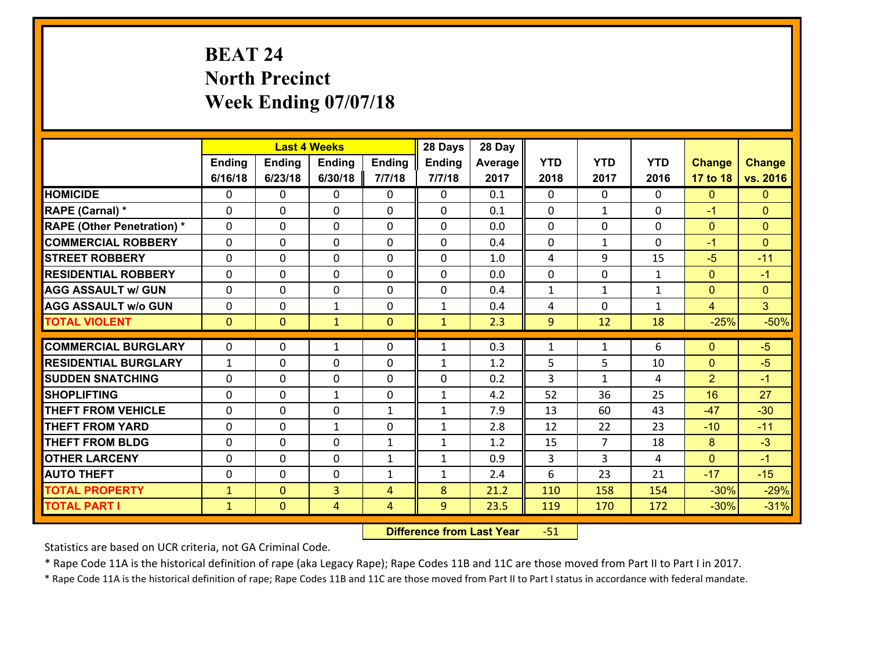# **BEAT 24 North Precinct Week Ending 07/07/18**

|                                   |              |                | <b>Last 4 Weeks</b> |              | 28 Days       | 28 Day  |              |                |              |                |                |
|-----------------------------------|--------------|----------------|---------------------|--------------|---------------|---------|--------------|----------------|--------------|----------------|----------------|
|                                   | Ending       | <b>Ending</b>  | <b>Ending</b>       | Ending       | <b>Ending</b> | Average | <b>YTD</b>   | <b>YTD</b>     | <b>YTD</b>   | <b>Change</b>  | <b>Change</b>  |
|                                   | 6/16/18      | 6/23/18        | 6/30/18             | 7/7/18       | 7/7/18        | 2017    | 2018         | 2017           | 2016         | 17 to 18       | vs. 2016       |
| <b>HOMICIDE</b>                   | 0            | 0              | $\mathbf{0}$        | 0            | 0             | 0.1     | 0            | $\Omega$       | $\Omega$     | $\mathbf{0}$   | $\mathbf{0}$   |
| RAPE (Carnal) *                   | $\Omega$     | 0              | $\mathbf{0}$        | 0            | $\Omega$      | 0.1     | $\mathbf{0}$ | $\mathbf{1}$   | 0            | $-1$           | $\mathbf{0}$   |
| <b>RAPE (Other Penetration) *</b> | $\Omega$     | 0              | $\Omega$            | $\Omega$     | $\Omega$      | 0.0     | $\Omega$     | $\Omega$       | $\Omega$     | $\mathbf{0}$   | $\Omega$       |
| <b>COMMERCIAL ROBBERY</b>         | $\Omega$     | $\Omega$       | $\mathbf 0$         | $\Omega$     | 0             | 0.4     | $\mathbf 0$  | $\mathbf{1}$   | $\Omega$     | $-1$           | $\Omega$       |
| <b>STREET ROBBERY</b>             | 0            | 0              | $\mathbf 0$         | 0            | 0             | 1.0     | 4            | 9              | 15           | $-5$           | $-11$          |
| <b>RESIDENTIAL ROBBERY</b>        | $\Omega$     | 0              | $\mathbf 0$         | 0            | 0             | 0.0     | $\mathbf 0$  | $\mathbf{0}$   | $\mathbf{1}$ | $\mathbf{0}$   | $-1$           |
| <b>AGG ASSAULT w/ GUN</b>         | 0            | 0              | $\mathbf 0$         | 0            | 0             | 0.4     | $\mathbf{1}$ | $\mathbf{1}$   | $\mathbf{1}$ | $\overline{0}$ | $\overline{0}$ |
| <b>AGG ASSAULT w/o GUN</b>        | 0            | 0              | $\mathbf{1}$        | 0            | $\mathbf{1}$  | 0.4     | 4            | $\mathbf 0$    | $\mathbf{1}$ | $\overline{4}$ | 3 <sup>1</sup> |
| <b>TOTAL VIOLENT</b>              | $\mathbf{0}$ | $\overline{0}$ | $\mathbf{1}$        | $\mathbf{0}$ | $\mathbf{1}$  | 2.3     | 9            | 12             | 18           | $-25%$         | $-50%$         |
|                                   |              |                |                     |              |               |         |              |                |              |                |                |
| <b>COMMERCIAL BURGLARY</b>        | $\Omega$     | 0              | 1                   | 0            | $\mathbf{1}$  | 0.3     | 1            | $\mathbf{1}$   | 6            | $\mathbf{0}$   | $-5$           |
| <b>RESIDENTIAL BURGLARY</b>       | $\mathbf{1}$ | 0              | $\mathbf{0}$        | $\Omega$     | $\mathbf{1}$  | 1.2     | 5            | 5.             | 10           | $\mathbf{0}$   | $-5$           |
| <b>SUDDEN SNATCHING</b>           | $\Omega$     | 0              | $\mathbf 0$         | $\Omega$     | $\Omega$      | 0.2     | 3            | $\mathbf{1}$   | 4            | 2              | $-1$           |
| <b>SHOPLIFTING</b>                | $\Omega$     | 0              | 1                   | $\Omega$     | $\mathbf{1}$  | 4.2     | 52           | 36             | 25           | 16             | 27             |
| <b>THEFT FROM VEHICLE</b>         | $\Omega$     | 0              | $\mathbf 0$         | $\mathbf{1}$ | $\mathbf{1}$  | 7.9     | 13           | 60             | 43           | $-47$          | $-30$          |
| <b>THEFT FROM YARD</b>            | 0            | 0              | $\mathbf{1}$        | 0            | $\mathbf{1}$  | 2.8     | 12           | 22             | 23           | $-10$          | $-11$          |
| <b>THEFT FROM BLDG</b>            | 0            | 0              | $\mathbf 0$         | $\mathbf{1}$ | $\mathbf{1}$  | 1.2     | 15           | $\overline{7}$ | 18           | 8              | $-3$           |
| <b>OTHER LARCENY</b>              | 0            | 0              | $\mathbf 0$         | $\mathbf{1}$ | $\mathbf{1}$  | 0.9     | 3            | 3              | 4            | $\overline{0}$ | $-1$           |
| <b>AUTO THEFT</b>                 | 0            | 0              | 0                   | $\mathbf{1}$ | $\mathbf{1}$  | 2.4     | 6            | 23             | 21           | $-17$          | $-15$          |
| <b>TOTAL PROPERTY</b>             | $\mathbf{1}$ | $\overline{0}$ | 3                   | 4            | 8             | 21.2    | 110          | 158            | 154          | $-30%$         | $-29%$         |
| <b>TOTAL PART I</b>               | $\mathbf{1}$ | $\mathbf{0}$   | 4                   | 4            | 9             | 23.5    | 119          | 170            | 172          | $-30%$         | $-31%$         |

 **Difference from Last Year**r -51

Statistics are based on UCR criteria, not GA Criminal Code.

\* Rape Code 11A is the historical definition of rape (aka Legacy Rape); Rape Codes 11B and 11C are those moved from Part II to Part I in 2017.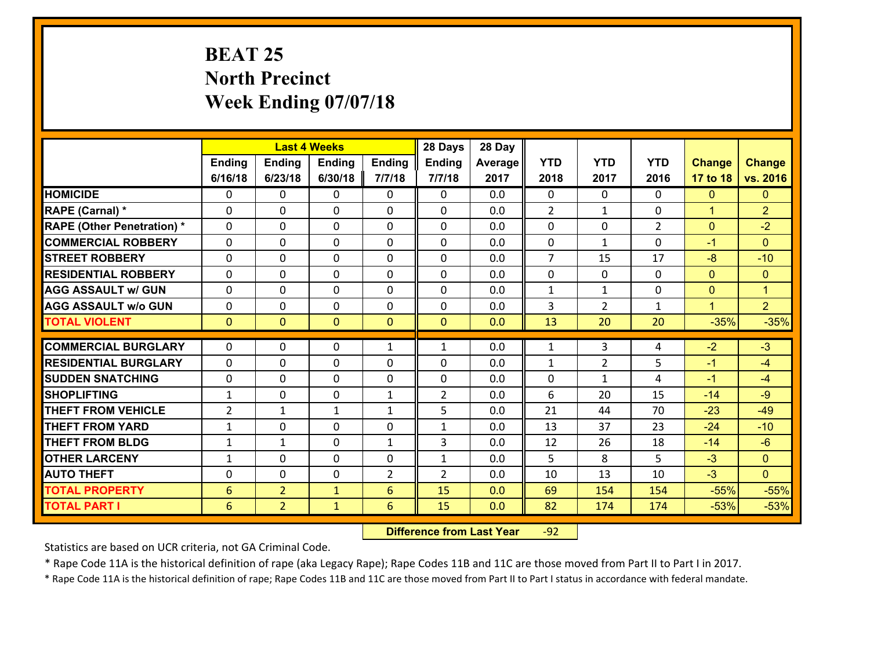# **BEAT 25 North Precinct Week Ending 07/07/18**

|                                   |                 |                | <b>Last 4 Weeks</b> |                | 28 Days        | 28 Day  |                |                |                |                |                |
|-----------------------------------|-----------------|----------------|---------------------|----------------|----------------|---------|----------------|----------------|----------------|----------------|----------------|
|                                   | Ending          | <b>Ending</b>  | <b>Ending</b>       | <b>Ending</b>  | Ending         | Average | <b>YTD</b>     | <b>YTD</b>     | <b>YTD</b>     | <b>Change</b>  | <b>Change</b>  |
|                                   | 6/16/18         | 6/23/18        | 6/30/18             | 7/7/18         | 7/7/18         | 2017    | 2018           | 2017           | 2016           | 17 to 18       | vs. 2016       |
| <b>HOMICIDE</b>                   | $\Omega$        | 0              | 0                   | 0              | 0              | 0.0     | $\Omega$       | $\Omega$       | 0              | $\mathbf{0}$   | $\mathbf{0}$   |
| RAPE (Carnal) *                   | $\Omega$        | 0              | $\mathbf 0$         | $\Omega$       | 0              | 0.0     | $\overline{2}$ | $\mathbf{1}$   | $\Omega$       | $\mathbf{1}$   | $\overline{2}$ |
| <b>RAPE (Other Penetration) *</b> | $\Omega$        | 0              | $\mathbf 0$         | $\Omega$       | 0              | 0.0     | $\Omega$       | $\Omega$       | $\overline{2}$ | $\mathbf{0}$   | $-2$           |
| <b>COMMERCIAL ROBBERY</b>         | $\Omega$        | $\Omega$       | $\mathbf 0$         | $\Omega$       | 0              | 0.0     | $\Omega$       | $\mathbf{1}$   | $\Omega$       | $-1$           | $\Omega$       |
| <b>STREET ROBBERY</b>             | 0               | 0              | $\mathbf 0$         | 0              | 0              | 0.0     | $\overline{7}$ | 15             | 17             | $-8$           | $-10$          |
| <b>RESIDENTIAL ROBBERY</b>        | 0               | 0              | $\mathbf 0$         | 0              | 0              | 0.0     | $\mathbf 0$    | $\mathbf 0$    | 0              | $\overline{0}$ | $\mathbf{0}$   |
| <b>AGG ASSAULT w/ GUN</b>         | $\Omega$        | 0              | $\mathbf 0$         | $\Omega$       | 0              | 0.0     | $\mathbf{1}$   | $\mathbf{1}$   | 0              | $\mathbf{0}$   | $\mathbf{1}$   |
| <b>AGG ASSAULT w/o GUN</b>        | 0               | 0              | $\mathbf 0$         | 0              | 0              | 0.0     | 3              | $\overline{2}$ | $\mathbf{1}$   | $\mathbf{1}$   | 2 <sup>1</sup> |
| <b>TOTAL VIOLENT</b>              | $\mathbf{0}$    | $\overline{0}$ | $\mathbf{0}$        | $\mathbf{0}$   | $\mathbf{0}$   | 0.0     | 13             | 20             | 20             | $-35%$         | $-35%$         |
| <b>COMMERCIAL BURGLARY</b>        | 0               | 0              |                     |                |                |         | 1              |                |                | $-2$           | $-3$           |
|                                   |                 |                | 0                   | $\mathbf{1}$   | 1              | 0.0     |                | 3              | 4              |                |                |
| <b>RESIDENTIAL BURGLARY</b>       | $\Omega$        | 0              | 0                   | 0              | $\Omega$       | 0.0     | $\mathbf{1}$   | 2              | 5              | $-1$           | $-4$           |
| <b>SUDDEN SNATCHING</b>           | $\mathbf{0}$    | 0              | $\mathbf{0}$        | 0              | 0              | 0.0     | $\mathbf{0}$   | $\mathbf{1}$   | 4              | $-1$           | $-4$           |
| <b>SHOPLIFTING</b>                | $\mathbf{1}$    | 0              | $\mathbf 0$         | $\mathbf{1}$   | $\overline{2}$ | 0.0     | 6              | 20             | 15             | $-14$          | $-9$           |
| <b>THEFT FROM VEHICLE</b>         | $\overline{2}$  | $\mathbf{1}$   | 1                   | $\mathbf{1}$   | 5              | 0.0     | 21             | 44             | 70             | $-23$          | $-49$          |
| <b>THEFT FROM YARD</b>            | $\mathbf{1}$    | 0              | $\mathbf 0$         | 0              | $\mathbf{1}$   | 0.0     | 13             | 37             | 23             | $-24$          | $-10$          |
| <b>THEFT FROM BLDG</b>            | $\mathbf{1}$    | 1              | $\mathbf 0$         | $\mathbf{1}$   | 3              | 0.0     | 12             | 26             | 18             | $-14$          | $-6$           |
| <b>OTHER LARCENY</b>              | $\mathbf{1}$    | 0              | $\mathbf 0$         | 0              | $\mathbf{1}$   | 0.0     | 5              | 8              | 5              | $-3$           | $\overline{0}$ |
| <b>AUTO THEFT</b>                 | 0               | 0              | $\mathbf 0$         | $\overline{2}$ | $\overline{2}$ | 0.0     | 10             | 13             | 10             | $-3$           | $\overline{0}$ |
| <b>TOTAL PROPERTY</b>             | $6\phantom{1}6$ | $\overline{2}$ | $\mathbf{1}$        | 6              | 15             | 0.0     | 69             | 154            | 154            | $-55%$         | $-55%$         |
| <b>TOTAL PART I</b>               | 6               | $\overline{2}$ | $\mathbf{1}$        | 6              | 15             | 0.0     | 82             | 174            | 174            | $-53%$         | $-53%$         |

 **Difference from Last Year**r -92

Statistics are based on UCR criteria, not GA Criminal Code.

\* Rape Code 11A is the historical definition of rape (aka Legacy Rape); Rape Codes 11B and 11C are those moved from Part II to Part I in 2017.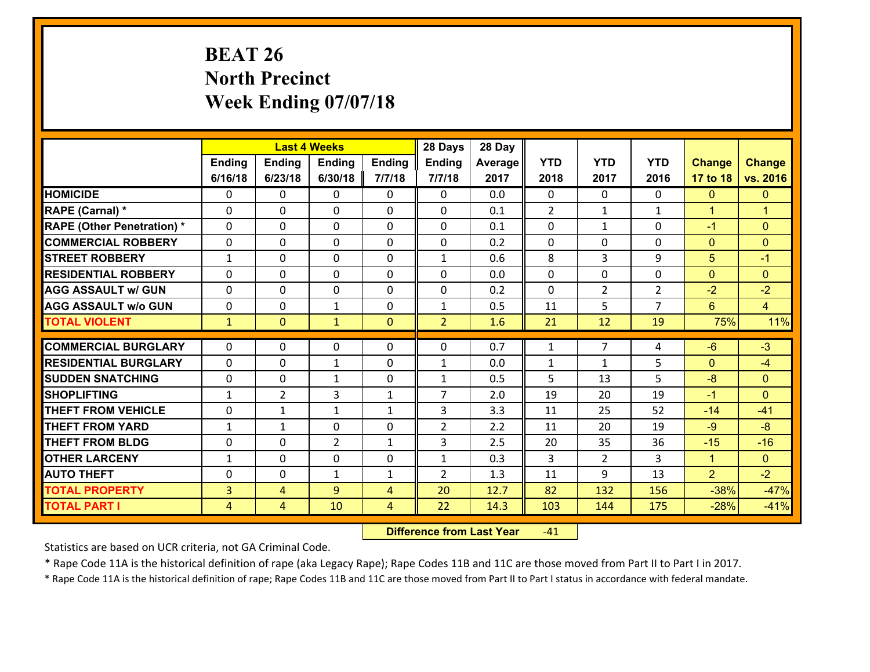# **BEAT 26 North Precinct Week Ending 07/07/18**

|                                   |                |                | <b>Last 4 Weeks</b> |               | 28 Days        | 28 Day  |            |                |                |                 |                |
|-----------------------------------|----------------|----------------|---------------------|---------------|----------------|---------|------------|----------------|----------------|-----------------|----------------|
|                                   | Ending         | <b>Ending</b>  | <b>Ending</b>       | <b>Ending</b> | <b>Ending</b>  | Average | <b>YTD</b> | <b>YTD</b>     | <b>YTD</b>     | <b>Change</b>   | <b>Change</b>  |
|                                   | 6/16/18        | 6/23/18        | 6/30/18             | 7/7/18        | 7/7/18         | 2017    | 2018       | 2017           | 2016           | 17 to 18        | vs. 2016       |
| <b>HOMICIDE</b>                   | $\Omega$       | 0              | 0                   | 0             | 0              | 0.0     | $\Omega$   | $\Omega$       | $\Omega$       | $\mathbf{0}$    | $\mathbf{0}$   |
| RAPE (Carnal) *                   | 0              | 0              | $\mathbf{0}$        | 0             | 0              | 0.1     | 2          | $\mathbf{1}$   | $\mathbf{1}$   | $\mathbf{1}$    | $\overline{1}$ |
| <b>RAPE (Other Penetration) *</b> | $\Omega$       | 0              | $\mathbf{0}$        | $\Omega$      | 0              | 0.1     | 0          | $\mathbf{1}$   | $\Omega$       | $-1$            | $\mathbf{0}$   |
| <b>COMMERCIAL ROBBERY</b>         | 0              | 0              | $\mathbf{0}$        | $\Omega$      | 0              | 0.2     | 0          | 0              | $\Omega$       | $\mathbf{0}$    | $\mathbf{0}$   |
| <b>STREET ROBBERY</b>             | $\mathbf{1}$   | 0              | $\mathbf{0}$        | $\Omega$      | $\mathbf{1}$   | 0.6     | 8          | 3              | 9              | 5               | $-1$           |
| <b>RESIDENTIAL ROBBERY</b>        | $\Omega$       | $\Omega$       | $\mathbf 0$         | $\Omega$      | 0              | 0.0     | 0          | $\Omega$       | 0              | $\overline{0}$  | $\mathbf{0}$   |
| <b>AGG ASSAULT w/ GUN</b>         | $\Omega$       | 0              | $\mathbf 0$         | 0             | 0              | 0.2     | 0          | $\overline{2}$ | $\overline{2}$ | $-2$            | $-2$           |
| <b>AGG ASSAULT w/o GUN</b>        | 0              | 0              | $\mathbf{1}$        | 0             | $\mathbf{1}$   | 0.5     | 11         | 5              | $\overline{7}$ | $6\overline{6}$ | $\overline{4}$ |
| <b>TOTAL VIOLENT</b>              | $\mathbf{1}$   | $\overline{0}$ | $\mathbf{1}$        | $\mathbf{0}$  | $\overline{2}$ | 1.6     | 21         | 12             | 19             | 75%             | 11%            |
| <b>COMMERCIAL BURGLARY</b>        | $\Omega$       | 0              | $\mathbf{0}$        | 0             | $\Omega$       | 0.7     | 1          | $\overline{7}$ | 4              | $-6$            | $-3$           |
|                                   |                |                |                     |               |                |         |            |                |                |                 |                |
| <b>RESIDENTIAL BURGLARY</b>       | $\Omega$       | 0              | $\mathbf{1}$        | $\Omega$      | $\mathbf{1}$   | 0.0     | 1          | 1              | 5              | $\mathbf{0}$    | $-4$           |
| <b>SUDDEN SNATCHING</b>           | 0              | 0              | $\mathbf{1}$        | 0             | $\mathbf{1}$   | 0.5     | 5          | 13             | 5              | $-8$            | $\mathbf{0}$   |
| <b>SHOPLIFTING</b>                | $\mathbf{1}$   | $\overline{2}$ | 3                   | $\mathbf{1}$  | $\overline{7}$ | 2.0     | 19         | 20             | 19             | $-1$            | $\Omega$       |
| <b>THEFT FROM VEHICLE</b>         | $\Omega$       | 1              | $\mathbf{1}$        | $\mathbf{1}$  | 3              | 3.3     | 11         | 25             | 52             | $-14$           | $-41$          |
| <b>THEFT FROM YARD</b>            | $\mathbf{1}$   | 1              | $\mathbf 0$         | 0             | $\overline{2}$ | 2.2     | 11         | 20             | 19             | $-9$            | $-8$           |
| <b>THEFT FROM BLDG</b>            | 0              | 0              | $\overline{2}$      | $\mathbf{1}$  | 3              | 2.5     | 20         | 35             | 36             | $-15$           | $-16$          |
| <b>OTHER LARCENY</b>              | $\mathbf{1}$   | 0              | $\mathbf 0$         | 0             | $\mathbf{1}$   | 0.3     | 3          | $\overline{2}$ | 3              | $\mathbf{1}$    | $\overline{0}$ |
| <b>AUTO THEFT</b>                 | 0              | 0              | 1                   | $\mathbf{1}$  | $\overline{2}$ | 1.3     | 11         | 9              | 13             | $\overline{2}$  | $-2$           |
| <b>TOTAL PROPERTY</b>             | $\overline{3}$ | 4              | 9                   | 4             | 20             | 12.7    | 82         | 132            | 156            | $-38%$          | $-47%$         |
|                                   |                |                |                     |               | 22             |         | 103        |                | 175            | $-28%$          | $-41%$         |

 **Difference from Last Year**r -41

Statistics are based on UCR criteria, not GA Criminal Code.

\* Rape Code 11A is the historical definition of rape (aka Legacy Rape); Rape Codes 11B and 11C are those moved from Part II to Part I in 2017.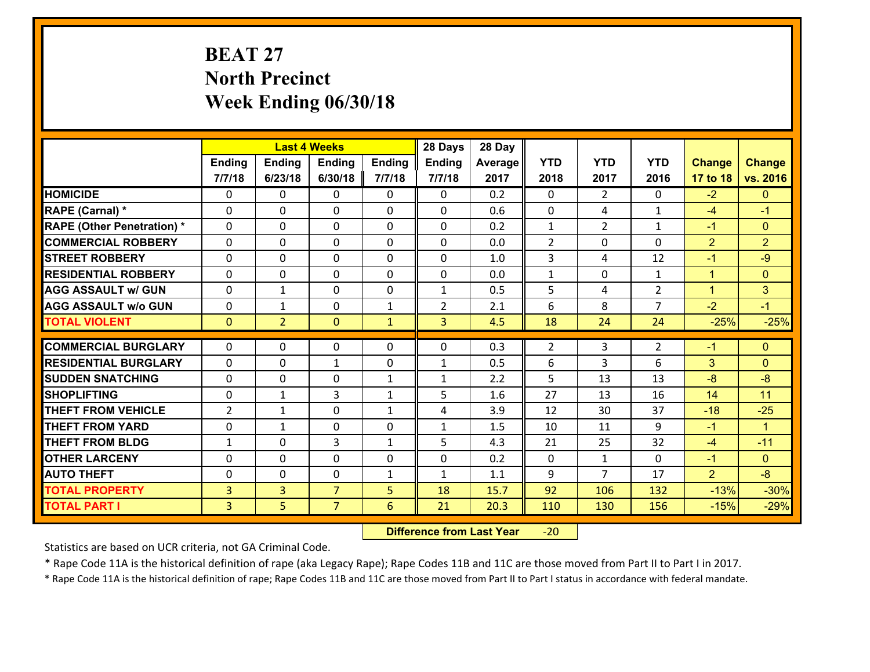# **BEAT 27 North Precinct Week Ending 06/30/18**

|                                   |                |                | <b>Last 4 Weeks</b> |               | 28 Days        | 28 Day  |                |                |                |                |                      |
|-----------------------------------|----------------|----------------|---------------------|---------------|----------------|---------|----------------|----------------|----------------|----------------|----------------------|
|                                   | Ending         | <b>Ending</b>  | <b>Ending</b>       | <b>Ending</b> | <b>Ending</b>  | Average | <b>YTD</b>     | <b>YTD</b>     | <b>YTD</b>     | <b>Change</b>  | <b>Change</b>        |
|                                   | 7/7/18         | 6/23/18        | 6/30/18             | 7/7/18        | 7/7/18         | 2017    | 2018           | 2017           | 2016           | 17 to 18       | vs. 2016             |
| <b>HOMICIDE</b>                   | $\Omega$       | 0              | 0                   | 0             | 0              | 0.2     | $\Omega$       | $\overline{2}$ | $\Omega$       | $-2$           | $\mathbf{0}$         |
| RAPE (Carnal) *                   | 0              | 0              | $\mathbf{0}$        | 0             | $\Omega$       | 0.6     | $\mathbf{0}$   | 4              | $\mathbf{1}$   | $-4$           | $-1$                 |
| <b>RAPE (Other Penetration) *</b> | $\Omega$       | 0              | $\mathbf{0}$        | $\Omega$      | $\Omega$       | 0.2     | $\mathbf{1}$   | $\overline{2}$ | $\mathbf{1}$   | $-1$           | $\mathbf{0}$         |
| <b>COMMERCIAL ROBBERY</b>         | 0              | 0              | $\mathbf{0}$        | $\Omega$      | $\Omega$       | 0.0     | $\overline{2}$ | $\Omega$       | $\Omega$       | $\overline{2}$ | $\overline{2}$       |
| <b>STREET ROBBERY</b>             | $\Omega$       | 0              | $\mathbf{0}$        | $\Omega$      | $\Omega$       | 1.0     | 3              | 4              | 12             | $-1$           | $-9$                 |
| <b>RESIDENTIAL ROBBERY</b>        | $\Omega$       | 0              | $\mathbf 0$         | $\Omega$      | 0              | 0.0     | $\mathbf{1}$   | $\mathbf 0$    | $\mathbf{1}$   | $\mathbf{1}$   | $\mathbf{0}$         |
| <b>AGG ASSAULT w/ GUN</b>         | $\Omega$       | 1              | $\mathbf 0$         | 0             | $\mathbf{1}$   | 0.5     | 5              | 4              | $\overline{2}$ | $\mathbf{1}$   | 3                    |
| <b>AGG ASSAULT w/o GUN</b>        | 0              | 1              | $\mathbf 0$         | $\mathbf{1}$  | $\overline{2}$ | 2.1     | 6              | 8              | $\overline{7}$ | $-2$           | $-1$                 |
| <b>TOTAL VIOLENT</b>              | $\mathbf{0}$   | $\overline{2}$ | $\mathbf{O}$        | $\mathbf{1}$  | $\overline{3}$ | 4.5     | 18             | 24             | 24             | $-25%$         | $-25%$               |
| <b>COMMERCIAL BURGLARY</b>        | $\Omega$       | 0              | $\mathbf{0}$        | 0             | $\Omega$       | 0.3     |                | 3              |                | $-1$           |                      |
|                                   |                |                |                     |               |                |         | $\overline{2}$ |                | 2              |                | $\mathbf{0}$         |
| <b>RESIDENTIAL BURGLARY</b>       | $\Omega$       | 0              | $\mathbf{1}$        | $\Omega$      | $\mathbf{1}$   | 0.5     | 6              | 3              | 6              | 3              | $\mathbf{0}$         |
| <b>SUDDEN SNATCHING</b>           | $\Omega$       | 0              | 0                   | $\mathbf{1}$  | $\mathbf{1}$   | 2.2     | 5              | 13             | 13             | $-8$           | $-8$                 |
| <b>SHOPLIFTING</b>                | $\Omega$       | 1              | 3                   | $\mathbf{1}$  | 5              | 1.6     | 27             | 13             | 16             | 14             | 11                   |
| <b>THEFT FROM VEHICLE</b>         | $\overline{2}$ | 1              | $\mathbf 0$         | $\mathbf{1}$  | 4              | 3.9     | 12             | 30             | 37             | $-18$          | $-25$                |
| <b>THEFT FROM YARD</b>            | 0              | 1              | $\mathbf 0$         | 0             | $\mathbf{1}$   | 1.5     | 10             | 11             | 9              | $-1$           | $\blacktriangleleft$ |
| <b>THEFT FROM BLDG</b>            | $\mathbf{1}$   | 0              | 3                   | $\mathbf{1}$  | 5              | 4.3     | 21             | 25             | 32             | $-4$           | $-11$                |
| <b>OTHER LARCENY</b>              | $\mathbf 0$    | 0              | $\mathbf 0$         | 0             | 0              | 0.2     | $\mathbf 0$    | $\mathbf{1}$   | $\Omega$       | $-1$           | $\overline{0}$       |
| <b>AUTO THEFT</b>                 | 0              | 0              | 0                   | $\mathbf{1}$  | $\mathbf{1}$   | 1.1     | 9              | $\overline{7}$ | 17             | $\overline{2}$ | $-8$                 |
| <b>TOTAL PROPERTY</b>             | $\overline{3}$ | $\overline{3}$ | $\overline{7}$      | 5             | 18             | 15.7    | 92             | 106            | 132            | $-13%$         | $-30%$               |
| <b>TOTAL PART I</b>               | $\overline{3}$ | 5              | $\overline{7}$      | 6             | 21             | 20.3    | 110            | 130            | 156            | $-15%$         | $-29%$               |

 **Difference from Last Year**‐20

Statistics are based on UCR criteria, not GA Criminal Code.

\* Rape Code 11A is the historical definition of rape (aka Legacy Rape); Rape Codes 11B and 11C are those moved from Part II to Part I in 2017.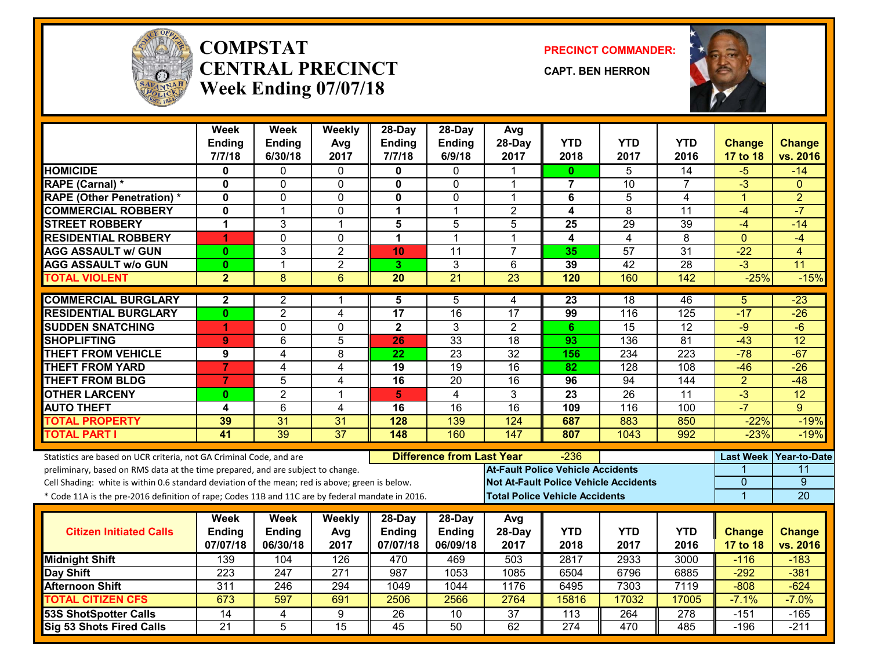

#### **COMPSTATCENTRAL PRECINCTWeek Ending 07/07/18**

**PRECINCT COMMANDER:**

**CAPT. BEN HERRON**



|                                   | Week<br><b>Ending</b><br>7/7/18                                                                                                                                                                                                                                                                                                                               | <b>Week</b><br><b>Ending</b><br>6/30/18  | Weekly<br>Avg<br>2017 | 28-Day<br><b>Ending</b><br>7/7/18   | $28$ -Day<br><b>Ending</b><br>6/9/18 | Avg<br>28-Day<br>2017                                                             | <b>YTD</b><br>2018 | <b>YTD</b><br>2017                           | <b>YTD</b><br>2016 | <b>Change</b><br>17 to 18               | <b>Change</b><br>vs. 2016                         |
|-----------------------------------|---------------------------------------------------------------------------------------------------------------------------------------------------------------------------------------------------------------------------------------------------------------------------------------------------------------------------------------------------------------|------------------------------------------|-----------------------|-------------------------------------|--------------------------------------|-----------------------------------------------------------------------------------|--------------------|----------------------------------------------|--------------------|-----------------------------------------|---------------------------------------------------|
| <b>HOMICIDE</b>                   | 0                                                                                                                                                                                                                                                                                                                                                             | 0                                        | $\Omega$              | 0                                   | 0                                    |                                                                                   | 0                  | 5                                            | $\overline{14}$    | $-5$                                    | $-14$                                             |
| RAPE (Carnal) *                   | $\mathbf 0$                                                                                                                                                                                                                                                                                                                                                   | 0                                        | $\mathbf 0$           | $\mathbf{0}$                        | $\mathbf 0$                          | 1                                                                                 | $\overline{7}$     | 10                                           | $\overline{7}$     | $-3$                                    | $\mathbf{0}$                                      |
| <b>RAPE (Other Penetration) *</b> | $\mathbf 0$                                                                                                                                                                                                                                                                                                                                                   | 0                                        | $\mathbf 0$           | 0                                   | 0                                    | 1                                                                                 | 6                  | $\overline{5}$                               | 4                  | $\mathbf{1}$                            | $\overline{2}$                                    |
| <b>COMMERCIAL ROBBERY</b>         | $\mathbf{0}$                                                                                                                                                                                                                                                                                                                                                  | 1                                        | $\mathbf 0$           | 1                                   | $\mathbf 1$                          | $\overline{2}$                                                                    | 4                  | 8                                            | 11                 | $-4$                                    | $-7$                                              |
| <b>STREET ROBBERY</b>             | 1                                                                                                                                                                                                                                                                                                                                                             | 3                                        | $\mathbf 1$           | 5                                   | 5                                    | 5                                                                                 | 25                 | 29                                           | 39                 | $-4$                                    | $-14$                                             |
| <b>RESIDENTIAL ROBBERY</b>        | 1                                                                                                                                                                                                                                                                                                                                                             | $\overline{0}$                           | $\mathbf 0$           | 1                                   | $\mathbf 1$                          | 1                                                                                 | $\overline{4}$     | $\overline{\mathbf{4}}$                      | 8                  | $\mathbf{0}$                            | $-4$                                              |
| <b>AGG ASSAULT w/ GUN</b>         | $\mathbf{0}$                                                                                                                                                                                                                                                                                                                                                  | 3                                        | $\overline{2}$        | 10                                  | $\overline{11}$                      | $\overline{7}$                                                                    | 35                 | $\overline{57}$                              | $\overline{31}$    | $-22$                                   | 4                                                 |
| <b>AGG ASSAULT W/o GUN</b>        | $\mathbf{0}$                                                                                                                                                                                                                                                                                                                                                  | $\mathbf{1}$                             | $\overline{2}$        | 3                                   | 3                                    | 6                                                                                 | 39                 | $\overline{42}$                              | $\overline{28}$    | $-3$                                    | $\overline{11}$                                   |
| <b>TOTAL VIOLENT</b>              | $\overline{2}$                                                                                                                                                                                                                                                                                                                                                | 8                                        | 6                     | $\overline{20}$                     | $\overline{21}$                      | 23                                                                                | 120                | 160                                          | 142                | $-25%$                                  | $-15%$                                            |
| <b>COMMERCIAL BURGLARY</b>        | $\mathbf{2}$                                                                                                                                                                                                                                                                                                                                                  | 2                                        | 1                     | 5                                   | 5                                    | 4                                                                                 | 23                 | 18                                           | 46                 | 5                                       | $-23$                                             |
| <b>RESIDENTIAL BURGLARY</b>       | $\mathbf{0}$                                                                                                                                                                                                                                                                                                                                                  | $\overline{2}$                           | 4                     | 17                                  | 16                                   | 17                                                                                | 99                 | 116                                          | 125                | $-17$                                   | $-26$                                             |
| <b>SUDDEN SNATCHING</b>           | 1                                                                                                                                                                                                                                                                                                                                                             | 0                                        | $\Omega$              | $\overline{2}$                      | 3                                    | $\overline{2}$                                                                    | 6                  | 15                                           | 12                 | $-9$                                    | $-6$                                              |
| <b>SHOPLIFTING</b>                | $\overline{9}$                                                                                                                                                                                                                                                                                                                                                | $\overline{6}$                           | 5                     | 26                                  | 33                                   | $\overline{18}$                                                                   | 93                 | 136                                          | $\overline{81}$    | $-43$                                   | 12                                                |
| <b>THEFT FROM VEHICLE</b>         | 9                                                                                                                                                                                                                                                                                                                                                             | 4                                        | 8                     | $\overline{22}$                     | $\overline{23}$                      | $\overline{32}$                                                                   | 156                | 234                                          | $\overline{223}$   | $-78$                                   | $-67$                                             |
| <b>THEFT FROM YARD</b>            | $\overline{7}$                                                                                                                                                                                                                                                                                                                                                | 4                                        | 4                     | 19                                  | $\overline{19}$                      | $\overline{16}$                                                                   | 82                 | $\overline{128}$                             | $\overline{108}$   | $-46$                                   | $-26$                                             |
| <b>THEFT FROM BLDG</b>            | $\overline{7}$                                                                                                                                                                                                                                                                                                                                                | 5                                        | 4                     | 16                                  | 20                                   | 16                                                                                | 96                 | 94                                           | 144                | $\overline{2}$                          | $-48$                                             |
| <b>OTHER LARCENY</b>              | $\mathbf{0}$                                                                                                                                                                                                                                                                                                                                                  | $\overline{2}$                           | 1                     | 5                                   | $\overline{4}$                       | $\overline{3}$                                                                    | $\overline{23}$    | $\overline{26}$                              | 11                 | $-3$                                    | 12                                                |
| <b>AUTO THEFT</b>                 | 4                                                                                                                                                                                                                                                                                                                                                             | $\overline{6}$                           | 4                     | 16                                  | $\overline{16}$                      | $\overline{16}$                                                                   | 109                | 116                                          | 100                | $-7$                                    | $\mathbf{Q}$                                      |
| <b>TOTAL PROPERTY</b>             | 39                                                                                                                                                                                                                                                                                                                                                            | 31                                       | 31                    | 128                                 | 139                                  | 124                                                                               | 687                | 883                                          | 850                | $-22%$                                  | $-19%$                                            |
| <b>TOTAL PART I</b>               | 41                                                                                                                                                                                                                                                                                                                                                            | $\overline{39}$                          | $\overline{37}$       | 148                                 | 160                                  | 147                                                                               | 807                | 1043                                         | 992                | $-23%$                                  | $-19%$                                            |
|                                   | Statistics are based on UCR criteria, not GA Criminal Code, and are<br>preliminary, based on RMS data at the time prepared, and are subject to change.<br>Cell Shading: white is within 0.6 standard deviation of the mean; red is above; green is below.<br>* Code 11A is the pre-2016 definition of rape; Codes 11B and 11C are by federal mandate in 2016. |                                          |                       |                                     | <b>Difference from Last Year</b>     | <b>At-Fault Police Vehicle Accidents</b><br><b>Total Police Vehicle Accidents</b> | -236               | <b>Not At-Fault Police Vehicle Accidents</b> |                    | <b>Last Week</b><br>$\overline{0}$<br>1 | <b>Year-to-Date</b><br>11<br>$\overline{9}$<br>20 |
| <b>Citizen Initiated Calls</b>    | Week<br><b>Ending</b><br>07/07/18                                                                                                                                                                                                                                                                                                                             | <b>Week</b><br><b>Ending</b><br>06/30/18 | Weekly<br>Avg<br>2017 | 28-Day<br><b>Ending</b><br>07/07/18 | 28-Day<br><b>Ending</b><br>06/09/18  | Avg<br>28-Day<br>2017                                                             | <b>YTD</b><br>2018 | <b>YTD</b><br>2017                           | <b>YTD</b><br>2016 | <b>Change</b><br>17 to 18               | <b>Change</b><br>vs. 2016                         |
| <b>Midnight Shift</b>             | 139                                                                                                                                                                                                                                                                                                                                                           | 104                                      | 126                   | 470                                 | 469                                  | 503                                                                               | 2817               | 2933                                         | 3000               | $-116$                                  | $-183$                                            |
| Day Shift                         | 223                                                                                                                                                                                                                                                                                                                                                           | 247                                      | $\overline{271}$      | 987                                 | 1053                                 | 1085                                                                              | 6504               | 6796                                         | 6885               | $-292$                                  | $-381$                                            |
| <b>Afternoon Shift</b>            | 311                                                                                                                                                                                                                                                                                                                                                           | 246                                      | 294                   | 1049                                | 1044                                 | 1176                                                                              | 6495               | 7303                                         | 7119               | $-808$                                  | $-624$                                            |
| <b>TOTAL CITIZEN CFS</b>          | 673                                                                                                                                                                                                                                                                                                                                                           | 597                                      | 691                   | 2506                                | 2566                                 | 2764                                                                              | 15816              | 17032                                        | 17005              | $-7.1%$                                 | $-7.0%$                                           |
| <b>53S ShotSpotter Calls</b>      | $\overline{14}$                                                                                                                                                                                                                                                                                                                                               | 4                                        | 9                     | $\overline{26}$                     | 10                                   | $\overline{37}$                                                                   | 113                | 264                                          | 278                | $-151$                                  | $-165$                                            |
| Sig 53 Shots Fired Calls          | $\overline{21}$                                                                                                                                                                                                                                                                                                                                               | $\overline{5}$                           | $\overline{15}$       | $\overline{45}$                     | 50                                   | 62                                                                                | 274                | 470                                          | 485                | $-196$                                  | $-211$                                            |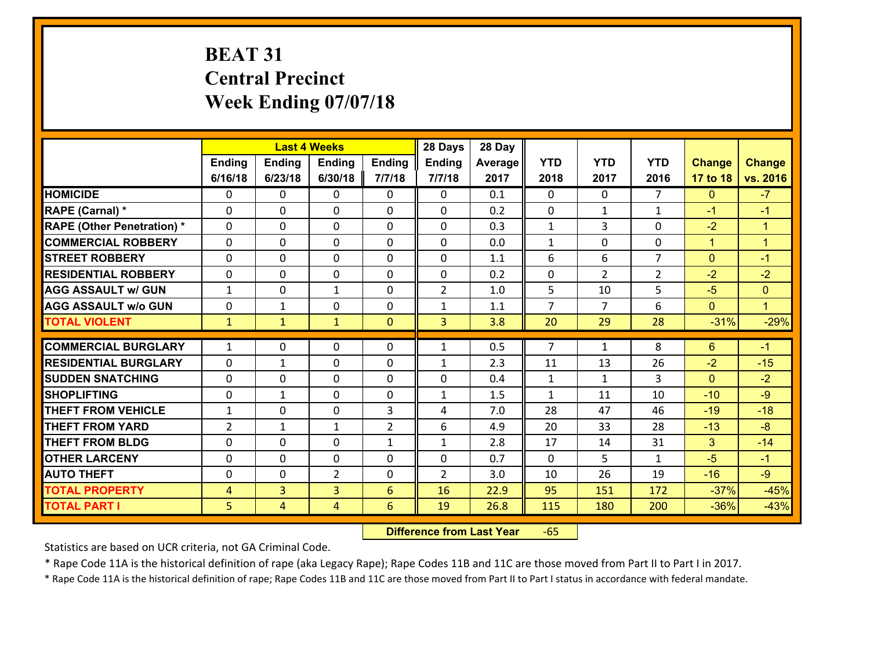# **BEAT 31 Central Precinct Week Ending 07/07/18**

|                                   |                |                | <b>Last 4 Weeks</b> |                | 28 Days        | 28 Day  |                |                |                |               |                      |
|-----------------------------------|----------------|----------------|---------------------|----------------|----------------|---------|----------------|----------------|----------------|---------------|----------------------|
|                                   | <b>Ending</b>  | Ending         | <b>Ending</b>       | Ending         | <b>Ending</b>  | Average | <b>YTD</b>     | <b>YTD</b>     | <b>YTD</b>     | <b>Change</b> | <b>Change</b>        |
|                                   | 6/16/18        | 6/23/18        | 6/30/18             | 7/7/18         | 7/7/18         | 2017    | 2018           | 2017           | 2016           | 17 to 18      | vs. 2016             |
| <b>HOMICIDE</b>                   | 0              | $\Omega$       | 0                   | 0              | $\Omega$       | 0.1     | $\Omega$       | $\Omega$       | $\overline{7}$ | $\mathbf{0}$  | $-7$                 |
| RAPE (Carnal) *                   | $\Omega$       | 0              | $\mathbf{0}$        | $\Omega$       | 0              | 0.2     | $\mathbf{0}$   | $\mathbf{1}$   | $\mathbf{1}$   | $-1$          | $-1$                 |
| <b>RAPE (Other Penetration) *</b> | $\Omega$       | 0              | $\mathbf{0}$        | $\Omega$       | 0              | 0.3     | $\mathbf{1}$   | 3              | $\Omega$       | $-2$          | $\blacktriangleleft$ |
| <b>COMMERCIAL ROBBERY</b>         | $\Omega$       | 0              | $\mathbf{0}$        | $\Omega$       | 0              | 0.0     | $\mathbf{1}$   | $\Omega$       | $\Omega$       | $\mathbf{1}$  | $\blacktriangleleft$ |
| <b>STREET ROBBERY</b>             | $\Omega$       | $\Omega$       | $\Omega$            | 0              | $\mathbf{0}$   | 1.1     | 6              | 6              | $\overline{7}$ | $\mathbf{0}$  | $-1$                 |
| <b>RESIDENTIAL ROBBERY</b>        | 0              | $\Omega$       | $\mathbf 0$         | $\Omega$       | 0              | 0.2     | $\mathbf 0$    | $\overline{2}$ | $\overline{2}$ | $-2$          | $-2$                 |
| <b>AGG ASSAULT w/ GUN</b>         | $\mathbf{1}$   | 0              | $\mathbf{1}$        | 0              | $\overline{2}$ | 1.0     | 5              | 10             | 5              | $-5$          | $\overline{0}$       |
| <b>AGG ASSAULT w/o GUN</b>        | 0              | $\mathbf{1}$   | $\mathbf 0$         | $\Omega$       | $\mathbf{1}$   | 1.1     | $\overline{7}$ | $\overline{7}$ | 6              | $\mathbf{0}$  | $\blacklozenge$      |
| <b>TOTAL VIOLENT</b>              | $\mathbf{1}$   | $\mathbf{1}$   | $\mathbf{1}$        | $\overline{0}$ | $\overline{3}$ | 3.8     | 20             | 29             | 28             | $-31%$        | $-29%$               |
| <b>COMMERCIAL BURGLARY</b>        | 1              | 0              | $\mathbf{0}$        | 0              | 1              | 0.5     | $\overline{7}$ | $\mathbf{1}$   | 8              | 6             | $-1$                 |
| <b>RESIDENTIAL BURGLARY</b>       | $\Omega$       | 1              | $\mathbf{0}$        | 0              | $\mathbf{1}$   | 2.3     | 11             | 13             | 26             | $-2$          | $-15$                |
| <b>SUDDEN SNATCHING</b>           | 0              | 0              | $\mathbf{0}$        | 0              | 0              | 0.4     | $\mathbf{1}$   | $\mathbf{1}$   | 3              | $\Omega$      | $-2$                 |
| <b>SHOPLIFTING</b>                | 0              | $\mathbf{1}$   | $\Omega$            | $\Omega$       | $\mathbf{1}$   | 1.5     | $\mathbf{1}$   | 11             | 10             | $-10$         | $-9$                 |
| <b>THEFT FROM VEHICLE</b>         | $\mathbf{1}$   | 0              | $\mathbf 0$         | 3              | 4              | 7.0     | 28             | 47             | 46             | $-19$         | $-18$                |
| <b>THEFT FROM YARD</b>            | $\overline{2}$ | $\mathbf{1}$   | $\mathbf{1}$        | $\overline{2}$ | 6              | 4.9     | 20             | 33             | 28             | $-13$         | $-8$                 |
| <b>THEFT FROM BLDG</b>            | 0              | 0              | 0                   | $\mathbf{1}$   | $\mathbf{1}$   | 2.8     | 17             | 14             | 31             | 3             | $-14$                |
| <b>OTHER LARCENY</b>              | 0              | 0              | 0                   | $\Omega$       | 0              | 0.7     | $\mathbf 0$    | 5              | $\mathbf{1}$   | $-5$          | $-1$                 |
| <b>AUTO THEFT</b>                 | 0              | 0              | $\overline{2}$      | 0              | $\overline{2}$ | 3.0     | 10             | 26             | 19             | $-16$         | $-9$                 |
| <b>TOTAL PROPERTY</b>             | 4              | $\overline{3}$ | 3                   | 6              | 16             | 22.9    | 95             | 151            | 172            | $-37%$        | $-45%$               |
| <b>TOTAL PART I</b>               | 5              | 4              | $\overline{4}$      | $6\phantom{1}$ | 19             | 26.8    | 115            | 180            | 200            | $-36%$        | $-43%$               |

 **Difference from Last Year**r -65

Statistics are based on UCR criteria, not GA Criminal Code.

\* Rape Code 11A is the historical definition of rape (aka Legacy Rape); Rape Codes 11B and 11C are those moved from Part II to Part I in 2017.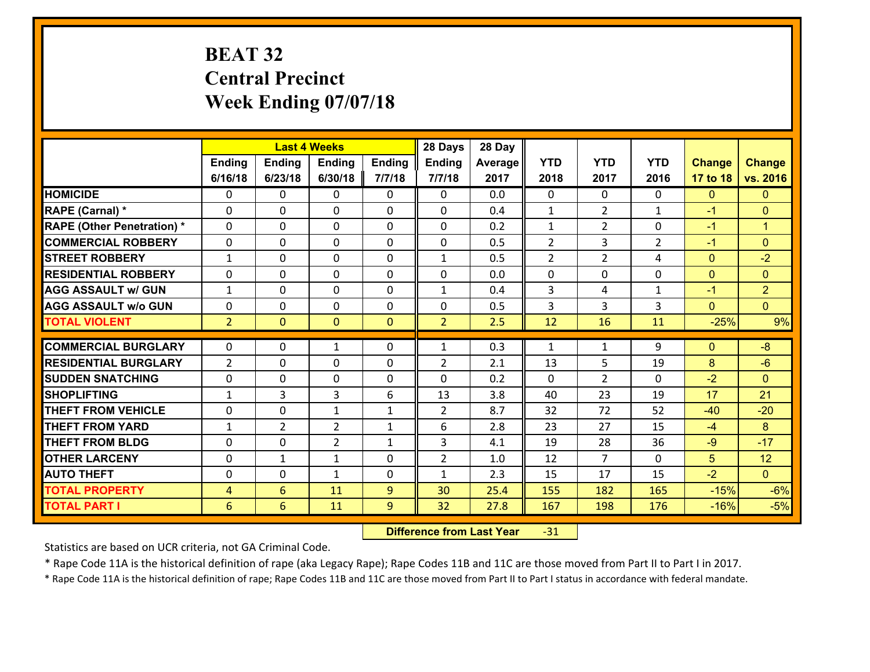# **BEAT 32 Central Precinct Week Ending 07/07/18**

|                                              |                     |                      | <b>Last 4 Weeks</b> |                | 28 Days        | 28 Day       |                |                |                |                  |                      |
|----------------------------------------------|---------------------|----------------------|---------------------|----------------|----------------|--------------|----------------|----------------|----------------|------------------|----------------------|
|                                              | Ending              | <b>Ending</b>        | <b>Ending</b>       | <b>Ending</b>  | <b>Ending</b>  | Average      | <b>YTD</b>     | <b>YTD</b>     | <b>YTD</b>     | <b>Change</b>    | <b>Change</b>        |
|                                              | 6/16/18             | 6/23/18              | 6/30/18             | 7/7/18         | 7/7/18         | 2017         | 2018           | 2017           | 2016           | 17 to 18         | vs. 2016             |
| <b>HOMICIDE</b>                              | 0                   | 0                    | $\mathbf{0}$        | 0              | 0              | 0.0          | $\Omega$       | $\Omega$       | $\Omega$       | $\mathbf{0}$     | $\mathbf{0}$         |
| RAPE (Carnal) *                              | $\Omega$            | 0                    | $\mathbf{0}$        | 0              | $\Omega$       | 0.4          | 1              | $\overline{2}$ | $\mathbf{1}$   | $-1$             | $\mathbf{0}$         |
| <b>RAPE (Other Penetration) *</b>            | $\Omega$            | $\Omega$             | $\Omega$            | $\Omega$       | $\Omega$       | 0.2          | $\mathbf{1}$   | $\overline{2}$ | $\Omega$       | $-1$             | $\blacktriangleleft$ |
| <b>COMMERCIAL ROBBERY</b>                    | 0                   | 0                    | $\mathbf 0$         | $\Omega$       | 0              | 0.5          | $\overline{2}$ | 3              | $\overline{2}$ | $-1$             | $\mathbf{0}$         |
| <b>STREET ROBBERY</b>                        | $\mathbf{1}$        | 0                    | $\mathbf 0$         | $\Omega$       | $\mathbf{1}$   | 0.5          | $\overline{2}$ | $\overline{2}$ | 4              | $\mathbf{0}$     | $-2$                 |
| <b>RESIDENTIAL ROBBERY</b>                   | $\Omega$            | $\Omega$             | $\mathbf 0$         | $\Omega$       | 0              | 0.0          | $\Omega$       | $\Omega$       | $\Omega$       | $\mathbf{0}$     | $\overline{0}$       |
| <b>AGG ASSAULT w/ GUN</b>                    | $\mathbf{1}$        | 0                    | $\mathbf 0$         | $\Omega$       | $\mathbf{1}$   | 0.4          | 3              | 4              | $\mathbf{1}$   | $-1$             | $\overline{2}$       |
| <b>AGG ASSAULT w/o GUN</b>                   | 0                   | 0                    | $\mathbf 0$         | 0              | 0              | 0.5          | 3              | 3              | 3              | $\mathbf{0}$     | $\overline{0}$       |
| <b>TOTAL VIOLENT</b>                         | 2 <sup>2</sup>      | $\overline{0}$       | $\mathbf{0}$        | $\overline{0}$ | $\overline{2}$ | 2.5          | 12             | 16             | 11             | $-25%$           | 9%                   |
| <b>COMMERCIAL BURGLARY</b>                   | $\mathbf{0}$        | 0                    | 1                   | 0              | $\mathbf{1}$   | 0.3          | $\mathbf{1}$   | $\mathbf{1}$   | 9              | $\mathbf{0}$     | $-8$                 |
|                                              |                     |                      |                     |                |                |              |                |                |                |                  |                      |
|                                              |                     |                      |                     |                |                |              |                |                |                |                  |                      |
| <b>RESIDENTIAL BURGLARY</b>                  | $\overline{2}$      | 0                    | $\mathbf{0}$        | 0              | $\overline{2}$ | 2.1          | 13             | 5              | 19             | 8                | $-6$                 |
| <b>SUDDEN SNATCHING</b>                      | $\mathbf{0}$        | 0                    | $\mathbf{0}$        | $\Omega$       | $\Omega$       | 0.2          | $\Omega$       | $\mathcal{L}$  | 0              | $-2$             | $\Omega$             |
| <b>SHOPLIFTING</b>                           | $\mathbf{1}$        | 3                    | 3                   | 6              | 13             | 3.8          | 40             | 23             | 19             | 17               | 21                   |
| <b>THEFT FROM VEHICLE</b>                    | $\mathbf{0}$        | 0                    | $\mathbf{1}$        | $\mathbf{1}$   | $\overline{2}$ | 8.7          | 32             | 72             | 52             | $-40$            | $-20$                |
| <b>THEFT FROM YARD</b>                       | $\mathbf{1}$        | $\overline{2}$       | $\overline{2}$      | $\mathbf{1}$   | 6              | 2.8          | 23             | 27             | 15             | $-4$             | 8                    |
| <b>THEFT FROM BLDG</b>                       | 0                   | 0                    | $\overline{2}$      | $\mathbf{1}$   | 3              | 4.1          | 19             | 28             | 36             | $-9$             | $-17$                |
| <b>OTHER LARCENY</b>                         | 0                   | 1                    | $\mathbf{1}$        | 0              | $\overline{2}$ | 1.0          | 12             | $\overline{7}$ | $\Omega$       | 5                | 12                   |
| <b>AUTO THEFT</b>                            | 0                   | 0                    | $\mathbf{1}$        | 0              | $\mathbf{1}$   | 2.3          | 15             | 17             | 15             | $-2$             | $\overline{0}$       |
| <b>TOTAL PROPERTY</b><br><b>TOTAL PART I</b> | $\overline{4}$<br>6 | $6\overline{6}$<br>6 | 11<br>11            | 9<br>9         | 30<br>32       | 25.4<br>27.8 | 155<br>167     | 182<br>198     | 165<br>176     | $-15%$<br>$-16%$ | $-6%$<br>$-5%$       |

 **Difference from Last Year**r -31

Statistics are based on UCR criteria, not GA Criminal Code.

\* Rape Code 11A is the historical definition of rape (aka Legacy Rape); Rape Codes 11B and 11C are those moved from Part II to Part I in 2017.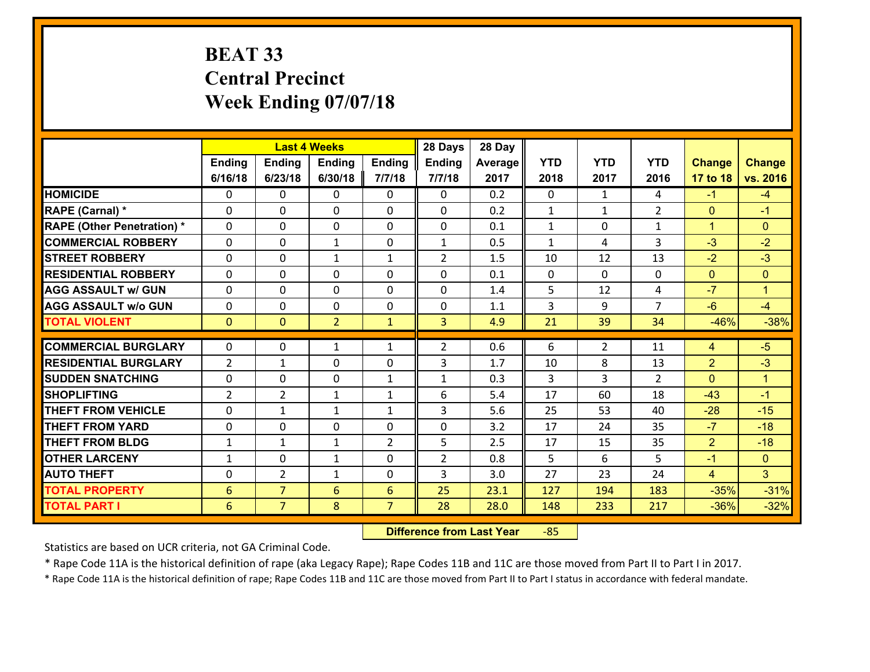# **BEAT 33 Central Precinct Week Ending 07/07/18**

|                                   |                 |                | <b>Last 4 Weeks</b> |                | 28 Days        | 28 Day  |                |                |                |                |                      |
|-----------------------------------|-----------------|----------------|---------------------|----------------|----------------|---------|----------------|----------------|----------------|----------------|----------------------|
|                                   | Ending          | <b>Ending</b>  | <b>Ending</b>       | Ending         | <b>Ending</b>  | Average | <b>YTD</b>     | <b>YTD</b>     | <b>YTD</b>     | <b>Change</b>  | <b>Change</b>        |
|                                   | 6/16/18         | 6/23/18        | 6/30/18             | 7/7/18         | 7/7/18         | 2017    | 2018           | 2017           | 2016           | 17 to 18       | vs. 2016             |
| <b>HOMICIDE</b>                   | $\Omega$        | 0              | $\Omega$            | 0              | $\Omega$       | 0.2     | $\Omega$       | $\mathbf{1}$   | 4              | $-1$           | $-4$                 |
| RAPE (Carnal) *                   | 0               | 0              | $\mathbf{0}$        | 0              | $\Omega$       | 0.2     | $\mathbf{1}$   | $\mathbf{1}$   | $\overline{2}$ | $\mathbf{0}$   | $-1$                 |
| <b>RAPE (Other Penetration) *</b> | $\Omega$        | 0              | $\mathbf{0}$        | $\Omega$       | $\Omega$       | 0.1     | $\mathbf{1}$   | 0              | $\mathbf{1}$   | $\mathbf{1}$   | $\mathbf{0}$         |
| <b>COMMERCIAL ROBBERY</b>         | 0               | 0              | 1                   | 0              | $\mathbf{1}$   | 0.5     | $\mathbf{1}$   | 4              | 3              | $-3$           | $-2$                 |
| <b>STREET ROBBERY</b>             | $\Omega$        | 0              | 1                   | $\mathbf{1}$   | $\overline{2}$ | 1.5     | 10             | 12             | 13             | $-2$           | $-3$                 |
| <b>RESIDENTIAL ROBBERY</b>        | $\Omega$        | $\Omega$       | $\mathbf 0$         | $\Omega$       | 0              | 0.1     | $\mathbf 0$    | $\Omega$       | 0              | $\mathbf{0}$   | $\mathbf{0}$         |
| <b>AGG ASSAULT w/ GUN</b>         | $\Omega$        | 0              | $\mathbf 0$         | $\Omega$       | 0              | 1.4     | 5 <sup>5</sup> | 12             | 4              | $-7$           | $\blacktriangleleft$ |
| <b>AGG ASSAULT w/o GUN</b>        | 0               | 0              | $\mathbf 0$         | 0              | 0              | 1.1     | 3              | 9              | $\overline{7}$ | $-6$           | $-4$                 |
| <b>TOTAL VIOLENT</b>              | $\mathbf{0}$    | $\overline{0}$ | $\overline{2}$      | $\mathbf{1}$   | $\overline{3}$ | 4.9     | 21             | 39             | 34             | $-46%$         | $-38%$               |
| <b>COMMERCIAL BURGLARY</b>        | $\Omega$        | 0              |                     | $\mathbf{1}$   | $\overline{2}$ | 0.6     | 6              | $\overline{2}$ | 11             | $\overline{4}$ | $-5$                 |
|                                   |                 |                | 1                   |                |                |         |                |                |                |                |                      |
| <b>RESIDENTIAL BURGLARY</b>       | $\overline{2}$  | 1              | $\mathbf 0$         | 0              | 3              | 1.7     | 10             | 8              | 13             | $\overline{2}$ | $-3$                 |
| <b>SUDDEN SNATCHING</b>           | 0               | 0              | $\mathbf 0$         | $\mathbf{1}$   | $\mathbf{1}$   | 0.3     | 3              | 3              | $\overline{2}$ | $\mathbf{0}$   | $\mathbf{1}$         |
| <b>SHOPLIFTING</b>                | $\overline{2}$  | $\overline{2}$ | 1                   | $\mathbf{1}$   | 6              | 5.4     | 17             | 60             | 18             | $-43$          | $-1$                 |
| <b>THEFT FROM VEHICLE</b>         | $\Omega$        | $\mathbf{1}$   | 1                   | $\mathbf{1}$   | 3              | 5.6     | 25             | 53             | 40             | $-28$          | $-15$                |
| <b>THEFT FROM YARD</b>            | 0               | 0              | $\mathbf 0$         | 0              | 0              | 3.2     | 17             | 24             | 35             | $-7$           | $-18$                |
| <b>THEFT FROM BLDG</b>            | $\mathbf{1}$    | 1              | 1                   | $\overline{2}$ | 5              | 2.5     | 17             | 15             | 35             | $\overline{2}$ | $-18$                |
| <b>OTHER LARCENY</b>              | $\mathbf{1}$    | 0              | $\mathbf{1}$        | 0              | $\overline{2}$ | 0.8     | 5              | 6              | 5              | $-1$           | $\overline{0}$       |
| <b>AUTO THEFT</b>                 | 0               | $\overline{2}$ | $\mathbf{1}$        | 0              | 3              | 3.0     | 27             | 23             | 24             | $\overline{4}$ | 3                    |
| <b>TOTAL PROPERTY</b>             | $6\phantom{1}6$ | $\overline{7}$ | 6                   | 6              | 25             | 23.1    | 127            | 194            | 183            | $-35%$         | $-31%$               |
| <b>TOTAL PART I</b>               | 6               | $\overline{7}$ | 8                   | $\overline{7}$ | 28             | 28.0    | 148            | 233            | 217            | $-36%$         | $-32%$               |

 **Difference from Last Year**‐85

Statistics are based on UCR criteria, not GA Criminal Code.

\* Rape Code 11A is the historical definition of rape (aka Legacy Rape); Rape Codes 11B and 11C are those moved from Part II to Part I in 2017.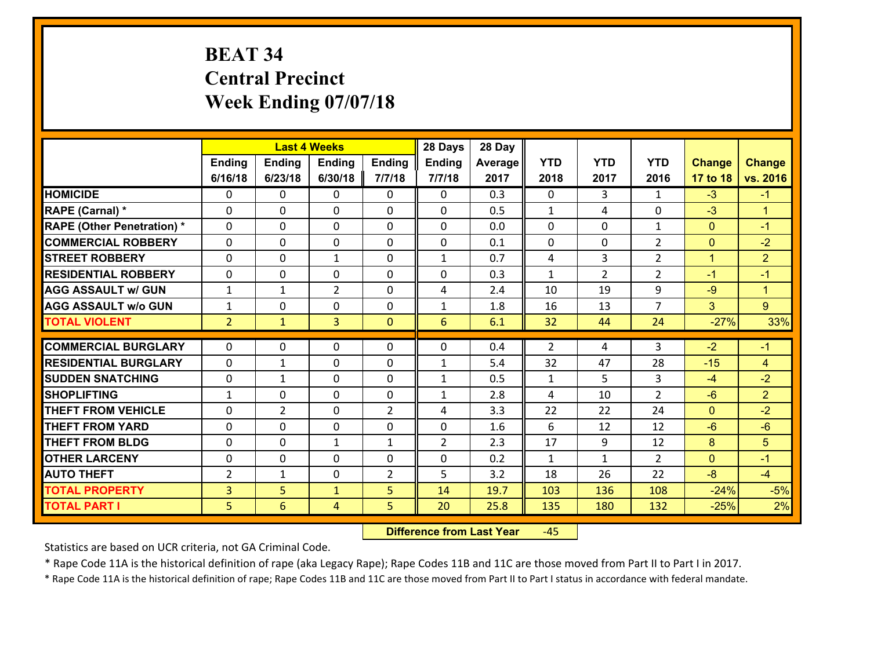# **BEAT 34 Central Precinct Week Ending 07/07/18**

|                                   |                |                | <b>Last 4 Weeks</b> |                | 28 Days         | 28 Day  |              |                |                     |                |                      |
|-----------------------------------|----------------|----------------|---------------------|----------------|-----------------|---------|--------------|----------------|---------------------|----------------|----------------------|
|                                   | Ending         | <b>Ending</b>  | <b>Ending</b>       | Ending         | <b>Ending</b>   | Average | <b>YTD</b>   | <b>YTD</b>     | <b>YTD</b>          | <b>Change</b>  | <b>Change</b>        |
|                                   | 6/16/18        | 6/23/18        | 6/30/18             | 7/7/18         | 7/7/18          | 2017    | 2018         | 2017           | 2016                | 17 to 18       | vs. 2016             |
| <b>HOMICIDE</b>                   | $\Omega$       | 0              | $\Omega$            | 0              | $\Omega$        | 0.3     | $\Omega$     | 3              | $\mathbf{1}$        | $-3$           | $-1$                 |
| RAPE (Carnal) *                   | 0              | 0              | $\mathbf{0}$        | 0              | $\Omega$        | 0.5     | $\mathbf{1}$ | 4              | $\Omega$            | $-3$           | $\blacktriangleleft$ |
| <b>RAPE (Other Penetration) *</b> | $\Omega$       | 0              | $\mathbf{0}$        | $\Omega$       | $\Omega$        | 0.0     | $\Omega$     | $\Omega$       | $\mathbf{1}$        | $\mathbf{0}$   | $-1$                 |
| <b>COMMERCIAL ROBBERY</b>         | 0              | 0              | $\mathbf 0$         | 0              | 0               | 0.1     | $\mathbf{0}$ | 0              | $\overline{2}$      | $\mathbf{0}$   | $-2$                 |
| <b>STREET ROBBERY</b>             | $\Omega$       | 0              | 1                   | 0              | $\mathbf{1}$    | 0.7     | 4            | $\overline{3}$ | $\overline{2}$      | $\mathbf{1}$   | $\overline{2}$       |
| <b>RESIDENTIAL ROBBERY</b>        | $\Omega$       | 0              | $\mathbf 0$         | $\Omega$       | 0               | 0.3     | $\mathbf{1}$ | $\overline{2}$ | $\overline{2}$      | $-1$           | $-1$                 |
| <b>AGG ASSAULT w/ GUN</b>         | $\mathbf{1}$   | $\mathbf{1}$   | $\overline{2}$      | 0              | 4               | 2.4     | 10           | 19             | 9                   | $-9$           | $\mathbf{1}$         |
| <b>AGG ASSAULT w/o GUN</b>        | $\mathbf{1}$   | 0              | $\mathbf 0$         | 0              | $\mathbf{1}$    | 1.8     | 16           | 13             | $\overline{7}$      | 3              | $\overline{9}$       |
| <b>TOTAL VIOLENT</b>              | 2 <sup>1</sup> | $\mathbf{1}$   | 3                   | $\mathbf{0}$   | $6\overline{6}$ | 6.1     | 32           | 44             | 24                  | $-27%$         | 33%                  |
| <b>COMMERCIAL BURGLARY</b>        | $\Omega$       | 0              | $\mathbf{0}$        | $\Omega$       | $\Omega$        | 0.4     | 2            | 4              | 3                   | $-2$           | $-1$                 |
|                                   |                |                |                     |                |                 |         |              |                |                     |                |                      |
| <b>RESIDENTIAL BURGLARY</b>       | 0              | 1              | $\mathbf 0$         | 0              | $\mathbf{1}$    | 5.4     | 32           | 47             | 28                  | $-15$          | $\overline{4}$       |
| <b>SUDDEN SNATCHING</b>           | 0              | 1              | $\mathbf 0$         | 0              | $\mathbf{1}$    | 0.5     | $\mathbf{1}$ | 5              | 3<br>$\overline{2}$ | $-4$           | $-2$                 |
| <b>SHOPLIFTING</b>                | $\mathbf{1}$   | 0              | $\mathbf 0$         | 0              | $\mathbf{1}$    | 2.8     | 4            | 10             |                     | $-6$           | $\overline{2}$       |
| <b>THEFT FROM VEHICLE</b>         | 0              | $\overline{2}$ | $\mathbf 0$         | $\overline{2}$ | 4               | 3.3     | 22           | 22             | 24                  | $\overline{0}$ | $-2$                 |
| <b>THEFT FROM YARD</b>            | 0              | 0              | $\mathbf 0$         | 0              | 0               | 1.6     | 6            | 12             | 12                  | $-6$           | $-6$                 |
| <b>THEFT FROM BLDG</b>            | 0              | 0              | 1                   | $\mathbf{1}$   | $\overline{2}$  | 2.3     | 17           | 9              | 12                  | 8              | 5                    |
| <b>OTHER LARCENY</b>              | 0              | 0              | $\mathbf 0$         | 0              | 0               | 0.2     | $\mathbf{1}$ | $\mathbf{1}$   | $\overline{2}$      | $\overline{0}$ | $-1$                 |
| <b>AUTO THEFT</b>                 | 2              | 1              | $\mathbf{0}$        | 2              | 5               | 3.2     | 18           | 26             | 22                  | $-8$           | $-4$                 |
| <b>TOTAL PROPERTY</b>             | $\overline{3}$ | 5              | $\mathbf{1}$        | 5              | 14              | 19.7    | 103          | 136            | 108                 | $-24%$         | $-5%$                |
| <b>TOTAL PART I</b>               | 5              | 6              | 4                   | 5              | 20              | 25.8    | 135          | 180            | 132                 | $-25%$         | 2%                   |

 **Difference from Last Year**‐45

Statistics are based on UCR criteria, not GA Criminal Code.

\* Rape Code 11A is the historical definition of rape (aka Legacy Rape); Rape Codes 11B and 11C are those moved from Part II to Part I in 2017.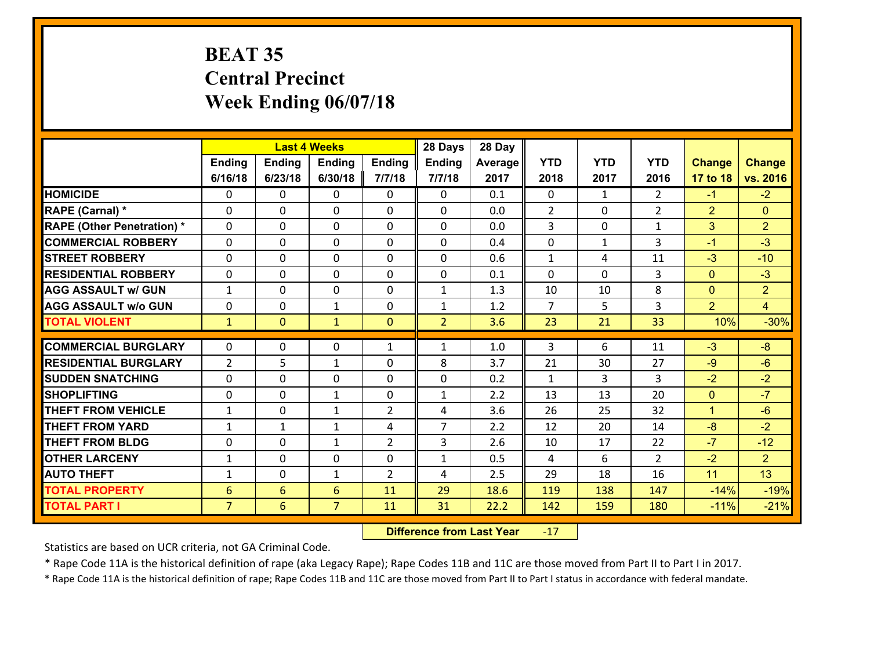## **BEAT 35 Central Precinct Week Ending 06/07/18**

|                                              |                 |                 | <b>Last 4 Weeks</b> |                | 28 Days        | 28 Day  |                |              |                |                      |                  |
|----------------------------------------------|-----------------|-----------------|---------------------|----------------|----------------|---------|----------------|--------------|----------------|----------------------|------------------|
|                                              | Ending          | <b>Ending</b>   | Ending              | <b>Ending</b>  | <b>Ending</b>  | Average | <b>YTD</b>     | <b>YTD</b>   | <b>YTD</b>     | <b>Change</b>        | <b>Change</b>    |
|                                              | 6/16/18         | 6/23/18         | 6/30/18             | 7/7/18         | 7/7/18         | 2017    | 2018           | 2017         | 2016           | 17 to 18             | vs. 2016         |
| <b>HOMICIDE</b>                              | 0               | 0               | $\mathbf{0}$        | 0              | $\mathbf{0}$   | 0.1     | $\mathbf{0}$   | $\mathbf{1}$ | $\overline{2}$ | $-1$                 | $-2$             |
| RAPE (Carnal) *                              | $\mathbf{0}$    | 0               | $\mathbf 0$         | $\Omega$       | 0              | 0.0     | $\overline{2}$ | $\Omega$     | $\overline{2}$ | $\overline{2}$       | $\mathbf{0}$     |
| <b>RAPE (Other Penetration) *</b>            | $\Omega$        | $\Omega$        | $\mathbf 0$         | $\Omega$       | $\Omega$       | 0.0     | 3              | $\Omega$     | $\mathbf{1}$   | 3                    | $\overline{2}$   |
| <b>COMMERCIAL ROBBERY</b>                    | 0               | 0               | $\mathbf 0$         | 0              | 0              | 0.4     | 0              | $\mathbf{1}$ | 3              | $-1$                 | $-3$             |
| <b>STREET ROBBERY</b>                        | $\Omega$        | 0               | $\mathbf{0}$        | $\Omega$       | $\Omega$       | 0.6     | $\mathbf{1}$   | 4            | 11             | $-3$                 | $-10$            |
| <b>RESIDENTIAL ROBBERY</b>                   | $\Omega$        | 0               | $\mathbf 0$         | $\Omega$       | 0              | 0.1     | $\Omega$       | $\Omega$     | 3              | $\mathbf{0}$         | $-3$             |
| <b>AGG ASSAULT w/ GUN</b>                    | $\mathbf{1}$    | $\Omega$        | $\mathbf 0$         | $\Omega$       | $\mathbf{1}$   | 1.3     | 10             | 10           | 8              | $\mathbf{0}$         | 2 <sup>1</sup>   |
| <b>AGG ASSAULT w/o GUN</b>                   | 0               | 0               | $\mathbf{1}$        | 0              | $\mathbf{1}$   | 1.2     | $\overline{7}$ | 5            | 3              | $\overline{2}$       | $\overline{4}$   |
| <b>TOTAL VIOLENT</b>                         | $\mathbf{1}$    | $\mathbf{0}$    | $\mathbf{1}$        | $\mathbf{0}$   | $\overline{2}$ | 3.6     | 23             | 21           | 33             | 10%                  | $-30%$           |
| <b>COMMERCIAL BURGLARY</b>                   | $\Omega$        | 0               | $\mathbf{0}$        | $\mathbf{1}$   | $\mathbf{1}$   | 1.0     | 3              | 6            | 11             | $-3$                 | $-8$             |
| <b>RESIDENTIAL BURGLARY</b>                  |                 |                 |                     |                |                |         |                |              |                |                      |                  |
|                                              | 2               | 5               | $\mathbf{1}$        | 0              | 8              | 3.7     | 21             | 30           | 27             | $-9$                 | $-6$             |
|                                              |                 |                 |                     |                |                |         |                |              |                |                      |                  |
| <b>ISUDDEN SNATCHING</b>                     | 0               | 0               | $\mathbf 0$         | 0              | 0              | 0.2     | $\mathbf{1}$   | 3            | 3              | $-2$                 | $-2$             |
| <b>SHOPLIFTING</b>                           | $\mathbf{0}$    | 0               | 1                   | 0              | $\mathbf{1}$   | 2.2     | 13             | 13           | 20             | $\mathbf{0}$         | $-7$             |
| <b>THEFT FROM VEHICLE</b>                    | $\mathbf{1}$    | 0               | $\mathbf{1}$        | $\overline{2}$ | 4              | 3.6     | 26             | 25           | 32             | $\blacktriangleleft$ | $-6$             |
| <b>THEFT FROM YARD</b>                       | $\mathbf{1}$    | $\mathbf{1}$    | $\mathbf{1}$        | 4              | $\overline{7}$ | 2.2     | 12             | 20           | 14             | $-8$                 | $-2$             |
| <b>THEFT FROM BLDG</b>                       | $\mathbf{0}$    | 0               | 1                   | $\overline{2}$ | 3              | 2.6     | 10             | 17           | 22             | $-7$                 | $-12$            |
| <b>OTHER LARCENY</b>                         | $\mathbf{1}$    | 0               | $\mathbf 0$         | 0              | $\mathbf{1}$   | 0.5     | 4              | 6            | $\overline{2}$ | $-2$                 | 2 <sup>1</sup>   |
| <b>AUTO THEFT</b>                            | $\mathbf{1}$    | 0               | $\mathbf{1}$        | $\overline{2}$ | 4              | 2.5     | 29             | 18           | 16             | 11                   | 13               |
| <b>TOTAL PROPERTY</b><br><b>TOTAL PART I</b> | $6\phantom{1}6$ | $6\overline{6}$ | $6\phantom{1}$      | 11             | 29             | 18.6    | 119            | 138          | 147            | $-14%$               | $-19%$<br>$-21%$ |

 **Difference from Last Year**r -17

Statistics are based on UCR criteria, not GA Criminal Code.

\* Rape Code 11A is the historical definition of rape (aka Legacy Rape); Rape Codes 11B and 11C are those moved from Part II to Part I in 2017.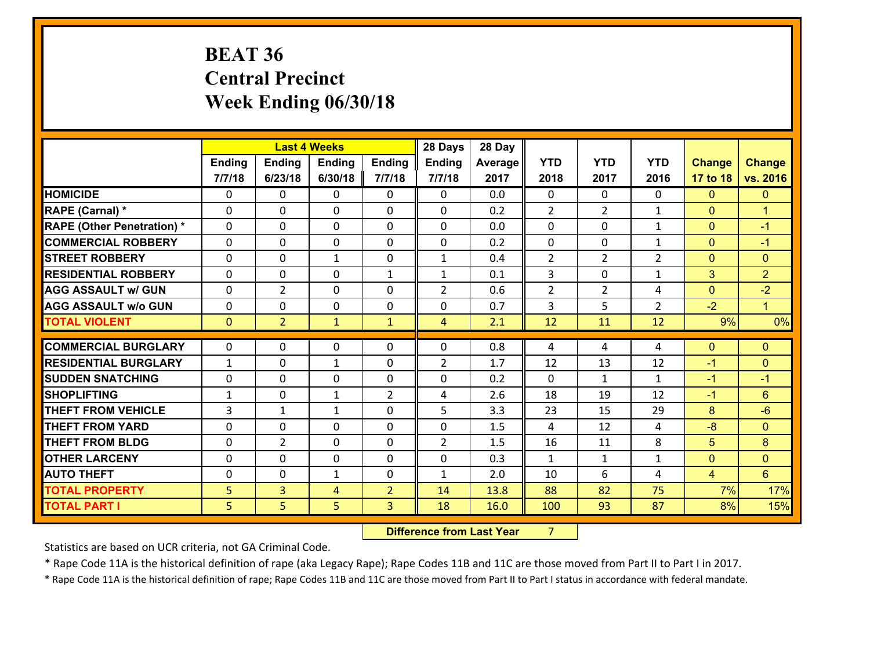## **BEAT 36 Central Precinct Week Ending 06/30/18**

|                                   |              |                | <b>Last 4 Weeks</b> |                | 28 Days        | 28 Day  |                |                |                |                |                      |
|-----------------------------------|--------------|----------------|---------------------|----------------|----------------|---------|----------------|----------------|----------------|----------------|----------------------|
|                                   | Ending       | <b>Ending</b>  | <b>Ending</b>       | <b>Ending</b>  | Ending         | Average | <b>YTD</b>     | <b>YTD</b>     | <b>YTD</b>     | <b>Change</b>  | <b>Change</b>        |
|                                   | 7/7/18       | 6/23/18        | 6/30/18             | 7/7/18         | 7/7/18         | 2017    | 2018           | 2017           | 2016           | 17 to 18       | vs. 2016             |
| <b>HOMICIDE</b>                   | $\Omega$     | 0              | 0                   | $\Omega$       | 0              | 0.0     | 0              | $\Omega$       | 0              | $\mathbf{0}$   | $\mathbf{0}$         |
| RAPE (Carnal) *                   | $\mathbf{0}$ | 0              | $\mathbf 0$         | 0              | 0              | 0.2     | $\overline{2}$ | $\overline{2}$ | $\mathbf{1}$   | $\mathbf{0}$   | $\mathbf{1}$         |
| <b>RAPE (Other Penetration) *</b> | $\mathbf{0}$ | 0              | $\mathbf{0}$        | 0              | $\Omega$       | 0.0     | $\mathbf{0}$   | 0              | $\mathbf{1}$   | $\mathbf{0}$   | $-1$                 |
| <b>COMMERCIAL ROBBERY</b>         | $\Omega$     | 0              | $\mathbf 0$         | $\Omega$       | $\Omega$       | 0.2     | $\Omega$       | $\Omega$       | $\mathbf{1}$   | $\mathbf{0}$   | $-1$                 |
| <b>STREET ROBBERY</b>             | $\Omega$     | 0              | $\mathbf{1}$        | $\Omega$       | $\mathbf{1}$   | 0.4     | 2              | $\overline{2}$ | $\overline{2}$ | $\mathbf{0}$   | $\mathbf{0}$         |
| <b>RESIDENTIAL ROBBERY</b>        | $\Omega$     | 0              | $\mathbf{0}$        | $\mathbf{1}$   | $\mathbf{1}$   | 0.1     | 3              | $\Omega$       | $\mathbf{1}$   | 3              | 2 <sup>1</sup>       |
| <b>AGG ASSAULT w/ GUN</b>         | 0            | $\overline{2}$ | $\mathbf 0$         | 0              | $\overline{2}$ | 0.6     | $\overline{2}$ | $\overline{2}$ | 4              | $\overline{0}$ | $-2$                 |
| <b>AGG ASSAULT W/o GUN</b>        | $\mathbf{0}$ | 0              | 0                   | 0              | 0              | 0.7     | 3              | 5              | $\overline{2}$ | $-2$           | $\blacktriangleleft$ |
| <b>TOTAL VIOLENT</b>              | $\mathbf{0}$ | $\overline{2}$ | $\mathbf{1}$        | $\mathbf{1}$   | $\overline{4}$ | 2.1     | 12             | 11             | 12             | 9%             | 0%                   |
| <b>COMMERCIAL BURGLARY</b>        |              |                |                     |                |                |         |                |                |                |                |                      |
|                                   |              |                |                     |                |                |         |                |                |                |                |                      |
|                                   | $\mathbf{0}$ | 0              | 0                   | 0              | 0              | 0.8     | 4              | 4              | 4              | $\mathbf{0}$   | $\mathbf{0}$         |
| <b>RESIDENTIAL BURGLARY</b>       | $\mathbf{1}$ | 0              | $\mathbf{1}$        | $\Omega$       | $\overline{2}$ | 1.7     | 12             | 13             | 12             | $-1$           | $\overline{0}$       |
| <b>ISUDDEN SNATCHING</b>          | $\mathbf{0}$ | 0              | 0                   | 0              | 0              | 0.2     | $\mathbf{0}$   | $\mathbf{1}$   | $\mathbf{1}$   | $-1$           | $-1$                 |
| <b>SHOPLIFTING</b>                | 1            | 0              | $\mathbf{1}$        | $\overline{2}$ | 4              | 2.6     | 18             | 19             | 12             | $-1$           | 6                    |
| <b>THEFT FROM VEHICLE</b>         | 3            | $\mathbf{1}$   | $\mathbf{1}$        | 0              | 5              | 3.3     | 23             | 15             | 29             | 8              | $-6$                 |
| <b>THEFT FROM YARD</b>            | $\mathbf{0}$ | 0              | $\mathbf{0}$        | 0              | $\Omega$       | 1.5     | 4              | 12             | 4              | $-8$           | $\mathbf{0}$         |
| <b>THEFT FROM BLDG</b>            | $\Omega$     | $\overline{2}$ | $\mathbf 0$         | $\Omega$       | $\overline{2}$ | 1.5     | 16             | 11             | 8              | 5              | 8                    |
| <b>OTHER LARCENY</b>              | $\mathbf{0}$ | 0              | $\mathbf{0}$        | $\Omega$       | $\Omega$       | 0.3     | $\mathbf{1}$   | $\mathbf{1}$   | $\mathbf{1}$   | $\mathbf{0}$   | $\mathbf{0}$         |
| <b>AUTO THEFT</b>                 | 0            | 0              | 1                   | 0              | $\mathbf{1}$   | 2.0     | 10             | 6              | 4              | 4              | 6                    |
| <b>TOTAL PROPERTY</b>             | 5            | $\overline{3}$ | 4                   | $\overline{2}$ | 14             | 13.8    | 88             | 82             | 75             | 7%             | 17%                  |
| <b>TOTAL PART I</b>               | 5            | 5              | 5                   | 3              | 18             | 16.0    | 100            | 93             | 87             | 8%             | 15%                  |

**12. Difference from Last Year 7**  $7 \quad \blacksquare$ 

Statistics are based on UCR criteria, not GA Criminal Code.

\* Rape Code 11A is the historical definition of rape (aka Legacy Rape); Rape Codes 11B and 11C are those moved from Part II to Part I in 2017.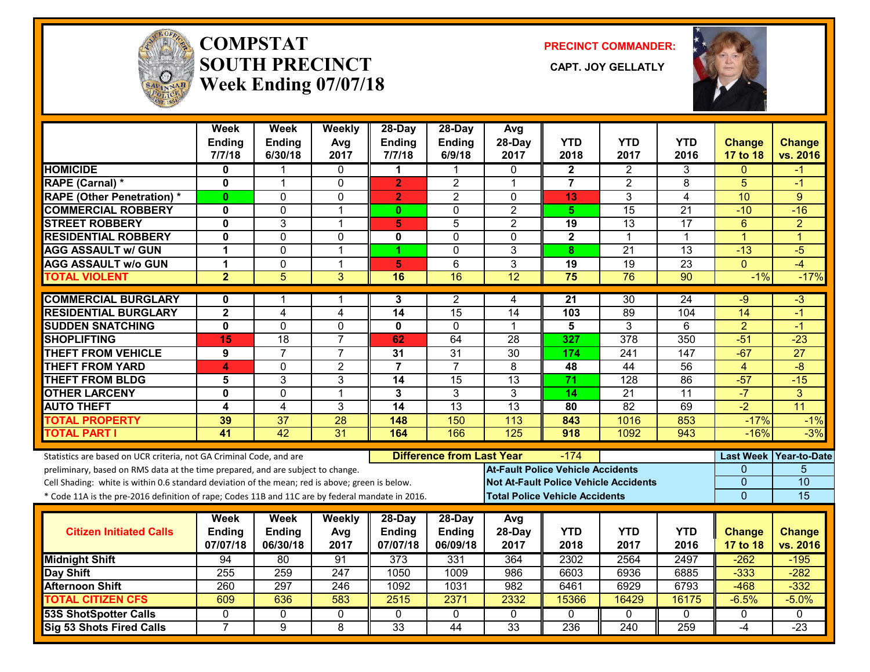

#### **COMPSTATSOUTH PRECINCT CAPT. JOY GELLATLYWeek Ending 07/07/18**

**PRECINCT COMMANDER:**



|                                                                                                  | Week<br>Ending<br>7/7/18 | Week<br><b>Ending</b><br>6/30/18 | Weekly<br>Avg<br>2017   | 28-Day<br><b>Ending</b><br>7/7/18 | $28-Dav$<br><b>Ending</b><br>6/9/18 | Avg<br>28-Day<br>2017                    | <b>YTD</b><br>2018                    | <b>YTD</b><br>2017                           | <b>YTD</b><br>2016 | <b>Change</b><br>17 to 18 | <b>Change</b><br>vs. 2016 |
|--------------------------------------------------------------------------------------------------|--------------------------|----------------------------------|-------------------------|-----------------------------------|-------------------------------------|------------------------------------------|---------------------------------------|----------------------------------------------|--------------------|---------------------------|---------------------------|
| <b>HOMICIDE</b>                                                                                  | 0                        |                                  | 0                       | 1                                 | 1                                   | 0                                        | 2                                     | 2                                            | 3                  | $\Omega$                  | -1                        |
| RAPE (Carnal) *                                                                                  | $\mathbf{0}$             | $\mathbf{1}$                     | $\mathbf 0$             | $\overline{2}$                    | $\overline{2}$                      | $\mathbf{1}$                             | $\overline{7}$                        | $\overline{2}$                               | 8                  | 5                         | $-1$                      |
| <b>RAPE (Other Penetration) *</b>                                                                | $\mathbf{0}$             | $\Omega$                         | 0                       | $\overline{2}$                    | $\overline{2}$                      | $\Omega$                                 | 13                                    | 3                                            | 4                  | 10                        | 9                         |
| <b>COMMERCIAL ROBBERY</b>                                                                        | 0                        | 0                                | $\mathbf 1$             | $\mathbf{0}$                      | 0                                   | $\overline{2}$                           | 5                                     | 15                                           | $\overline{21}$    | $-10$                     | $-16$                     |
| <b>STREET ROBBERY</b>                                                                            | $\mathbf 0$              | 3                                | $\mathbf 1$             | 5                                 | 5                                   | $\overline{2}$                           | 19                                    | 13                                           | 17                 | 6                         | $\overline{2}$            |
| <b>RESIDENTIAL ROBBERY</b>                                                                       | $\mathbf 0$              | 0                                | $\mathbf 0$             | 0                                 | $\Omega$                            | $\Omega$                                 | $\overline{2}$                        | $\mathbf 1$                                  | $\mathbf 1$        | $\overline{1}$            | $\overline{1}$            |
| <b>AGG ASSAULT w/ GUN</b>                                                                        | $\mathbf 1$              | $\mathbf 0$                      | $\overline{1}$          | 4                                 | $\mathbf 0$                         | 3                                        | 8                                     | $\overline{21}$                              | 13                 | $-13$                     | $-5$                      |
| <b>AGG ASSAULT w/o GUN</b>                                                                       | $\mathbf 1$              | 0                                | $\mathbf 1$             | 5                                 | 6                                   | 3                                        | 19                                    | 19                                           | 23                 | $\mathbf{0}$              | $-4$                      |
| <b>TOTAL VIOLENT</b>                                                                             | $\overline{2}$           | $\overline{5}$                   | $\overline{3}$          | 16                                | 16                                  | 12                                       | 75                                    | 76                                           | 90                 | $-1%$                     | $-17%$                    |
| <b>COMMERCIAL BURGLARY</b>                                                                       | 0                        | 1                                |                         | 3                                 | 2                                   | 4                                        | 21                                    | $\overline{30}$                              | 24                 | -9                        | $-3$                      |
| <b>RESIDENTIAL BURGLARY</b>                                                                      | $\mathbf{2}$             | 4                                | $\overline{\mathbf{4}}$ | 14                                | 15                                  | 14                                       | 103                                   | 89                                           | 104                | 14                        | $-1$                      |
| <b>SUDDEN SNATCHING</b>                                                                          | $\overline{\mathbf{0}}$  | $\overline{0}$                   | $\overline{0}$          | 0                                 | $\mathbf{0}$                        | 1                                        | $\overline{\mathbf{5}}$               | 3                                            | 6                  | $\overline{2}$            | -1                        |
| <b>SHOPLIFTING</b>                                                                               | 15                       | 18                               | $\overline{7}$          | 62                                | 64                                  | 28                                       | 327                                   | $\overline{378}$                             | 350                | $-51$                     | $-23$                     |
| <b>THEFT FROM VEHICLE</b>                                                                        | 9                        | $\overline{7}$                   | $\overline{7}$          | 31                                | 31                                  | 30                                       | 174                                   | 241                                          | 147                | $-67$                     | 27                        |
| <b>THEFT FROM YARD</b>                                                                           | 4                        | 0                                | $\overline{2}$          | $\overline{\mathbf{7}}$           | $\overline{7}$                      | 8                                        | 48                                    | 44                                           | $\overline{56}$    | 4                         | $-\frac{1}{\sqrt{2}}$     |
| <b>THEFT FROM BLDG</b>                                                                           | 5                        | 3                                | 3                       | 14                                | 15                                  | $\overline{13}$                          | $\overline{71}$                       | 128                                          | 86                 | $-57$                     | $-15$                     |
| <b>OTHER LARCENY</b>                                                                             | $\mathbf{0}$             | 0                                | $\mathbf{1}$            | 3                                 | 3                                   | 3                                        | 14                                    | $\overline{21}$                              | $\overline{11}$    | $-7$                      | $\overline{3}$            |
| <b>AUTO THEFT</b>                                                                                | $\overline{\mathbf{4}}$  | 4                                | 3                       | 14                                | 13                                  | $\overline{13}$                          | 80                                    | $\overline{82}$                              | 69                 | $-2$                      | $\overline{11}$           |
| <b>TOTAL PROPERTY</b>                                                                            | 39                       | $\overline{37}$                  | 28                      | 148                               | 150                                 | 113                                      | 843                                   | 1016                                         | 853                | $-17%$                    | $-1%$                     |
| <b>TOTAL PART I</b>                                                                              | 41                       | $\overline{42}$                  | $\overline{31}$         | 164                               | 166                                 | 125                                      | 918                                   | 1092                                         | 943                | $-16%$                    | $-3%$                     |
| Statistics are based on UCR criteria, not GA Criminal Code, and are                              |                          |                                  |                         |                                   | <b>Difference from Last Year</b>    |                                          | $-174$                                |                                              |                    |                           | Last Week Year-to-Date    |
| preliminary, based on RMS data at the time prepared, and are subject to change.                  |                          |                                  |                         |                                   |                                     | <b>At-Fault Police Vehicle Accidents</b> |                                       |                                              |                    | 0                         | 5                         |
| Cell Shading: white is within 0.6 standard deviation of the mean; red is above; green is below.  |                          |                                  |                         |                                   |                                     |                                          |                                       | <b>Not At-Fault Police Vehicle Accidents</b> |                    | 0                         | 10                        |
| * Code 11A is the pre-2016 definition of rape; Codes 11B and 11C are by federal mandate in 2016. |                          |                                  |                         |                                   |                                     |                                          | <b>Total Police Vehicle Accidents</b> |                                              |                    | $\Omega$                  | 15                        |
|                                                                                                  | Week                     | Week                             | Weekly                  | $28$ -Day                         | 28-Day                              | Avg                                      |                                       |                                              |                    |                           |                           |
| <b>Citizen Initiated Calls</b>                                                                   | Ending                   | Ending                           | Avg                     | <b>Ending</b>                     | <b>Ending</b>                       | 28-Day                                   | <b>YTD</b>                            | <b>YTD</b>                                   | <b>YTD</b>         | <b>Change</b>             | <b>Change</b>             |
|                                                                                                  | 07/07/18                 | 06/30/18                         | 2017                    | 07/07/18                          | 06/09/18                            | 2017                                     | 2018                                  | 2017                                         | 2016               | 17 to 18                  | vs. 2016                  |
| <b>Midnight Shift</b>                                                                            | 94                       | 80                               | 91                      | $\overline{373}$                  | 331                                 | 364                                      | 2302                                  | 2564                                         | 2497               | $-262$                    | $-195$                    |
| Day Shift                                                                                        | 255                      | 259                              | 247                     | 1050                              | 1009                                | 986                                      | 6603                                  | 6936                                         | 6885               | $-333$                    | $-282$                    |
| <b>Afternoon Shift</b>                                                                           | 260                      | 297                              | 246                     | 1092                              | 1031                                | 982                                      | 6461                                  | 6929                                         | 6793               | $-468$                    | $-332$                    |
| <b>TOTAL CITIZEN CFS</b>                                                                         | 609                      | 636                              | 583                     | 2515                              | 2371                                | 2332                                     | 15366                                 | 16429                                        | 16175              | $-6.5%$                   | $-5.0%$                   |
| <b>53S ShotSpotter Calls</b>                                                                     | $\mathbf{0}$             | 0                                | 0                       | $\mathbf{0}$                      | $\mathbf{0}$                        | $\mathbf{0}$                             | $\mathbf{0}$                          | $\mathbf{0}$                                 | $\Omega$           | $\mathbf{0}$              | 0                         |
| <b>Sig 53 Shots Fired Calls</b>                                                                  | $\overline{7}$           | 9                                | 8                       | 33                                | $\overline{44}$                     | $\overline{33}$                          | 236                                   | 240                                          | 259                | $-4$                      | $-23$                     |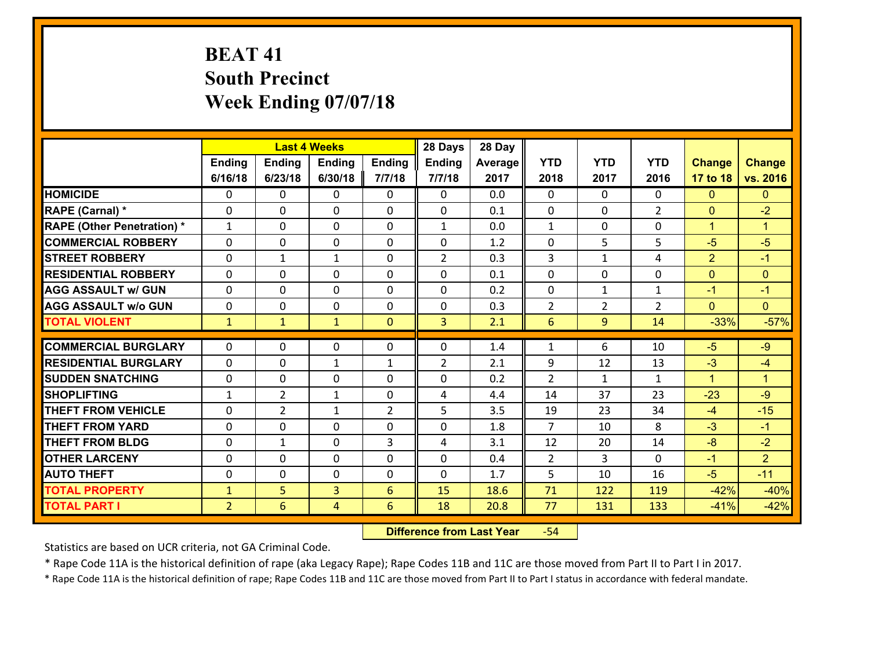# **BEAT 41 South Precinct Week Ending 07/07/18**

|                                   |                |                 | <b>Last 4 Weeks</b> |                | 28 Days        | 28 Day  |                |                |                |                |                      |
|-----------------------------------|----------------|-----------------|---------------------|----------------|----------------|---------|----------------|----------------|----------------|----------------|----------------------|
|                                   | <b>Ending</b>  | Ending          | <b>Ending</b>       | Ending         | <b>Ending</b>  | Average | <b>YTD</b>     | <b>YTD</b>     | <b>YTD</b>     | <b>Change</b>  | <b>Change</b>        |
|                                   | 6/16/18        | 6/23/18         | 6/30/18             | 7/7/18         | 7/7/18         | 2017    | 2018           | 2017           | 2016           | 17 to 18       | vs. 2016             |
| <b>HOMICIDE</b>                   | 0              | $\Omega$        | 0                   | 0              | $\Omega$       | 0.0     | $\Omega$       | $\Omega$       | 0              | $\mathbf{0}$   | $\mathbf{0}$         |
| RAPE (Carnal) *                   | $\Omega$       | 0               | $\mathbf{0}$        | $\Omega$       | 0              | 0.1     | $\mathbf{0}$   | 0              | $\overline{2}$ | $\mathbf{0}$   | $-2$                 |
| <b>RAPE (Other Penetration) *</b> | $\mathbf{1}$   | 0               | $\mathbf{0}$        | $\Omega$       | $\mathbf{1}$   | 0.0     | $\mathbf{1}$   | $\Omega$       | $\Omega$       | $\mathbf{1}$   | $\blacktriangleleft$ |
| <b>COMMERCIAL ROBBERY</b>         | $\Omega$       | 0               | $\mathbf{0}$        | $\Omega$       | $\mathbf{0}$   | 1.2     | $\mathbf{0}$   | 5              | 5              | $-5$           | $-5$                 |
| <b>STREET ROBBERY</b>             | $\Omega$       | $\mathbf{1}$    | $\mathbf{1}$        | 0              | $\overline{2}$ | 0.3     | 3              | $\mathbf{1}$   | 4              | $\overline{2}$ | $-1$                 |
| <b>RESIDENTIAL ROBBERY</b>        | $\Omega$       | $\Omega$        | $\mathbf 0$         | $\Omega$       | 0              | 0.1     | $\Omega$       | $\Omega$       | 0              | $\mathbf{0}$   | $\mathbf{0}$         |
| <b>AGG ASSAULT w/ GUN</b>         | 0              | $\mathbf 0$     | $\mathbf 0$         | 0              | 0              | 0.2     | $\mathbf 0$    | $\mathbf{1}$   | $\mathbf{1}$   | $-1$           | $-1$                 |
| <b>AGG ASSAULT w/o GUN</b>        | 0              | 0               | $\mathbf 0$         | $\Omega$       | 0              | 0.3     | $\overline{2}$ | $\overline{2}$ | $\overline{2}$ | $\mathbf{0}$   | $\overline{0}$       |
| <b>TOTAL VIOLENT</b>              | $\mathbf{1}$   | $\mathbf{1}$    | $\mathbf{1}$        | $\overline{0}$ | 3              | 2.1     | 6              | 9              | 14             | $-33%$         | $-57%$               |
| <b>COMMERCIAL BURGLARY</b>        | $\Omega$       | 0               | $\mathbf{0}$        | 0              | 0              | 1.4     | 1              | 6              | 10             | $-5$           | $-9$                 |
| <b>RESIDENTIAL BURGLARY</b>       | $\Omega$       | 0               | $\mathbf{1}$        | $\mathbf{1}$   | $\overline{2}$ | 2.1     | 9              | 12             | 13             | $-3$           | $-4$                 |
| <b>SUDDEN SNATCHING</b>           | 0              | 0               | $\mathbf{0}$        | 0              | 0              | 0.2     | $\overline{2}$ | $\mathbf{1}$   | $\mathbf{1}$   | $\mathbf{1}$   | $\blacktriangleleft$ |
| <b>SHOPLIFTING</b>                | $\mathbf{1}$   | $\overline{2}$  | $\mathbf{1}$        | $\Omega$       | 4              | 4.4     | 14             | 37             | 23             | $-23$          | $-9$                 |
| <b>THEFT FROM VEHICLE</b>         | $\Omega$       | $\overline{2}$  | $\mathbf{1}$        | $\overline{2}$ | 5              | 3.5     | 19             | 23             | 34             | $-4$           | $-15$                |
| <b>THEFT FROM YARD</b>            | 0              | $\Omega$        | $\mathbf 0$         | $\Omega$       | 0              | 1.8     | $\overline{7}$ | 10             | 8              | $-3$           | $-1$                 |
| <b>THEFT FROM BLDG</b>            | 0              | $\mathbf{1}$    | 0                   | 3              | 4              | 3.1     | 12             | 20             | 14             | $-8$           | $-2$                 |
| <b>OTHER LARCENY</b>              | 0              | 0               | $\mathbf 0$         | $\Omega$       | 0              | 0.4     | $\overline{2}$ | $\overline{3}$ | $\Omega$       | $-1$           | $\overline{2}$       |
| <b>AUTO THEFT</b>                 | 0              | 0               | 0                   | 0              | 0              | 1.7     | 5              | 10             | 16             | $-5$           | $-11$                |
| <b>TOTAL PROPERTY</b>             | $\mathbf{1}$   | 5               | 3                   | 6              | 15             | 18.6    | 71             | 122            | 119            | $-42%$         | $-40%$               |
| <b>TOTAL PART I</b>               | $\overline{2}$ | $6\overline{6}$ | $\overline{4}$      | $6\phantom{1}$ | 18             | 20.8    | 77             | 131            | 133            | $-41%$         | $-42%$               |

 **Difference from Last Year**r -54

Statistics are based on UCR criteria, not GA Criminal Code.

\* Rape Code 11A is the historical definition of rape (aka Legacy Rape); Rape Codes 11B and 11C are those moved from Part II to Part I in 2017.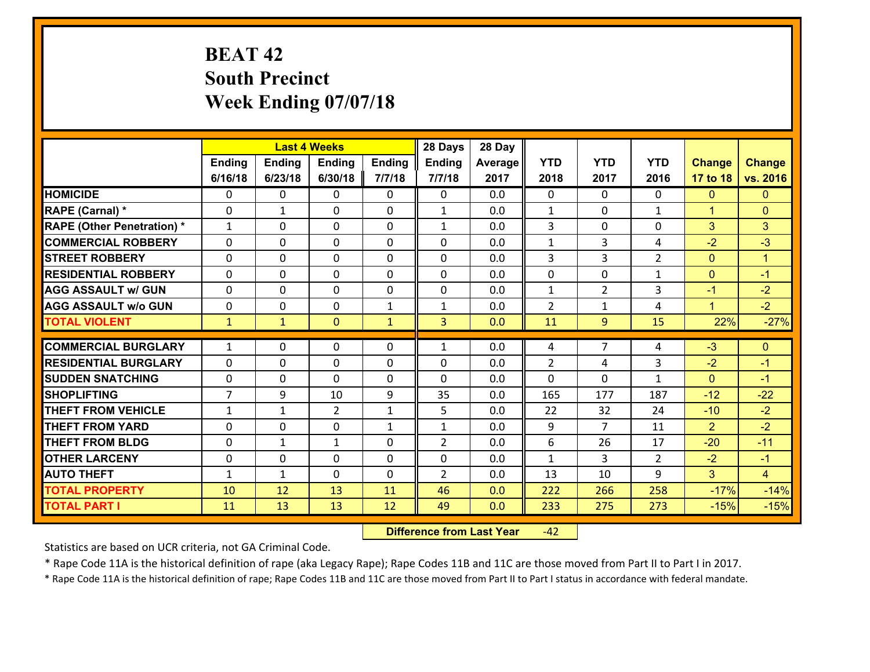# **BEAT 42 South Precinct Week Ending 07/07/18**

|                                              |                |               | <b>Last 4 Weeks</b> |               | 28 Days        | 28 Day     |                |                |                |                  |                      |
|----------------------------------------------|----------------|---------------|---------------------|---------------|----------------|------------|----------------|----------------|----------------|------------------|----------------------|
|                                              | Ending         | <b>Ending</b> | <b>Ending</b>       | <b>Ending</b> | <b>Ending</b>  | Average    | <b>YTD</b>     | <b>YTD</b>     | <b>YTD</b>     | <b>Change</b>    | <b>Change</b>        |
|                                              | 6/16/18        | 6/23/18       | 6/30/18             | 7/7/18        | 7/7/18         | 2017       | 2018           | 2017           | 2016           | 17 to 18         | vs. 2016             |
| <b>HOMICIDE</b>                              | $\Omega$       | 0             | 0                   | 0             | 0              | 0.0        | $\Omega$       | $\Omega$       | 0              | $\mathbf{0}$     | $\mathbf{0}$         |
| RAPE (Carnal) *                              | 0              | 1             | $\mathbf{0}$        | 0             | $\mathbf{1}$   | 0.0        | 1              | $\mathbf{0}$   | $\mathbf{1}$   | $\mathbf{1}$     | $\mathbf{0}$         |
| <b>RAPE (Other Penetration) *</b>            | $\mathbf{1}$   | 0             | $\mathbf{0}$        | $\Omega$      | $\mathbf{1}$   | 0.0        | 3              | 0              | $\Omega$       | 3                | 3                    |
| <b>COMMERCIAL ROBBERY</b>                    | $\Omega$       | 0             | $\mathbf{0}$        | 0             | $\Omega$       | 0.0        | $\mathbf{1}$   | 3              | 4              | $-2$             | $-3$                 |
| <b>STREET ROBBERY</b>                        | 0              | 0             | $\mathbf 0$         | 0             | 0              | 0.0        | 3              | 3              | $\overline{2}$ | $\mathbf{0}$     | $\blacktriangleleft$ |
| <b>RESIDENTIAL ROBBERY</b>                   | $\Omega$       | 0             | $\mathbf{0}$        | $\Omega$      | 0              | 0.0        | 0              | 0              | $\mathbf{1}$   | $\mathbf{0}$     | $-1$                 |
| <b>AGG ASSAULT w/ GUN</b>                    | $\Omega$       | 0             | $\mathbf 0$         | $\Omega$      | 0              | 0.0        | 1              | $\overline{2}$ | 3              | $-1$             | $-2$                 |
| <b>AGG ASSAULT w/o GUN</b>                   | 0              | 0             | $\mathbf 0$         | $\mathbf{1}$  | $\mathbf{1}$   | 0.0        | $\overline{2}$ | $\mathbf{1}$   | 4              | $\mathbf{1}$     | $-2$                 |
| <b>TOTAL VIOLENT</b>                         | $\mathbf{1}$   | $\mathbf{1}$  | $\mathbf{0}$        | $\mathbf{1}$  | 3 <sup>1</sup> | 0.0        | 11             | 9              | 15             | 22%              | $-27%$               |
| <b>COMMERCIAL BURGLARY</b>                   | $\mathbf{1}$   | 0             | $\mathbf{0}$        | 0             | $\mathbf{1}$   | 0.0        | 4              | $\overline{7}$ | 4              | $-3$             | $\mathbf{0}$         |
|                                              |                |               | $\mathbf{0}$        | 0             |                |            |                |                |                |                  | $-1$                 |
|                                              |                |               |                     |               |                |            |                |                |                |                  |                      |
| <b>RESIDENTIAL BURGLARY</b>                  | $\Omega$       | 0             |                     |               | 0              | 0.0        | 2              | 4              | 3              | $-2$             |                      |
| <b>SUDDEN SNATCHING</b>                      | 0              | 0             | $\mathbf{0}$        | 0             | 0              | 0.0        | $\Omega$       | $\Omega$       | $\mathbf{1}$   | $\mathbf{0}$     | $-1$                 |
| <b>SHOPLIFTING</b>                           | $\overline{7}$ | 9             | 10                  | 9             | 35             | 0.0        | 165            | 177            | 187            | $-12$            | $-22$                |
| <b>THEFT FROM VEHICLE</b>                    | $\mathbf{1}$   | $\mathbf{1}$  | $\overline{2}$      | $\mathbf{1}$  | 5              | 0.0        | 22             | 32             | 24             | $-10$            | $-2$                 |
| <b>THEFT FROM YARD</b>                       | $\Omega$       | 0             | $\mathbf{0}$        | $\mathbf{1}$  | $\mathbf{1}$   | 0.0        | 9              | 7              | 11             | $\overline{2}$   | $-2$                 |
| <b>THEFT FROM BLDG</b>                       | 0              | 1             | $\mathbf{1}$        | 0             | $\overline{2}$ | 0.0        | 6              | 26             | 17             | $-20$            | $-11$                |
| <b>OTHER LARCENY</b>                         | 0              | 0             | $\mathbf{0}$        | $\Omega$      | $\Omega$       | 0.0        | $\mathbf{1}$   | 3              | $\overline{2}$ | $-2$             | $-1$                 |
| <b>AUTO THEFT</b>                            | $\mathbf{1}$   | 1             | $\mathbf{0}$        | $\Omega$      | $\overline{2}$ | 0.0        | 13             | 10             | 9              | 3                | $\overline{4}$       |
| <b>TOTAL PROPERTY</b><br><b>TOTAL PART I</b> | 10<br>11       | 12<br>13      | 13<br>13            | 11<br>12      | 46<br>49       | 0.0<br>0.0 | 222<br>233     | 266<br>275     | 258<br>273     | $-17%$<br>$-15%$ | $-14%$<br>$-15%$     |

 **Difference from Last Year**r -42

Statistics are based on UCR criteria, not GA Criminal Code.

\* Rape Code 11A is the historical definition of rape (aka Legacy Rape); Rape Codes 11B and 11C are those moved from Part II to Part I in 2017.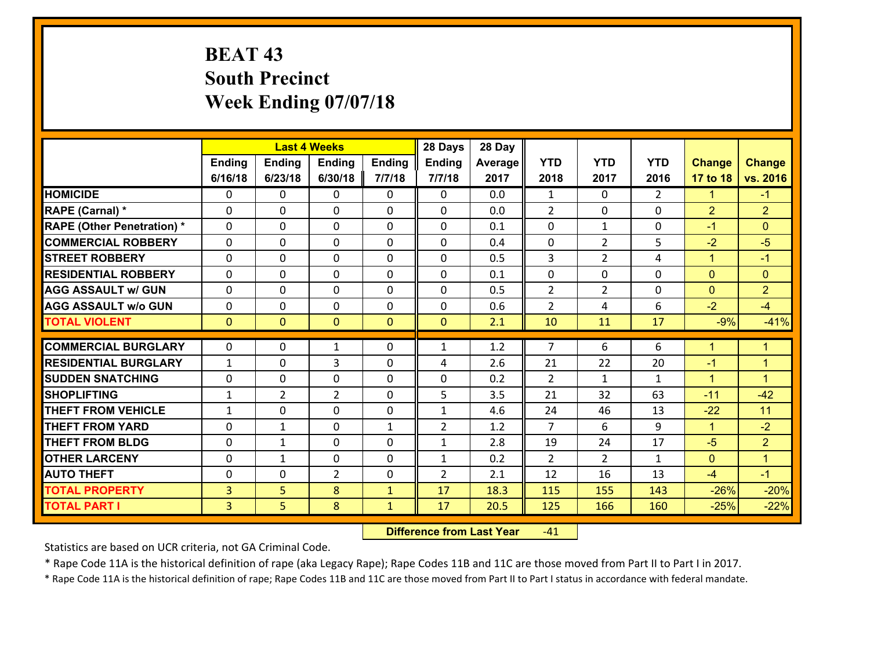# **BEAT 43 South Precinct Week Ending 07/07/18**

|                                              |                                  |                | <b>Last 4 Weeks</b> |                              | 28 Days        | 28 Day       |                |                |                |                  |                      |
|----------------------------------------------|----------------------------------|----------------|---------------------|------------------------------|----------------|--------------|----------------|----------------|----------------|------------------|----------------------|
|                                              | Ending                           | <b>Ending</b>  | <b>Ending</b>       | <b>Ending</b>                | <b>Ending</b>  | Average      | <b>YTD</b>     | <b>YTD</b>     | <b>YTD</b>     | <b>Change</b>    | <b>Change</b>        |
|                                              | 6/16/18                          | 6/23/18        | 6/30/18             | 7/7/18                       | 7/7/18         | 2017         | 2018           | 2017           | 2016           | 17 to 18         | vs. 2016             |
| <b>HOMICIDE</b>                              | $\mathbf{0}$                     | 0              | $\mathbf{0}$        | 0                            | 0              | 0.0          | 1              | $\Omega$       | $\overline{2}$ | $\mathbf{1}$     | $-1$                 |
| RAPE (Carnal) *                              | $\Omega$                         | 0              | $\mathbf{0}$        | 0                            | $\Omega$       | 0.0          | 2              | $\Omega$       | $\Omega$       | $\overline{2}$   | $\overline{2}$       |
| <b>RAPE (Other Penetration) *</b>            | $\Omega$                         | $\Omega$       | $\Omega$            | $\Omega$                     | $\Omega$       | 0.1          | $\Omega$       | $\mathbf{1}$   | $\Omega$       | $-1$             | $\Omega$             |
| <b>COMMERCIAL ROBBERY</b>                    | 0                                | 0              | $\mathbf 0$         | 0                            | 0              | 0.4          | 0              | $\overline{2}$ | 5              | $-2$             | $-5$                 |
| <b>STREET ROBBERY</b>                        | $\Omega$                         | 0              | $\mathbf 0$         | $\Omega$                     | 0              | 0.5          | 3              | $\overline{2}$ | 4              | $\mathbf{1}$     | $-1$                 |
| <b>RESIDENTIAL ROBBERY</b>                   | $\Omega$                         | $\Omega$       | $\mathbf 0$         | $\Omega$                     | 0              | 0.1          | 0              | $\Omega$       | $\Omega$       | $\Omega$         | $\mathbf{0}$         |
| <b>AGG ASSAULT w/ GUN</b>                    | $\Omega$                         | 0              | $\mathbf 0$         | $\Omega$                     | $\Omega$       | 0.5          | $\overline{2}$ | $\overline{2}$ | $\Omega$       | $\mathbf{0}$     | $\overline{2}$       |
| <b>AGG ASSAULT w/o GUN</b>                   | 0                                | 0              | $\mathbf 0$         | 0                            | 0              | 0.6          | $\overline{2}$ | 4              | 6              | $-2$             | $-4$                 |
| <b>TOTAL VIOLENT</b>                         | $\mathbf{0}$                     | $\overline{0}$ | $\mathbf{0}$        | $\overline{0}$               | $\mathbf{0}$   | 2.1          | 10             | 11             | 17             | $-9%$            | $-41%$               |
| <b>COMMERCIAL BURGLARY</b>                   | $\Omega$                         | 0              | 1                   | 0                            | $\mathbf{1}$   | 1.2          | $\overline{7}$ | 6              | 6              |                  | $\blacktriangleleft$ |
|                                              |                                  |                |                     |                              |                |              |                |                |                |                  |                      |
|                                              |                                  |                |                     |                              |                |              |                |                |                | $\mathbf{1}$     |                      |
| <b>RESIDENTIAL BURGLARY</b>                  | $\mathbf{1}$                     | 0              | 3                   | 0                            | 4              | 2.6          | 21             | 22             | 20             | $-1$             | $\mathbf{1}$         |
| <b>SUDDEN SNATCHING</b>                      | $\mathbf{0}$                     | 0              | $\mathbf{0}$        | $\Omega$                     | $\Omega$       | 0.2          | $\mathcal{L}$  | $\mathbf{1}$   | $\mathbf{1}$   | $\mathbf{1}$     | $\blacktriangleleft$ |
| <b>SHOPLIFTING</b>                           | $\mathbf{1}$                     | $\overline{2}$ | $\overline{2}$      | 0                            | 5              | 3.5          | 21             | 32             | 63             | $-11$            | $-42$                |
| <b>THEFT FROM VEHICLE</b>                    | $\mathbf{1}$                     | 0              | $\mathbf{0}$        | $\Omega$                     | $\mathbf{1}$   | 4.6          | 24             | 46             | 13             | $-22$            | 11                   |
| <b>THEFT FROM YARD</b>                       | 0                                | 1              | $\mathbf 0$         | $\mathbf{1}$                 | $\overline{2}$ | 1.2          | $\overline{7}$ | 6              | 9              | $\mathbf{1}$     | $-2$                 |
| <b>THEFT FROM BLDG</b>                       | 0                                | 1              | $\mathbf 0$         | 0                            | $\mathbf{1}$   | 2.8          | 19             | 24             | 17             | $-5$             | $\overline{2}$       |
| <b>OTHER LARCENY</b>                         | 0                                | 1              | $\mathbf 0$         | 0                            | $\mathbf{1}$   | 0.2          | 2              | $\overline{2}$ | $\mathbf{1}$   | $\mathbf{0}$     | $\blacktriangleleft$ |
| <b>AUTO THEFT</b>                            | 0                                | 0              | $\overline{2}$      | 0                            | $\overline{2}$ | 2.1          | 12             | 16             | 13             | $-4$             | $-1$                 |
| <b>TOTAL PROPERTY</b><br><b>TOTAL PART I</b> | $\overline{3}$<br>3 <sup>1</sup> | 5<br>5         | 8<br>8              | $\mathbf{1}$<br>$\mathbf{1}$ | 17<br>17       | 18.3<br>20.5 | 115<br>125     | 155<br>166     | 143<br>160     | $-26%$<br>$-25%$ | $-20%$<br>$-22%$     |

 **Difference from Last Year**r -41

Statistics are based on UCR criteria, not GA Criminal Code.

\* Rape Code 11A is the historical definition of rape (aka Legacy Rape); Rape Codes 11B and 11C are those moved from Part II to Part I in 2017.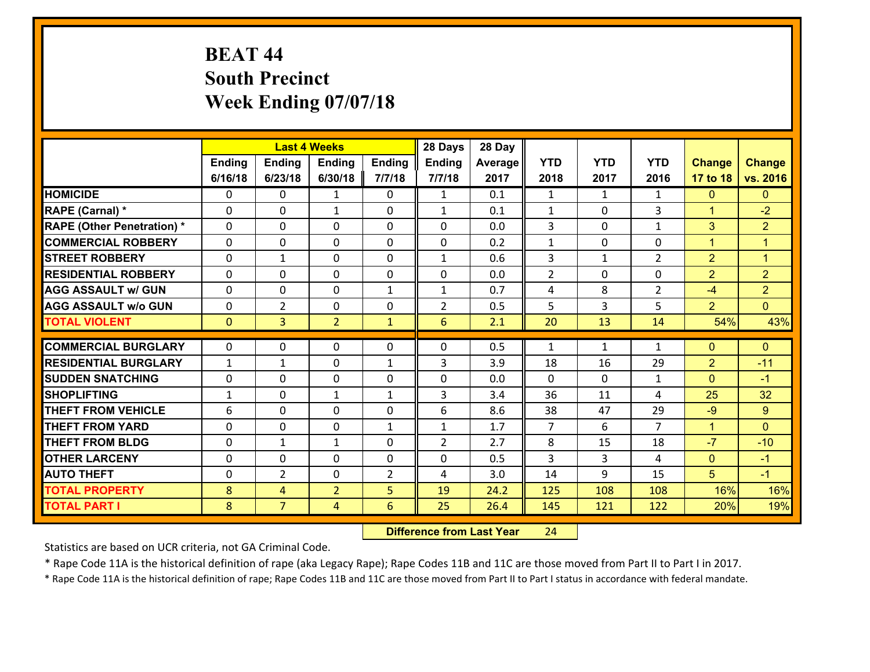# **BEAT 44 South Precinct Week Ending 07/07/18**

|                                   |              |                | <b>Last 4 Weeks</b> |                | 28 Days        | 28 Day  |                |                |                |                |                |
|-----------------------------------|--------------|----------------|---------------------|----------------|----------------|---------|----------------|----------------|----------------|----------------|----------------|
|                                   | Ending       | <b>Ending</b>  | <b>Ending</b>       | Ending         | <b>Ending</b>  | Average | <b>YTD</b>     | <b>YTD</b>     | <b>YTD</b>     | <b>Change</b>  | <b>Change</b>  |
|                                   | 6/16/18      | 6/23/18        | 6/30/18             | 7/7/18         | 7/7/18         | 2017    | 2018           | 2017           | 2016           | 17 to 18       | vs. 2016       |
| <b>HOMICIDE</b>                   | 0            | 0              | $\mathbf{1}$        | 0              | $\mathbf{1}$   | 0.1     | 1              | $\mathbf{1}$   | $\mathbf{1}$   | $\mathbf{0}$   | $\mathbf{0}$   |
| RAPE (Carnal) *                   | 0            | 0              | 1                   | 0              | $\mathbf{1}$   | 0.1     | 1              | 0              | 3              | $\mathbf{1}$   | $-2$           |
| <b>RAPE (Other Penetration) *</b> | $\Omega$     | $\Omega$       | $\mathbf{0}$        | $\Omega$       | $\Omega$       | 0.0     | 3              | $\Omega$       | $\mathbf{1}$   | 3              | $\overline{2}$ |
| <b>COMMERCIAL ROBBERY</b>         | $\Omega$     | $\Omega$       | $\mathbf 0$         | $\Omega$       | 0              | 0.2     | $\mathbf{1}$   | $\Omega$       | $\Omega$       | $\mathbf{1}$   | $\mathbf{1}$   |
| <b>STREET ROBBERY</b>             | 0            | $\mathbf{1}$   | $\mathbf 0$         | 0              | $\mathbf{1}$   | 0.6     | 3              | $\mathbf{1}$   | $\overline{2}$ | $\overline{2}$ | $\mathbf{1}$   |
| <b>RESIDENTIAL ROBBERY</b>        | $\Omega$     | 0              | $\mathbf 0$         | 0              | 0              | 0.0     | $\overline{2}$ | 0              | 0              | $\overline{2}$ | $\overline{2}$ |
| <b>AGG ASSAULT w/ GUN</b>         | 0            | 0              | $\mathbf 0$         | $\mathbf{1}$   | $\mathbf{1}$   | 0.7     | 4              | 8              | $\overline{2}$ | $-4$           | $\overline{2}$ |
| <b>AGG ASSAULT w/o GUN</b>        | 0            | $\overline{2}$ | $\mathbf 0$         | 0              | $\overline{2}$ | 0.5     | 5              | $\overline{3}$ | 5              | $\overline{2}$ | $\overline{0}$ |
| <b>TOTAL VIOLENT</b>              | $\mathbf{0}$ | $\overline{3}$ | $\overline{2}$      | $\mathbf{1}$   | 6              | 2.1     | 20             | 13             | 14             | 54%            | 43%            |
|                                   |              |                |                     |                |                |         |                |                |                |                |                |
| <b>COMMERCIAL BURGLARY</b>        | $\Omega$     | 0              | $\mathbf{0}$        | 0              | $\Omega$       | 0.5     | 1              | $\mathbf{1}$   | $\mathbf{1}$   | $\mathbf{0}$   | $\mathbf{0}$   |
| <b>RESIDENTIAL BURGLARY</b>       | $\mathbf{1}$ | 1              | $\mathbf{0}$        | $\mathbf{1}$   | 3              | 3.9     | 18             | 16             | 29             | $\overline{2}$ | $-11$          |
| <b>SUDDEN SNATCHING</b>           | $\Omega$     | 0              | $\mathbf 0$         | $\Omega$       | $\Omega$       | 0.0     | $\Omega$       | $\Omega$       | $\mathbf{1}$   | $\Omega$       | $-1$           |
| <b>SHOPLIFTING</b>                | $\mathbf{1}$ | 0              | 1                   | $\mathbf{1}$   | 3              | 3.4     | 36             | 11             | 4              | 25             | 32             |
| <b>THEFT FROM VEHICLE</b>         | 6            | 0              | 0                   | 0              | 6              | 8.6     | 38             | 47             | 29             | $-9$           | 9              |
| <b>THEFT FROM YARD</b>            | 0            | 0              | $\mathbf 0$         | $\mathbf{1}$   | $\mathbf{1}$   | 1.7     | $\overline{7}$ | 6              | $\overline{7}$ | $\mathbf{1}$   | $\Omega$       |
| <b>THEFT FROM BLDG</b>            | 0            | $\mathbf{1}$   | $\mathbf{1}$        | 0              | $\overline{2}$ | 2.7     | 8              | 15             | 18             | $-7$           | $-10$          |
| <b>OTHER LARCENY</b>              | 0            | 0              | $\mathbf 0$         | 0              | 0              | 0.5     | 3              | 3              | 4              | $\mathbf{0}$   | $-1$           |
| <b>AUTO THEFT</b>                 | 0            | $\overline{2}$ | 0                   | $\overline{2}$ | 4              | 3.0     | 14             | 9              | 15             | 5              | $-1$           |
| <b>TOTAL PROPERTY</b>             | 8            | 4              | $\overline{2}$      | 5              | 19             | 24.2    | 125            | 108            | 108            | 16%            | 16%            |
| <b>TOTAL PART I</b>               | 8            | $\overline{7}$ | 4                   | $6\phantom{1}$ | 25             | 26.4    | 145            | 121            | 122            | 20%            | 19%            |

 **Difference from Last Year**r 24

Statistics are based on UCR criteria, not GA Criminal Code.

\* Rape Code 11A is the historical definition of rape (aka Legacy Rape); Rape Codes 11B and 11C are those moved from Part II to Part I in 2017.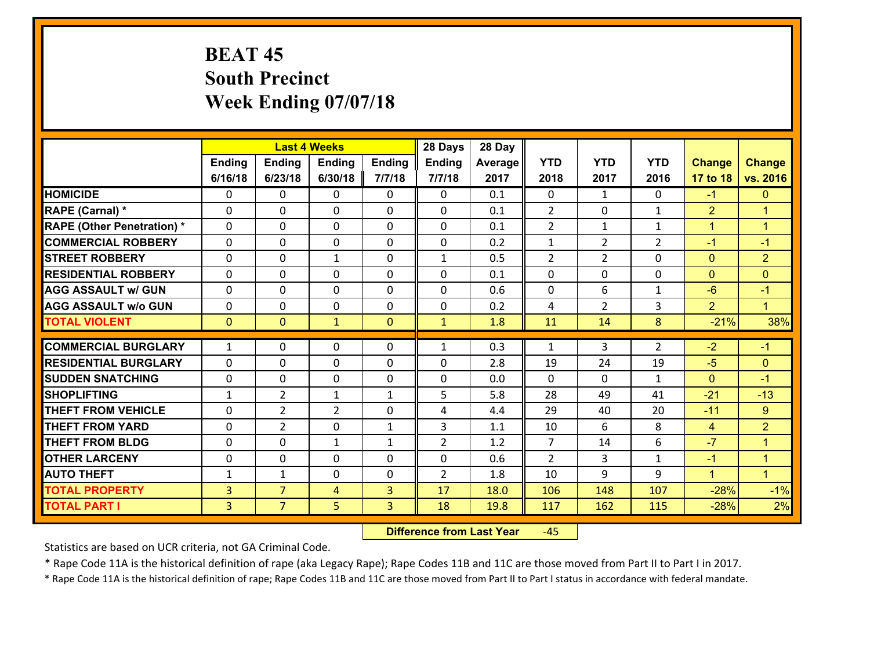# **BEAT 45 South Precinct Week Ending 07/07/18**

|                                           |                     |                | <b>Last 4 Weeks</b>         |                              | 28 Days             | 28 Day     |                                  |                |                   |                  |                                |
|-------------------------------------------|---------------------|----------------|-----------------------------|------------------------------|---------------------|------------|----------------------------------|----------------|-------------------|------------------|--------------------------------|
|                                           | Ending              | <b>Ending</b>  | <b>Ending</b>               | <b>Ending</b>                | <b>Ending</b>       | Average    | <b>YTD</b>                       | <b>YTD</b>     | <b>YTD</b>        | <b>Change</b>    | <b>Change</b>                  |
|                                           | 6/16/18             | 6/23/18        | 6/30/18                     | 7/7/18                       | 7/7/18              | 2017       | 2018                             | 2017           | 2016              | 17 to 18         | vs. 2016                       |
| <b>HOMICIDE</b>                           | 0                   | 0              | $\mathbf{0}$                | 0                            | $\mathbf{0}$        | 0.1        | $\mathbf 0$                      | $\mathbf{1}$   | $\Omega$          | $-1$             | $\mathbf{0}$                   |
| RAPE (Carnal) *                           | $\Omega$            | 0              | $\mathbf 0$                 | 0                            | 0                   | 0.1        | $\overline{2}$                   | $\mathbf{0}$   | $\mathbf{1}$      | $\overline{2}$   | $\blacktriangleleft$           |
| <b>RAPE (Other Penetration) *</b>         | $\Omega$            | 0              | $\mathbf 0$                 | $\Omega$                     | 0                   | 0.1        | $\overline{2}$                   | $\mathbf{1}$   | $\mathbf{1}$      | $\mathbf{1}$     | $\blacktriangleleft$           |
| <b>COMMERCIAL ROBBERY</b>                 | $\Omega$            | 0              | $\mathbf 0$                 | $\Omega$                     | $\Omega$            | 0.2        | $\mathbf{1}$                     | $\overline{2}$ | $\overline{2}$    | $-1$             | $-1$                           |
| <b>STREET ROBBERY</b>                     | 0                   | 0              | $\mathbf{1}$                | 0                            | $\mathbf{1}$        | 0.5        | $\overline{2}$                   | $\overline{2}$ | $\Omega$          | $\mathbf{0}$     | $\overline{2}$                 |
| <b>RESIDENTIAL ROBBERY</b>                | 0                   | 0              | $\mathbf 0$                 | 0                            | 0                   | 0.1        | 0                                | 0              | 0                 | $\mathbf{0}$     | $\mathbf{0}$                   |
| <b>AGG ASSAULT w/ GUN</b>                 | 0                   | 0              | $\mathbf 0$                 | 0                            | 0                   | 0.6        | 0                                | 6              | $\mathbf{1}$      | $-6$             | $-1$                           |
| <b>AGG ASSAULT w/o GUN</b>                | 0                   | 0              | $\mathbf 0$                 | 0                            | $\mathbf 0$         | 0.2        | 4                                | $\overline{2}$ | 3                 | $\overline{2}$   | $\mathbf{1}$                   |
| <b>TOTAL VIOLENT</b>                      | $\mathbf{0}$        | $\overline{0}$ | $\mathbf{1}$                | $\mathbf{0}$                 | $\mathbf{1}$        | 1.8        | 11                               | 14             | 8                 | $-21%$           | 38%                            |
|                                           |                     |                |                             |                              |                     |            |                                  |                |                   |                  |                                |
|                                           |                     |                |                             |                              |                     |            |                                  |                |                   |                  |                                |
| <b>COMMERCIAL BURGLARY</b>                | $\mathbf{1}$        | 0              | $\mathbf{0}$                | 0                            | $\mathbf{1}$        | 0.3        | 1                                | 3              | $\overline{2}$    | $-2$             | $-1$                           |
| <b>RESIDENTIAL BURGLARY</b>               | $\Omega$            | 0              | $\mathbf{0}$                | 0                            | 0                   | 2.8        | 19                               | 24             | 19                | $-5$             | $\mathbf{0}$                   |
| <b>SUDDEN SNATCHING</b>                   | 0                   | 0              | $\mathbf{0}$                | $\Omega$                     | 0                   | 0.0        | $\Omega$                         | $\Omega$       | $\mathbf{1}$      | $\mathbf{0}$     | $-1$                           |
| <b>SHOPLIFTING</b>                        | $\mathbf{1}$        | $\overline{2}$ | $\mathbf{1}$                | $\mathbf{1}$                 | 5                   | 5.8        | 28                               | 49             | 41                | $-21$            | $-13$                          |
| <b>THEFT FROM VEHICLE</b>                 | $\Omega$            | $\overline{2}$ | $\overline{2}$              | $\Omega$                     | 4                   | 4.4        | 29                               | 40<br>6        | 20                | $-11$            | 9                              |
| <b>THEFT FROM YARD</b>                    | 0                   | $\overline{2}$ | $\mathbf 0$                 | $\mathbf{1}$<br>$\mathbf{1}$ | 3                   | 1.1        | 10                               |                | 8                 | $\overline{4}$   | $\overline{2}$<br>$\mathbf{1}$ |
| <b>THEFT FROM BLDG</b>                    | 0<br>0              | 0<br>0         | $\mathbf{1}$<br>$\mathbf 0$ | 0                            | $\overline{2}$<br>0 | 1.2<br>0.6 | $\overline{7}$<br>$\overline{2}$ | 14<br>3        | 6<br>$\mathbf{1}$ | $-7$<br>$-1$     | $\mathbf{1}$                   |
| <b>OTHER LARCENY</b><br><b>AUTO THEFT</b> | $\mathbf{1}$        | $\mathbf{1}$   | $\mathbf 0$                 | 0                            | $\overline{2}$      | 1.8        | 10                               | 9              | 9                 | $\mathbf{1}$     | $\mathbf{1}$                   |
| <b>TOTAL PROPERTY</b>                     |                     | $\overline{7}$ | 4                           | 3                            | 17                  | 18.0       | 106                              | 148            | 107               |                  |                                |
| <b>TOTAL PART I</b>                       | 3<br>$\overline{3}$ | $\overline{7}$ | 5                           | 3                            | 18                  | 19.8       | 117                              | 162            | 115               | $-28%$<br>$-28%$ | $-1%$<br>2%                    |

 **Difference from Last Year**‐45

Statistics are based on UCR criteria, not GA Criminal Code.

\* Rape Code 11A is the historical definition of rape (aka Legacy Rape); Rape Codes 11B and 11C are those moved from Part II to Part I in 2017.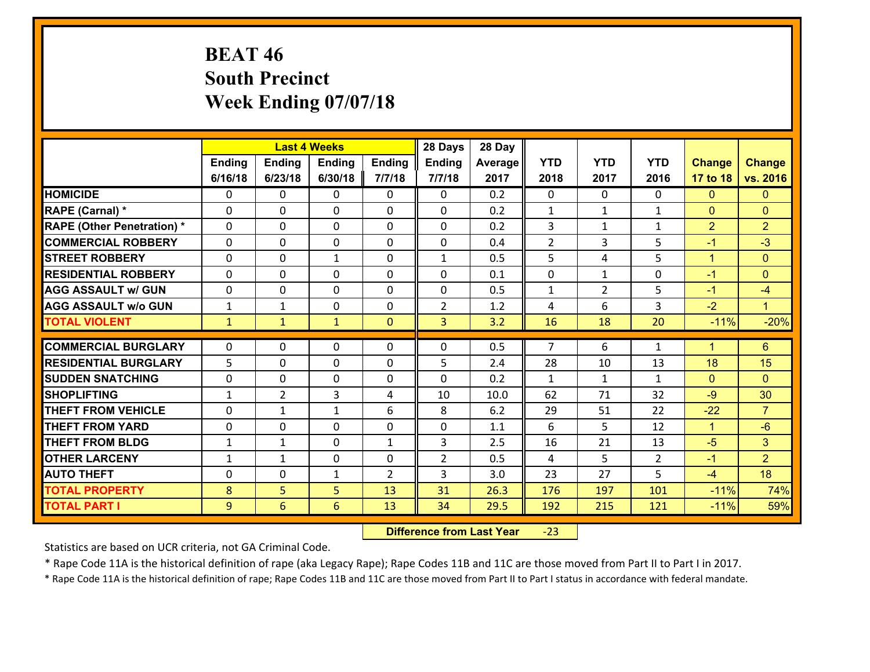# **BEAT 46 South Precinct Week Ending 07/07/18**

|                                   |              |                | <b>Last 4 Weeks</b> |                | 28 Days        | 28 Day  |                |                |                |                |                 |
|-----------------------------------|--------------|----------------|---------------------|----------------|----------------|---------|----------------|----------------|----------------|----------------|-----------------|
|                                   | Ending       | <b>Ending</b>  | <b>Ending</b>       | <b>Ending</b>  | Ending         | Average | <b>YTD</b>     | <b>YTD</b>     | <b>YTD</b>     | <b>Change</b>  | <b>Change</b>   |
|                                   | 6/16/18      | 6/23/18        | 6/30/18             | 7/7/18         | 7/7/18         | 2017    | 2018           | 2017           | 2016           | 17 to 18       | vs. 2016        |
| <b>HOMICIDE</b>                   | $\Omega$     | 0              | $\mathbf{0}$        | 0              | $\mathbf{0}$   | 0.2     | $\Omega$       | $\Omega$       | $\Omega$       | $\mathbf{0}$   | $\mathbf{0}$    |
| RAPE (Carnal) *                   | $\Omega$     | 0              | $\mathbf 0$         | $\Omega$       | 0              | 0.2     | $\mathbf{1}$   | $\mathbf{1}$   | $\mathbf{1}$   | $\mathbf{0}$   | $\mathbf{0}$    |
| <b>RAPE (Other Penetration) *</b> | $\Omega$     | 0              | $\mathbf 0$         | $\Omega$       | 0              | 0.2     | 3              | $\mathbf{1}$   | $\mathbf{1}$   | $\overline{2}$ | $\overline{2}$  |
| <b>COMMERCIAL ROBBERY</b>         | 0            | 0              | $\mathbf 0$         | 0              | 0              | 0.4     | $\overline{2}$ | 3              | 5              | $-1$           | $-3$            |
| <b>STREET ROBBERY</b>             | $\Omega$     | 0              | $\mathbf{1}$        | $\Omega$       | $\mathbf{1}$   | 0.5     | 5              | 4              | 5              | $\mathbf{1}$   | $\mathbf{0}$    |
| <b>RESIDENTIAL ROBBERY</b>        | $\Omega$     | 0              | $\mathbf{0}$        | $\Omega$       | $\Omega$       | 0.1     | 0              | $\mathbf{1}$   | $\Omega$       | $-1$           | $\mathbf{0}$    |
| <b>AGG ASSAULT w/ GUN</b>         | $\Omega$     | $\Omega$       | $\mathbf 0$         | $\Omega$       | 0              | 0.5     | $\mathbf{1}$   | $\overline{2}$ | 5              | $-1$           | $-4$            |
| <b>AGG ASSAULT w/o GUN</b>        | $\mathbf{1}$ | 1              | $\mathbf 0$         | $\Omega$       | $\overline{2}$ | 1.2     | 4              | 6              | 3              | $-2$           | $\blacklozenge$ |
| <b>TOTAL VIOLENT</b>              | $\mathbf{1}$ | $\mathbf{1}$   | $\mathbf{1}$        | $\overline{0}$ | 3 <sup>1</sup> | 3.2     | 16             | 18             | 20             | $-11%$         | $-20%$          |
| <b>COMMERCIAL BURGLARY</b>        | $\Omega$     | 0              | $\mathbf{0}$        | 0              | $\Omega$       | 0.5     | $\overline{7}$ | 6              |                | $\mathbf 1$    | $6\phantom{1}$  |
|                                   |              |                |                     |                |                |         |                |                | $\mathbf{1}$   |                |                 |
| <b>RESIDENTIAL BURGLARY</b>       | 5            | 0              | $\mathbf 0$         | 0              | 5              | 2.4     | 28             | 10             | 13             | 18             | 15              |
| <b>SUDDEN SNATCHING</b>           | 0            | 0              | $\mathbf 0$         | 0              | 0              | 0.2     | $\mathbf{1}$   | $\mathbf{1}$   | $\mathbf{1}$   | $\mathbf{0}$   | $\mathbf{0}$    |
| <b>SHOPLIFTING</b>                | 1            | $\overline{2}$ | 3                   | 4              | 10             | 10.0    | 62             | 71             | 32             | $-9$           | 30              |
| <b>THEFT FROM VEHICLE</b>         | $\Omega$     | $\mathbf{1}$   | $\mathbf{1}$        | 6              | 8              | 6.2     | 29             | 51             | 22             | $-22$          | $\overline{7}$  |
| <b>THEFT FROM YARD</b>            | 0            | $\Omega$       | $\mathbf 0$         | $\Omega$       | 0              | 1.1     | 6              | 5.             | 12             | $\mathbf{1}$   | $-6$            |
|                                   |              |                | 0                   | $\mathbf{1}$   | 3              | 2.5     | 16             | 21             | 13             | $-5$           | 3 <sup>5</sup>  |
| <b>THEFT FROM BLDG</b>            | $\mathbf{1}$ | 1              |                     |                |                |         |                |                |                |                |                 |
| <b>OTHER LARCENY</b>              | $\mathbf{1}$ | $\mathbf{1}$   | $\mathbf 0$         | 0              | $\overline{2}$ | 0.5     | 4              | 5              | $\overline{2}$ | $-1$           | $\overline{2}$  |
| <b>AUTO THEFT</b>                 | 0            | 0              | 1                   | $\overline{2}$ | 3              | 3.0     | 23             | 27             | 5              | $-4$           | 18              |
| <b>TOTAL PROPERTY</b>             | 8            | 5              | 5                   | 13             | 31             | 26.3    | 176            | 197            | 101            | $-11%$         | 74%             |

 **Difference from Last Year**‐23

Statistics are based on UCR criteria, not GA Criminal Code.

\* Rape Code 11A is the historical definition of rape (aka Legacy Rape); Rape Codes 11B and 11C are those moved from Part II to Part I in 2017.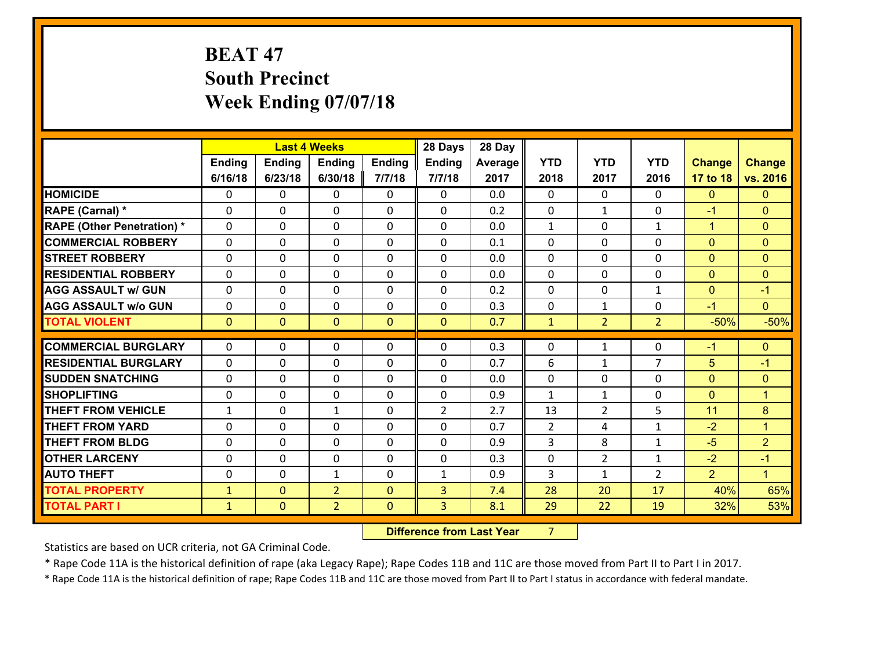# **BEAT 47 South Precinct Week Ending 07/07/18**

|                                   |              |                | <b>Last 4 Weeks</b> |                | 28 Days        | 28 Day  |              |                |                |                |                      |
|-----------------------------------|--------------|----------------|---------------------|----------------|----------------|---------|--------------|----------------|----------------|----------------|----------------------|
|                                   | Ending       | <b>Ending</b>  | <b>Ending</b>       | <b>Ending</b>  | Ending         | Average | <b>YTD</b>   | <b>YTD</b>     | <b>YTD</b>     | <b>Change</b>  | <b>Change</b>        |
|                                   | 6/16/18      | 6/23/18        | 6/30/18             | 7/7/18         | 7/7/18         | 2017    | 2018         | 2017           | 2016           | 17 to 18       | vs. 2016             |
| <b>HOMICIDE</b>                   | $\Omega$     | 0              | 0                   | 0              | 0              | 0.0     | $\Omega$     | $\Omega$       | 0              | $\mathbf{0}$   | $\mathbf{0}$         |
| RAPE (Carnal) *                   | $\Omega$     | 0              | $\mathbf 0$         | 0              | 0              | 0.2     | $\mathbf 0$  | $\mathbf{1}$   | $\Omega$       | $-1$           | $\mathbf{0}$         |
| <b>RAPE (Other Penetration) *</b> | $\Omega$     | 0              | $\mathbf{0}$        | $\Omega$       | $\Omega$       | 0.0     | 1            | $\Omega$       | $\mathbf{1}$   | $\mathbf{1}$   | $\mathbf{0}$         |
| <b>COMMERCIAL ROBBERY</b>         | $\Omega$     | $\Omega$       | $\mathbf 0$         | $\Omega$       | $\Omega$       | 0.1     | $\Omega$     | $\Omega$       | $\Omega$       | $\Omega$       | $\mathbf{0}$         |
| <b>STREET ROBBERY</b>             | $\Omega$     | 0              | $\mathbf{0}$        | $\Omega$       | $\Omega$       | 0.0     | $\Omega$     | $\Omega$       | $\Omega$       | $\mathbf{0}$   | $\mathbf{0}$         |
| <b>RESIDENTIAL ROBBERY</b>        | $\Omega$     | 0              | $\mathbf{0}$        | $\Omega$       | $\Omega$       | 0.0     | $\Omega$     | $\Omega$       | $\Omega$       | $\mathbf{0}$   | $\mathbf{0}$         |
| <b>AGG ASSAULT w/ GUN</b>         | 0            | 0              | $\mathbf 0$         | $\Omega$       | 0              | 0.2     | 0            | 0              | $\mathbf{1}$   | $\mathbf{0}$   | $-1$                 |
| <b>AGG ASSAULT w/o GUN</b>        | 0            | 0              | 0                   | 0              | 0              | 0.3     | 0            | $\mathbf{1}$   | $\Omega$       | $-1$           | $\overline{0}$       |
| <b>TOTAL VIOLENT</b>              | $\mathbf{0}$ | $\overline{0}$ | $\mathbf{0}$        | $\overline{0}$ | $\mathbf{0}$   | 0.7     | $\mathbf{1}$ | 2 <sup>1</sup> | $\overline{2}$ | $-50%$         | $-50%$               |
|                                   |              |                |                     |                |                |         |              |                |                |                |                      |
|                                   |              |                |                     |                |                |         |              |                |                |                |                      |
| <b>COMMERCIAL BURGLARY</b>        | $\mathbf{0}$ | 0              | 0                   | 0              | $\Omega$       | 0.3     | 0            | $\mathbf{1}$   | 0              | $-1$           | $\mathbf{0}$         |
| <b>RESIDENTIAL BURGLARY</b>       | $\Omega$     | 0              | $\mathbf 0$         | $\Omega$       | 0              | 0.7     | 6            | $\mathbf 1$    | $\overline{7}$ | 5              | $-1$                 |
| <b>SUDDEN SNATCHING</b>           | 0            | 0              | $\mathbf{0}$        | 0              | $\Omega$       | 0.0     | $\mathbf{0}$ | 0              | $\Omega$       | $\mathbf{0}$   | $\mathbf{0}$         |
| <b>SHOPLIFTING</b>                | $\Omega$     | 0              | $\mathbf 0$         | $\Omega$       | 0              | 0.9     | $\mathbf{1}$ | $\mathbf{1}$   | $\Omega$       | $\mathbf{0}$   | $\overline{1}$       |
| <b>THEFT FROM VEHICLE</b>         | $\mathbf{1}$ | 0              | $\mathbf{1}$        | 0              | $\overline{2}$ | 2.7     | 13           | $\overline{2}$ | 5              | 11             | 8                    |
| <b>THEFT FROM YARD</b>            | 0            | 0              | $\mathbf{0}$        | $\Omega$       | $\Omega$       | 0.7     | 2            | 4              | $\mathbf{1}$   | $-2$           | $\blacktriangleleft$ |
| <b>THEFT FROM BLDG</b>            | $\Omega$     | $\Omega$       | $\Omega$            | $\Omega$       | $\Omega$       | 0.9     | 3            | 8              | $\mathbf{1}$   | $-5$           | $\overline{2}$       |
| <b>OTHER LARCENY</b>              | 0            | 0              | $\mathbf{0}$        | $\Omega$       | $\Omega$       | 0.3     | 0            | 2              | $\mathbf{1}$   | $-2$           | $-1$                 |
| <b>AUTO THEFT</b>                 | 0            | 0              | $\mathbf{1}$        | 0              | $\mathbf{1}$   | 0.9     | 3            | $\mathbf{1}$   | $\overline{2}$ | $\overline{2}$ | $\blacktriangleleft$ |
| <b>TOTAL PROPERTY</b>             | $\mathbf{1}$ | $\overline{0}$ | $\overline{2}$      | $\Omega$       | 3              | 7.4     | 28           | 20             | 17             | 40%            | 65%                  |
| <b>TOTAL PART I</b>               | $\mathbf{1}$ | $\mathbf{0}$   | $\overline{2}$      | $\mathbf{0}$   | 3              | 8.1     | 29           | 22             | 19             | 32%            | 53%                  |

**12. Difference from Last Year 7**  $7 \quad \blacksquare$ 

Statistics are based on UCR criteria, not GA Criminal Code.

\* Rape Code 11A is the historical definition of rape (aka Legacy Rape); Rape Codes 11B and 11C are those moved from Part II to Part I in 2017.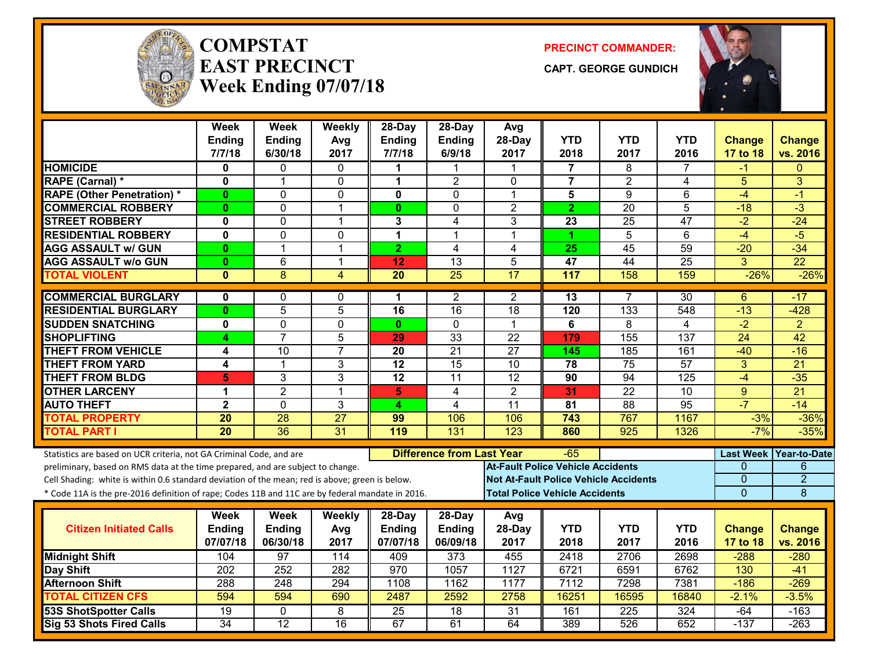

#### **COMPSTATEAST PRECINCTWeek Ending 07/07/18**

**PRECINCT COMMANDER:**

**CAPT. GEORGE GUNDICH**



|                                                                                                  | <b>Week</b><br>Ending | <b>Week</b><br><b>Ending</b> | Weekly<br>Avg   | 28-Day<br><b>Ending</b> | 28-Day<br>Ending                 | Avg<br>28-Day                                | <b>YTD</b>     | <b>YTD</b>       | <b>YTD</b>       | <b>Change</b>    | <b>Change</b>   |
|--------------------------------------------------------------------------------------------------|-----------------------|------------------------------|-----------------|-------------------------|----------------------------------|----------------------------------------------|----------------|------------------|------------------|------------------|-----------------|
|                                                                                                  | 7/7/18                | 6/30/18                      | 2017            | 7/7/18                  | 6/9/18                           | 2017                                         | 2018           | 2017             | 2016             | 17 to 18         | vs. 2016        |
| <b>HOMICIDE</b>                                                                                  | $\mathbf{0}$          | 0                            | $\Omega$        | 1                       | 1                                | 1                                            | 7              | 8                | 7                | -1               | $\Omega$        |
| RAPE (Carnal) *                                                                                  | 0                     | 1                            | $\mathbf 0$     | $\mathbf 1$             | $\overline{2}$                   | $\mathbf{0}$                                 | $\overline{7}$ | $\overline{2}$   | 4                | 5                | 3               |
| <b>RAPE (Other Penetration) *</b>                                                                | $\bf{0}$              | 0                            | 0               | 0                       | $\mathbf{0}$                     | $\mathbf{1}$                                 | 5              | 9                | 6                | $-4$             | $-1$            |
| <b>COMMERCIAL ROBBERY</b>                                                                        | $\mathbf{0}$          | 0                            | $\overline{1}$  | $\mathbf{0}$            | $\Omega$                         | $\overline{2}$                               | $\overline{2}$ | $\overline{20}$  | 5                | $-18$            | $-3$            |
| <b>STREET ROBBERY</b>                                                                            | $\mathbf 0$           | 0                            | 1               | $\mathbf{3}$            | 4                                | 3                                            | 23             | 25               | 47               | $-2$             | $-24$           |
| <b>RESIDENTIAL ROBBERY</b>                                                                       | $\mathbf 0$           | 0                            | $\mathbf{0}$    | $\mathbf{1}$            | 1                                | 1                                            | 1              | $\overline{5}$   | 6                | $-4$             | $-5$            |
| <b>AGG ASSAULT w/ GUN</b>                                                                        | $\mathbf{0}$          | $\mathbf{1}$                 | $\overline{1}$  | $\overline{2}$          | $\overline{4}$                   | $\overline{4}$                               | 25             | $\overline{45}$  | $\overline{59}$  | $-20$            | $-34$           |
| <b>AGG ASSAULT w/o GUN</b>                                                                       | $\mathbf{0}$          | $\overline{6}$               | $\overline{1}$  | 12                      | $\overline{13}$                  | 5                                            | 47             | $\overline{44}$  | $\overline{25}$  | $\overline{3}$   | $\overline{22}$ |
| <b>TOTAL VIOLENT</b>                                                                             | $\mathbf{0}$          | 8                            | 4               | $\overline{20}$         | $\overline{25}$                  | $\overline{17}$                              | 117            | 158              | 159              | $-26%$           | $-26%$          |
| <b>COMMERCIAL BURGLARY</b>                                                                       | $\mathbf{0}$          | 0                            | $\mathbf{0}$    | 1.                      | $\overline{2}$                   | $\overline{2}$                               | 13             | $\overline{7}$   | $\overline{30}$  | 6                | -17             |
| <b>RESIDENTIAL BURGLARY</b>                                                                      | $\mathbf{0}$          | $\overline{5}$               | 5               | $\overline{16}$         | $\overline{16}$                  | $\overline{18}$                              | 120            | $\overline{133}$ | $\sqrt{548}$     | $-13$            | $-428$          |
| <b>SUDDEN SNATCHING</b>                                                                          | $\mathbf 0$           | 0                            | $\mathbf 0$     | $\mathbf{0}$            | $\Omega$                         | 1                                            | 6              | 8                | 4                | $\overline{-2}$  | $\overline{2}$  |
| <b>SHOPLIFTING</b>                                                                               | 4                     | $\overline{7}$               | 5               | 29                      | $\overline{33}$                  | $\overline{22}$                              | 179            | 155              | $\overline{137}$ | $\overline{24}$  | $\overline{42}$ |
| <b>THEFT FROM VEHICLE</b>                                                                        | 4                     | 10                           | $\overline{7}$  | $\overline{20}$         | $\overline{21}$                  | $\overline{27}$                              | 145            | 185              | 161              | $-40$            | $-16$           |
| <b>THEFT FROM YARD</b>                                                                           | 4                     | 1                            | $\mathbf{3}$    | $\overline{12}$         | $\overline{15}$                  | 10                                           | 78             | $\overline{75}$  | $\overline{57}$  | 3                | $\overline{21}$ |
| <b>THEFT FROM BLDG</b>                                                                           | 5                     | 3                            | 3               | $\overline{12}$         | $\overline{11}$                  | $\overline{12}$                              | 90             | 94               | 125              | $-4$             | $-35$           |
| <b>OTHER LARCENY</b>                                                                             | 1                     | $\overline{2}$               | $\overline{1}$  | 5                       | 4                                | $\overline{2}$                               | 31             | $\overline{22}$  | 10               | 9                | $\overline{21}$ |
| <b>AUTO THEFT</b>                                                                                | $\mathbf{2}$          | 0                            | 3               | 4                       | 4                                | 11                                           | 81             | 88               | 95               | $-7$             | $-14$           |
| <b>TOTAL PROPERTY</b>                                                                            | 20                    | 28                           | $\overline{27}$ | 99                      | 106                              | 106                                          | 743            | 767              | 1167             | $-3%$            | $-36%$          |
| <b>TOTAL PART I</b>                                                                              | $\overline{20}$       | $\overline{36}$              | $\overline{31}$ | 119                     | 131                              | 123                                          | 860            | $\overline{925}$ | 1326             | $-7%$            | $-35%$          |
| Statistics are based on UCR criteria, not GA Criminal Code, and are                              |                       |                              |                 |                         | <b>Difference from Last Year</b> |                                              | -65            |                  |                  | <b>Last Week</b> | Year-to-Date    |
| preliminary, based on RMS data at the time prepared, and are subject to change.                  |                       |                              |                 |                         |                                  | <b>At-Fault Police Vehicle Accidents</b>     |                |                  |                  | $\Omega$         | 6               |
| Cell Shading: white is within 0.6 standard deviation of the mean; red is above; green is below.  |                       |                              |                 |                         |                                  | <b>Not At-Fault Police Vehicle Accidents</b> |                |                  |                  | $\mathbf{0}$     | $\overline{2}$  |
| * Code 11A is the pre-2016 definition of rape; Codes 11B and 11C are by federal mandate in 2016. |                       |                              |                 |                         |                                  | <b>Total Police Vehicle Accidents</b>        |                |                  |                  | $\overline{0}$   | 8               |
|                                                                                                  | Week                  | <b>Week</b>                  | Weekly          | 28-Day                  | $28-Day$                         | Avg                                          |                |                  |                  |                  |                 |
| <b>Citizen Initiated Calls</b>                                                                   | Ending                | Ending                       | Avg             | <b>Ending</b>           | Ending                           | 28-Day                                       | <b>YTD</b>     | <b>YTD</b>       | <b>YTD</b>       | <b>Change</b>    | <b>Change</b>   |
|                                                                                                  | 07/07/18              | 06/30/18                     | 2017            | 07/07/18                | 06/09/18                         | 2017                                         | 2018           | 2017             | 2016             | 17 to 18         | vs. 2016        |
| <b>Midnight Shift</b>                                                                            | 104                   | 97                           | 114             | 409                     | 373                              | 455                                          | 2418           | 2706             | 2698             | $-288$           | $-280$          |
| Day Shift                                                                                        | 202                   | $\overline{252}$             | 282             | 970                     | 1057                             | 1127                                         | 6721           | 6591             | 6762             | 130              | $-41$           |
| <b>Afternoon Shift</b>                                                                           | 288                   | 248                          | 294             | 1108                    | 1162                             | 1177                                         | 7112           | 7298             | 7381             | $-186$           | $-269$          |
| <b>TOTAL CITIZEN CFS</b>                                                                         | 594                   | 594                          | 690             | 2487                    | 2592                             | 2758                                         | 16251          | 16595            | 16840            | $-2.1%$          | $-3.5%$         |
| <b>53S ShotSpotter Calls</b>                                                                     | $\overline{19}$       | 0                            | 8               | $\overline{25}$         | $\overline{18}$                  | $\overline{31}$                              | 161            | $\overline{225}$ | 324              | $-64$            | $-163$          |
| <b>Sig 53 Shots Fired Calls</b>                                                                  | 34                    | 12                           | 16              | 67                      | 61                               | 64                                           | 389            | 526              | 652              | $-137$           | $-263$          |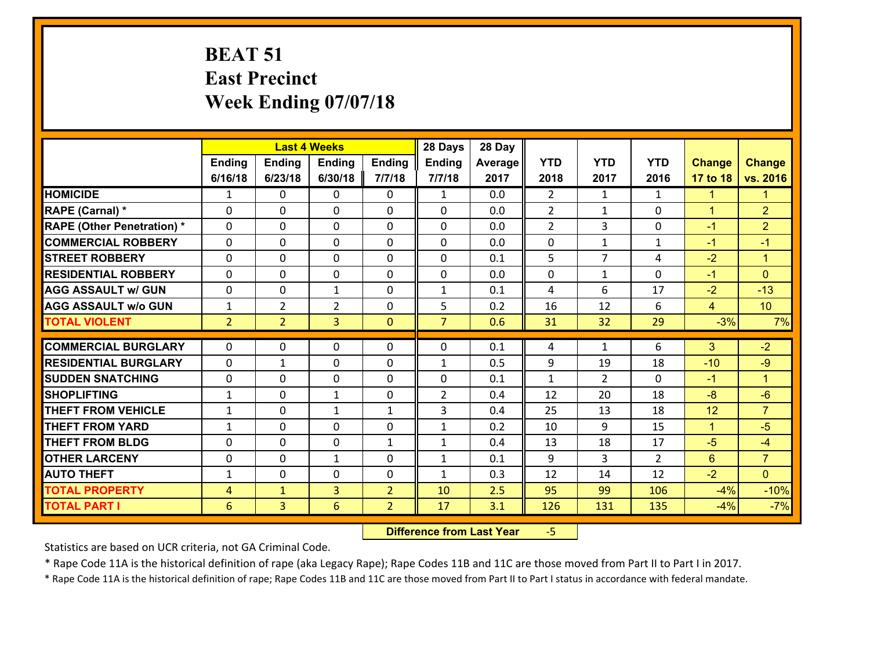## **BEAT 51 East Precinct Week Ending 07/07/18**

|                                              |                     |                                | <b>Last 4 Weeks</b> |                                  | 28 Days        | 28 Day     |                |                |                |                |                      |
|----------------------------------------------|---------------------|--------------------------------|---------------------|----------------------------------|----------------|------------|----------------|----------------|----------------|----------------|----------------------|
|                                              | Ending              | <b>Ending</b>                  | <b>Ending</b>       | Ending                           | <b>Ending</b>  | Average    | <b>YTD</b>     | <b>YTD</b>     | <b>YTD</b>     | <b>Change</b>  | <b>Change</b>        |
|                                              | 6/16/18             | 6/23/18                        | 6/30/18             | 7/7/18                           | 7/7/18         | 2017       | 2018           | 2017           | 2016           | 17 to 18       | vs. 2016             |
| <b>HOMICIDE</b>                              | $\mathbf{1}$        | 0                              | $\Omega$            | 0                                | $\mathbf{1}$   | 0.0        | $\overline{2}$ | $\mathbf{1}$   | $\mathbf{1}$   | $\mathbf{1}$   | $\mathbf{1}$         |
| RAPE (Carnal) *                              | 0                   | 0                              | $\mathbf{0}$        | 0                                | $\Omega$       | 0.0        | 2              | $\mathbf{1}$   | $\Omega$       | $\mathbf{1}$   | $\overline{2}$       |
| <b>RAPE (Other Penetration) *</b>            | $\Omega$            | 0                              | $\mathbf{0}$        | $\Omega$                         | $\Omega$       | 0.0        | $\overline{2}$ | 3              | $\Omega$       | $-1$           | $\overline{2}$       |
| <b>COMMERCIAL ROBBERY</b>                    | 0                   | 0                              | 0                   | 0                                | 0              | 0.0        | 0              | $\mathbf{1}$   | $\mathbf{1}$   | $-1$           | $-1$                 |
| <b>STREET ROBBERY</b>                        | $\Omega$            | 0                              | $\mathbf 0$         | 0                                | 0              | 0.1        | 5              | $\overline{7}$ | 4              | $-2$           | $\mathbf{1}$         |
| <b>RESIDENTIAL ROBBERY</b>                   | $\Omega$            | $\Omega$                       | $\mathbf 0$         | $\Omega$                         | 0              | 0.0        | $\mathbf 0$    | $\mathbf{1}$   | $\Omega$       | $-1$           | $\Omega$             |
| <b>AGG ASSAULT w/ GUN</b>                    | 0                   | 0                              | $\mathbf{1}$        | 0                                | $\mathbf{1}$   | 0.1        | 4              | 6              | 17             | $-2$           | $-13$                |
| <b>AGG ASSAULT w/o GUN</b>                   | $\mathbf{1}$        | $\overline{2}$                 | $\overline{2}$      | $\mathbf 0$                      | 5              | 0.2        | 16             | 12             | 6              | $\overline{4}$ | 10                   |
| <b>TOTAL VIOLENT</b>                         | 2 <sup>1</sup>      | $\overline{2}$                 | $\overline{3}$      | $\mathbf{0}$                     | $\overline{7}$ | 0.6        | 31             | 32             | 29             | $-3%$          | 7%                   |
| <b>COMMERCIAL BURGLARY</b>                   | $\Omega$            | 0                              | $\mathbf{0}$        | $\Omega$                         | $\Omega$       | 0.1        | 4              | $\mathbf{1}$   | 6              | 3              | $-2$                 |
| <b>RESIDENTIAL BURGLARY</b>                  | 0                   | 1                              | $\mathbf 0$         | 0                                | $\mathbf{1}$   | 0.5        | 9              | 19             | 18             | $-10$          | $-9$                 |
| <b>SUDDEN SNATCHING</b>                      | 0                   | 0                              | $\mathbf 0$         | 0                                | 0              | 0.1        | $\mathbf{1}$   | $\overline{2}$ | $\Omega$       | $-1$           | $\blacktriangleleft$ |
| <b>SHOPLIFTING</b>                           | $\mathbf{1}$        | 0                              | 1                   | 0                                | $\overline{2}$ | 0.4        | 12             | 20             | 18             | $-8$           | $-6$                 |
| <b>THEFT FROM VEHICLE</b>                    | $\mathbf{1}$        | 0                              | 1                   | $\mathbf{1}$                     | 3              | 0.4        | 25             | 13             | 18             | 12             | $\overline{7}$       |
| <b>THEFT FROM YARD</b>                       | $\mathbf{1}$        | 0                              | $\mathbf 0$         | 0                                | $\mathbf{1}$   | 0.2        | 10             | 9              | 15             | $\mathbf{1}$   | $-5$                 |
| <b>THEFT FROM BLDG</b>                       | 0                   | 0                              | $\mathbf 0$         | $\mathbf{1}$                     | $\mathbf{1}$   | 0.4        | 13             | 18             | 17             | $-5$           | $-4$                 |
|                                              |                     |                                |                     |                                  | $\mathbf{1}$   | 0.1        | 9              | 3              | $\overline{2}$ | $6^{\circ}$    | $\overline{7}$       |
|                                              |                     |                                |                     |                                  |                |            |                |                |                |                |                      |
| <b>OTHER LARCENY</b>                         | 0                   | 0                              | $\mathbf{1}$        | 0                                |                |            |                |                |                |                |                      |
| <b>AUTO THEFT</b>                            | $\mathbf{1}$        | 0                              | $\mathbf{0}$        | 0                                | $\mathbf{1}$   | 0.3        | 12             | 14             | 12             | $-2$           | $\overline{0}$       |
| <b>TOTAL PROPERTY</b><br><b>TOTAL PART I</b> | $\overline{4}$<br>6 | $\mathbf{1}$<br>$\overline{3}$ | $\overline{3}$<br>6 | $\overline{2}$<br>$\overline{2}$ | 10<br>17       | 2.5<br>3.1 | 95<br>126      | 99<br>131      | 106<br>135     | $-4%$<br>$-4%$ | $-10%$<br>$-7%$      |

 **Difference from Last Year**‐5

Statistics are based on UCR criteria, not GA Criminal Code.

\* Rape Code 11A is the historical definition of rape (aka Legacy Rape); Rape Codes 11B and 11C are those moved from Part II to Part I in 2017.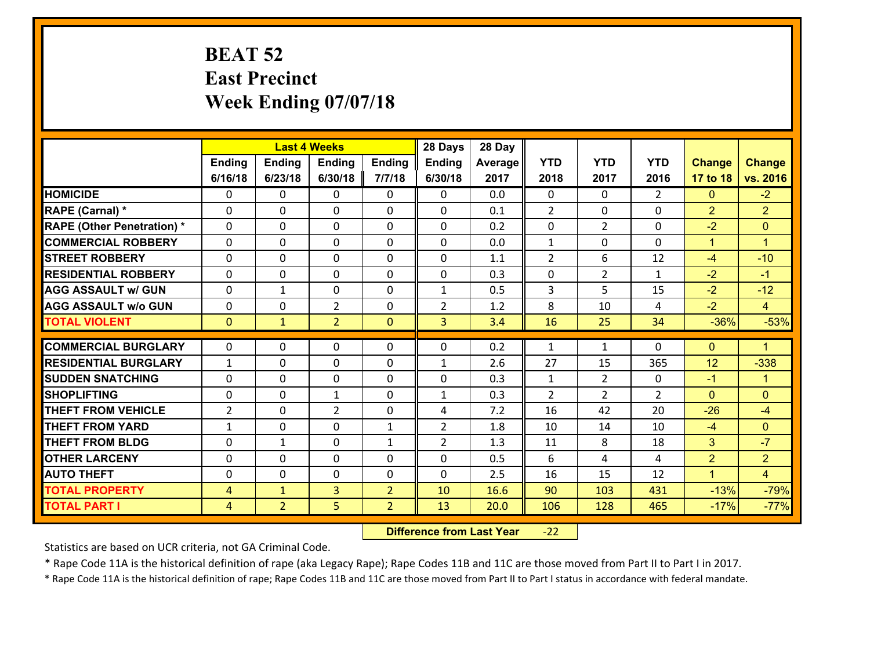### **BEAT 52 East Precinct Week Ending 07/07/18**

|                                   |                |                | <b>Last 4 Weeks</b> |                | 28 Days        | 28 Day  |                |                |                |                      |                      |
|-----------------------------------|----------------|----------------|---------------------|----------------|----------------|---------|----------------|----------------|----------------|----------------------|----------------------|
|                                   | Ending         | <b>Ending</b>  | <b>Ending</b>       | Ending         | <b>Ending</b>  | Average | <b>YTD</b>     | <b>YTD</b>     | <b>YTD</b>     | <b>Change</b>        | <b>Change</b>        |
|                                   | 6/16/18        | 6/23/18        | 6/30/18             | 7/7/18         | 6/30/18        | 2017    | 2018           | 2017           | 2016           | 17 to 18             | vs. 2016             |
| <b>HOMICIDE</b>                   | $\Omega$       | 0              | $\Omega$            | 0              | $\Omega$       | 0.0     | $\Omega$       | $\Omega$       | $\mathcal{L}$  | $\mathbf{0}$         | $-2$                 |
| RAPE (Carnal) *                   | 0              | 0              | $\mathbf{0}$        | 0              | $\Omega$       | 0.1     | 2              | 0              | $\Omega$       | 2                    | $\overline{2}$       |
| <b>RAPE (Other Penetration) *</b> | $\Omega$       | 0              | $\mathbf{0}$        | $\Omega$       | $\Omega$       | 0.2     | 0              | $\overline{2}$ | $\Omega$       | $-2$                 | $\mathbf{0}$         |
| <b>COMMERCIAL ROBBERY</b>         | 0              | 0              | 0                   | 0              | 0              | 0.0     | $\mathbf{1}$   | 0              | $\Omega$       | $\mathbf{1}$         | $\mathbf{1}$         |
| <b>STREET ROBBERY</b>             | $\Omega$       | 0              | $\mathbf 0$         | 0              | 0              | 1.1     | $\overline{2}$ | 6              | 12             | $-4$                 | $-10$                |
| <b>RESIDENTIAL ROBBERY</b>        | $\Omega$       | 0              | $\mathbf 0$         | $\Omega$       | 0              | 0.3     | 0              | $\overline{2}$ | $\mathbf{1}$   | $-2$                 | $-1$                 |
| <b>AGG ASSAULT w/ GUN</b>         | $\Omega$       | 1              | $\mathbf 0$         | 0              | $\mathbf{1}$   | 0.5     | 3              | 5              | 15             | $-2$                 | $-12$                |
| <b>AGG ASSAULT w/o GUN</b>        | 0              | 0              | $\overline{2}$      | 0              | $\overline{2}$ | 1.2     | 8              | 10             | 4              | $-2$                 | $\overline{4}$       |
| <b>TOTAL VIOLENT</b>              | $\mathbf{0}$   | $\mathbf{1}$   | $\overline{2}$      | $\mathbf{0}$   | $\overline{3}$ | 3.4     | 16             | 25             | 34             | $-36%$               | $-53%$               |
| <b>COMMERCIAL BURGLARY</b>        | $\Omega$       | 0              | $\mathbf{0}$        | $\Omega$       | $\Omega$       | 0.2     | $\mathbf{1}$   | $\mathbf{1}$   | $\Omega$       | $\mathbf{0}$         | $\blacktriangleleft$ |
| <b>RESIDENTIAL BURGLARY</b>       | $\mathbf{1}$   | 0              | $\mathbf 0$         | 0              | $\mathbf{1}$   | 2.6     | 27             | 15             | 365            | 12                   | $-338$               |
| <b>SUDDEN SNATCHING</b>           | 0              | 0              | $\mathbf 0$         | 0              | 0              | 0.3     | $\mathbf{1}$   | $\overline{2}$ | $\Omega$       | $-1$                 | $\mathbf{1}$         |
| <b>SHOPLIFTING</b>                | 0              | 0              | 1                   | 0              | $\mathbf{1}$   | 0.3     | $\overline{2}$ | $\overline{2}$ | $\overline{2}$ | $\overline{0}$       | $\mathbf{0}$         |
| <b>THEFT FROM VEHICLE</b>         | $\overline{2}$ | 0              | $\overline{2}$      | 0              | 4              | 7.2     | 16             | 42             | 20             | $-26$                | $-4$                 |
| <b>THEFT FROM YARD</b>            | $\mathbf{1}$   | 0              | $\mathbf 0$         | $\mathbf{1}$   | $\overline{2}$ | 1.8     | 10             | 14             | 10             | $-4$                 | $\overline{0}$       |
| <b>THEFT FROM BLDG</b>            | 0              | 1              | $\mathbf 0$         | $\mathbf{1}$   | $\overline{2}$ | 1.3     | 11             | 8              | 18             | 3                    | $-7$                 |
| <b>OTHER LARCENY</b>              | 0              | 0              | $\mathbf 0$         | 0              | 0              | 0.5     | 6              | 4              | 4              | $\overline{2}$       | $\overline{2}$       |
| <b>AUTO THEFT</b>                 | $\mathbf{0}$   | 0              | $\mathbf{0}$        | 0              | 0              | 2.5     | 16             | 15             | 12             | $\blacktriangleleft$ | $\overline{4}$       |
| <b>TOTAL PROPERTY</b>             | $\overline{4}$ | $\mathbf{1}$   | $\overline{3}$      | $\overline{2}$ | 10             | 16.6    | 90             | 103            | 431            | $-13%$               | $-79%$               |
| <b>TOTAL PART I</b>               | $\overline{4}$ | $\overline{2}$ | 5                   | $\overline{2}$ | 13             | 20.0    | 106            | 128            | 465            | $-17%$               | $-77%$               |
|                                   |                |                |                     |                |                |         |                |                |                |                      |                      |

 **Difference from Last Year**r -22

Statistics are based on UCR criteria, not GA Criminal Code.

\* Rape Code 11A is the historical definition of rape (aka Legacy Rape); Rape Codes 11B and 11C are those moved from Part II to Part I in 2017.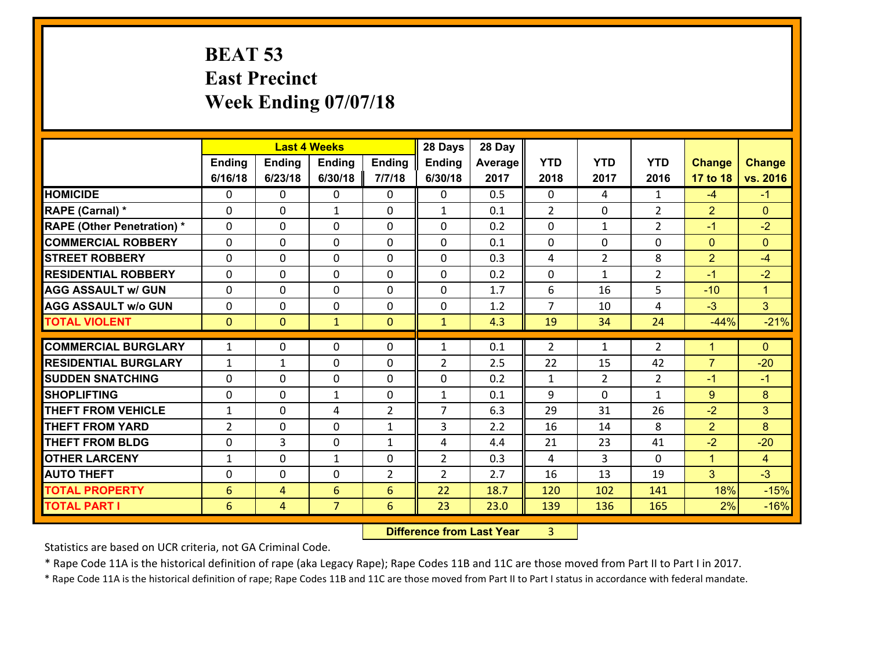### **BEAT 53 East Precinct Week Ending 07/07/18**

| <b>YTD</b><br><b>YTD</b><br><b>YTD</b><br>Ending<br><b>Ending</b><br><b>Ending</b><br><b>Ending</b><br><b>Ending</b><br><b>Change</b><br>Average<br>6/23/18<br>2017<br>2016<br>6/16/18<br>6/30/18<br>7/7/18<br>6/30/18<br>2018<br>2017<br>17 to 18<br><b>HOMICIDE</b><br>0.5<br>0<br>0<br>0<br>0<br>$\Omega$<br>4<br>$\mathbf{1}$<br>0<br>$-4$<br>$-1$<br>RAPE (Carnal) *<br>$\overline{2}$<br>$\overline{2}$<br>$\overline{2}$<br>0<br>0<br>$\mathbf{1}$<br>$\mathbf{1}$<br>0.1<br>$\mathbf{0}$<br>$\mathbf{0}$<br>0<br><b>RAPE (Other Penetration) *</b><br>$\overline{2}$<br>$-2$<br>$\Omega$<br>0<br>$\mathbf{0}$<br>$\Omega$<br>0.2<br>0<br>$\Omega$<br>$-1$<br>$\mathbf{1}$<br><b>COMMERCIAL ROBBERY</b><br>0<br>0<br>$\mathbf{0}$<br>$\Omega$<br>0.1<br>$\Omega$<br>$\mathbf{0}$<br>$\Omega$<br>$\mathbf{0}$<br>$\mathbf{0}$<br>0<br>$\overline{2}$<br>0<br>$\mathbf 0$<br>0<br>0.3<br>$\overline{2}$<br>8<br><b>STREET ROBBERY</b><br>0<br>0<br>4<br>$-4$<br>$\overline{2}$<br>$-2$<br><b>RESIDENTIAL ROBBERY</b><br>$\Omega$<br>0<br>$\mathbf{0}$<br>$\Omega$<br>0<br>0.2<br>0<br>$-1$<br>$\mathbf{1}$<br>5<br>0<br>0<br>$\mathbf 0$<br>0<br>6<br><b>AGG ASSAULT w/ GUN</b><br>$\Omega$<br>1.7<br>16<br>$-10$<br>$\mathbf{1}$<br>3 <sup>1</sup><br>$\overline{7}$<br><b>AGG ASSAULT w/o GUN</b><br>0<br>0<br>$\mathbf 0$<br>0<br>1.2<br>$-3$<br>0<br>10<br>4<br><b>TOTAL VIOLENT</b><br>$\overline{0}$<br>$-44%$<br>$\mathbf{0}$<br>$\mathbf{0}$<br>$\mathbf{1}$<br>4.3<br>19<br>34<br>24<br>$\mathbf{1}$<br><b>COMMERCIAL BURGLARY</b><br>$\overline{2}$<br>$\mathbf{1}$<br>0<br>$\mathbf{0}$<br>0<br>0.1<br>2<br>$\mathbf{0}$<br>$\mathbf{1}$<br>$\mathbf{1}$<br>1<br>$\overline{7}$<br><b>RESIDENTIAL BURGLARY</b><br>$\mathbf{0}$<br>$\overline{2}$<br>$-20$<br>$\mathbf{1}$<br>1<br>0<br>2.5<br>22<br>15<br>42<br><b>SUDDEN SNATCHING</b><br>0<br>0<br>0<br>$\Omega$<br>0.2<br>$\overline{2}$<br>$\overline{2}$<br>0<br>1<br>$-1$<br>$-1$<br>8<br>0<br>9<br>$9^{\circ}$<br><b>SHOPLIFTING</b><br>0<br>$\mathbf{1}$<br>0<br>$\mathbf{1}$<br>0.1<br>0<br>$\mathbf{1}$<br>$\overline{7}$<br>3 <sup>5</sup><br><b>THEFT FROM VEHICLE</b><br>0<br>4<br>$\overline{2}$<br>29<br>26<br>$-2$<br>$\mathbf{1}$<br>6.3<br>31<br>$\overline{2}$<br>3<br>8<br>$\overline{2}$<br>8<br><b>THEFT FROM YARD</b><br>0<br>$\mathbf{0}$<br>2.2<br>16<br>14<br>$\mathbf{1}$<br><b>THEFT FROM BLDG</b><br>3<br>$-2$<br>$-20$<br>0<br>$\mathbf{0}$<br>$\mathbf{1}$<br>4<br>4.4<br>21<br>23<br>41<br>0<br>$\overline{2}$<br><b>OTHER LARCENY</b><br>0<br>0.3<br>3<br>$\Omega$<br>$\mathbf{1}$<br>$\mathbf{1}$<br>1<br>4<br>$\overline{4}$<br>3 <sup>1</sup><br>$-3$<br>$\overline{2}$<br>$\overline{2}$<br><b>AUTO THEFT</b><br>$\mathbf{0}$<br>0<br>0<br>2.7<br>13<br>19<br>16 |                       |   |   | <b>Last 4 Weeks</b> |   | 28 Days | 28 Day |     |     |     |     |               |
|-----------------------------------------------------------------------------------------------------------------------------------------------------------------------------------------------------------------------------------------------------------------------------------------------------------------------------------------------------------------------------------------------------------------------------------------------------------------------------------------------------------------------------------------------------------------------------------------------------------------------------------------------------------------------------------------------------------------------------------------------------------------------------------------------------------------------------------------------------------------------------------------------------------------------------------------------------------------------------------------------------------------------------------------------------------------------------------------------------------------------------------------------------------------------------------------------------------------------------------------------------------------------------------------------------------------------------------------------------------------------------------------------------------------------------------------------------------------------------------------------------------------------------------------------------------------------------------------------------------------------------------------------------------------------------------------------------------------------------------------------------------------------------------------------------------------------------------------------------------------------------------------------------------------------------------------------------------------------------------------------------------------------------------------------------------------------------------------------------------------------------------------------------------------------------------------------------------------------------------------------------------------------------------------------------------------------------------------------------------------------------------------------------------------------------------------------------------------------------------------------------------------------------------------------------------------------------------------------------------------------------------------------------------------------------------------------------------------------------------------------------------------------|-----------------------|---|---|---------------------|---|---------|--------|-----|-----|-----|-----|---------------|
|                                                                                                                                                                                                                                                                                                                                                                                                                                                                                                                                                                                                                                                                                                                                                                                                                                                                                                                                                                                                                                                                                                                                                                                                                                                                                                                                                                                                                                                                                                                                                                                                                                                                                                                                                                                                                                                                                                                                                                                                                                                                                                                                                                                                                                                                                                                                                                                                                                                                                                                                                                                                                                                                                                                                                                       |                       |   |   |                     |   |         |        |     |     |     |     | <b>Change</b> |
|                                                                                                                                                                                                                                                                                                                                                                                                                                                                                                                                                                                                                                                                                                                                                                                                                                                                                                                                                                                                                                                                                                                                                                                                                                                                                                                                                                                                                                                                                                                                                                                                                                                                                                                                                                                                                                                                                                                                                                                                                                                                                                                                                                                                                                                                                                                                                                                                                                                                                                                                                                                                                                                                                                                                                                       |                       |   |   |                     |   |         |        |     |     |     |     | vs. 2016      |
|                                                                                                                                                                                                                                                                                                                                                                                                                                                                                                                                                                                                                                                                                                                                                                                                                                                                                                                                                                                                                                                                                                                                                                                                                                                                                                                                                                                                                                                                                                                                                                                                                                                                                                                                                                                                                                                                                                                                                                                                                                                                                                                                                                                                                                                                                                                                                                                                                                                                                                                                                                                                                                                                                                                                                                       |                       |   |   |                     |   |         |        |     |     |     |     |               |
|                                                                                                                                                                                                                                                                                                                                                                                                                                                                                                                                                                                                                                                                                                                                                                                                                                                                                                                                                                                                                                                                                                                                                                                                                                                                                                                                                                                                                                                                                                                                                                                                                                                                                                                                                                                                                                                                                                                                                                                                                                                                                                                                                                                                                                                                                                                                                                                                                                                                                                                                                                                                                                                                                                                                                                       |                       |   |   |                     |   |         |        |     |     |     |     |               |
|                                                                                                                                                                                                                                                                                                                                                                                                                                                                                                                                                                                                                                                                                                                                                                                                                                                                                                                                                                                                                                                                                                                                                                                                                                                                                                                                                                                                                                                                                                                                                                                                                                                                                                                                                                                                                                                                                                                                                                                                                                                                                                                                                                                                                                                                                                                                                                                                                                                                                                                                                                                                                                                                                                                                                                       |                       |   |   |                     |   |         |        |     |     |     |     |               |
|                                                                                                                                                                                                                                                                                                                                                                                                                                                                                                                                                                                                                                                                                                                                                                                                                                                                                                                                                                                                                                                                                                                                                                                                                                                                                                                                                                                                                                                                                                                                                                                                                                                                                                                                                                                                                                                                                                                                                                                                                                                                                                                                                                                                                                                                                                                                                                                                                                                                                                                                                                                                                                                                                                                                                                       |                       |   |   |                     |   |         |        |     |     |     |     |               |
|                                                                                                                                                                                                                                                                                                                                                                                                                                                                                                                                                                                                                                                                                                                                                                                                                                                                                                                                                                                                                                                                                                                                                                                                                                                                                                                                                                                                                                                                                                                                                                                                                                                                                                                                                                                                                                                                                                                                                                                                                                                                                                                                                                                                                                                                                                                                                                                                                                                                                                                                                                                                                                                                                                                                                                       |                       |   |   |                     |   |         |        |     |     |     |     |               |
|                                                                                                                                                                                                                                                                                                                                                                                                                                                                                                                                                                                                                                                                                                                                                                                                                                                                                                                                                                                                                                                                                                                                                                                                                                                                                                                                                                                                                                                                                                                                                                                                                                                                                                                                                                                                                                                                                                                                                                                                                                                                                                                                                                                                                                                                                                                                                                                                                                                                                                                                                                                                                                                                                                                                                                       |                       |   |   |                     |   |         |        |     |     |     |     |               |
|                                                                                                                                                                                                                                                                                                                                                                                                                                                                                                                                                                                                                                                                                                                                                                                                                                                                                                                                                                                                                                                                                                                                                                                                                                                                                                                                                                                                                                                                                                                                                                                                                                                                                                                                                                                                                                                                                                                                                                                                                                                                                                                                                                                                                                                                                                                                                                                                                                                                                                                                                                                                                                                                                                                                                                       |                       |   |   |                     |   |         |        |     |     |     |     |               |
|                                                                                                                                                                                                                                                                                                                                                                                                                                                                                                                                                                                                                                                                                                                                                                                                                                                                                                                                                                                                                                                                                                                                                                                                                                                                                                                                                                                                                                                                                                                                                                                                                                                                                                                                                                                                                                                                                                                                                                                                                                                                                                                                                                                                                                                                                                                                                                                                                                                                                                                                                                                                                                                                                                                                                                       |                       |   |   |                     |   |         |        |     |     |     |     |               |
|                                                                                                                                                                                                                                                                                                                                                                                                                                                                                                                                                                                                                                                                                                                                                                                                                                                                                                                                                                                                                                                                                                                                                                                                                                                                                                                                                                                                                                                                                                                                                                                                                                                                                                                                                                                                                                                                                                                                                                                                                                                                                                                                                                                                                                                                                                                                                                                                                                                                                                                                                                                                                                                                                                                                                                       |                       |   |   |                     |   |         |        |     |     |     |     | $-21%$        |
|                                                                                                                                                                                                                                                                                                                                                                                                                                                                                                                                                                                                                                                                                                                                                                                                                                                                                                                                                                                                                                                                                                                                                                                                                                                                                                                                                                                                                                                                                                                                                                                                                                                                                                                                                                                                                                                                                                                                                                                                                                                                                                                                                                                                                                                                                                                                                                                                                                                                                                                                                                                                                                                                                                                                                                       |                       |   |   |                     |   |         |        |     |     |     |     |               |
|                                                                                                                                                                                                                                                                                                                                                                                                                                                                                                                                                                                                                                                                                                                                                                                                                                                                                                                                                                                                                                                                                                                                                                                                                                                                                                                                                                                                                                                                                                                                                                                                                                                                                                                                                                                                                                                                                                                                                                                                                                                                                                                                                                                                                                                                                                                                                                                                                                                                                                                                                                                                                                                                                                                                                                       |                       |   |   |                     |   |         |        |     |     |     |     |               |
|                                                                                                                                                                                                                                                                                                                                                                                                                                                                                                                                                                                                                                                                                                                                                                                                                                                                                                                                                                                                                                                                                                                                                                                                                                                                                                                                                                                                                                                                                                                                                                                                                                                                                                                                                                                                                                                                                                                                                                                                                                                                                                                                                                                                                                                                                                                                                                                                                                                                                                                                                                                                                                                                                                                                                                       |                       |   |   |                     |   |         |        |     |     |     |     |               |
|                                                                                                                                                                                                                                                                                                                                                                                                                                                                                                                                                                                                                                                                                                                                                                                                                                                                                                                                                                                                                                                                                                                                                                                                                                                                                                                                                                                                                                                                                                                                                                                                                                                                                                                                                                                                                                                                                                                                                                                                                                                                                                                                                                                                                                                                                                                                                                                                                                                                                                                                                                                                                                                                                                                                                                       |                       |   |   |                     |   |         |        |     |     |     |     |               |
|                                                                                                                                                                                                                                                                                                                                                                                                                                                                                                                                                                                                                                                                                                                                                                                                                                                                                                                                                                                                                                                                                                                                                                                                                                                                                                                                                                                                                                                                                                                                                                                                                                                                                                                                                                                                                                                                                                                                                                                                                                                                                                                                                                                                                                                                                                                                                                                                                                                                                                                                                                                                                                                                                                                                                                       |                       |   |   |                     |   |         |        |     |     |     |     |               |
|                                                                                                                                                                                                                                                                                                                                                                                                                                                                                                                                                                                                                                                                                                                                                                                                                                                                                                                                                                                                                                                                                                                                                                                                                                                                                                                                                                                                                                                                                                                                                                                                                                                                                                                                                                                                                                                                                                                                                                                                                                                                                                                                                                                                                                                                                                                                                                                                                                                                                                                                                                                                                                                                                                                                                                       |                       |   |   |                     |   |         |        |     |     |     |     |               |
|                                                                                                                                                                                                                                                                                                                                                                                                                                                                                                                                                                                                                                                                                                                                                                                                                                                                                                                                                                                                                                                                                                                                                                                                                                                                                                                                                                                                                                                                                                                                                                                                                                                                                                                                                                                                                                                                                                                                                                                                                                                                                                                                                                                                                                                                                                                                                                                                                                                                                                                                                                                                                                                                                                                                                                       |                       |   |   |                     |   |         |        |     |     |     |     |               |
|                                                                                                                                                                                                                                                                                                                                                                                                                                                                                                                                                                                                                                                                                                                                                                                                                                                                                                                                                                                                                                                                                                                                                                                                                                                                                                                                                                                                                                                                                                                                                                                                                                                                                                                                                                                                                                                                                                                                                                                                                                                                                                                                                                                                                                                                                                                                                                                                                                                                                                                                                                                                                                                                                                                                                                       |                       |   |   |                     |   |         |        |     |     |     |     |               |
|                                                                                                                                                                                                                                                                                                                                                                                                                                                                                                                                                                                                                                                                                                                                                                                                                                                                                                                                                                                                                                                                                                                                                                                                                                                                                                                                                                                                                                                                                                                                                                                                                                                                                                                                                                                                                                                                                                                                                                                                                                                                                                                                                                                                                                                                                                                                                                                                                                                                                                                                                                                                                                                                                                                                                                       |                       |   |   |                     |   |         |        |     |     |     |     |               |
|                                                                                                                                                                                                                                                                                                                                                                                                                                                                                                                                                                                                                                                                                                                                                                                                                                                                                                                                                                                                                                                                                                                                                                                                                                                                                                                                                                                                                                                                                                                                                                                                                                                                                                                                                                                                                                                                                                                                                                                                                                                                                                                                                                                                                                                                                                                                                                                                                                                                                                                                                                                                                                                                                                                                                                       |                       |   |   |                     |   |         |        |     |     |     |     |               |
|                                                                                                                                                                                                                                                                                                                                                                                                                                                                                                                                                                                                                                                                                                                                                                                                                                                                                                                                                                                                                                                                                                                                                                                                                                                                                                                                                                                                                                                                                                                                                                                                                                                                                                                                                                                                                                                                                                                                                                                                                                                                                                                                                                                                                                                                                                                                                                                                                                                                                                                                                                                                                                                                                                                                                                       | <b>TOTAL PROPERTY</b> | 6 | 4 | 6                   | 6 | 22      | 18.7   | 120 | 102 | 141 | 18% | $-15%$        |
| $\overline{7}$<br><b>TOTAL PART I</b><br>6<br>6<br>23<br>165<br>2%<br>$\overline{4}$<br>23.0<br>139<br>136                                                                                                                                                                                                                                                                                                                                                                                                                                                                                                                                                                                                                                                                                                                                                                                                                                                                                                                                                                                                                                                                                                                                                                                                                                                                                                                                                                                                                                                                                                                                                                                                                                                                                                                                                                                                                                                                                                                                                                                                                                                                                                                                                                                                                                                                                                                                                                                                                                                                                                                                                                                                                                                            |                       |   |   |                     |   |         |        |     |     |     |     | $-16%$        |

 **Difference from Last Year**r 3

Statistics are based on UCR criteria, not GA Criminal Code.

\* Rape Code 11A is the historical definition of rape (aka Legacy Rape); Rape Codes 11B and 11C are those moved from Part II to Part I in 2017.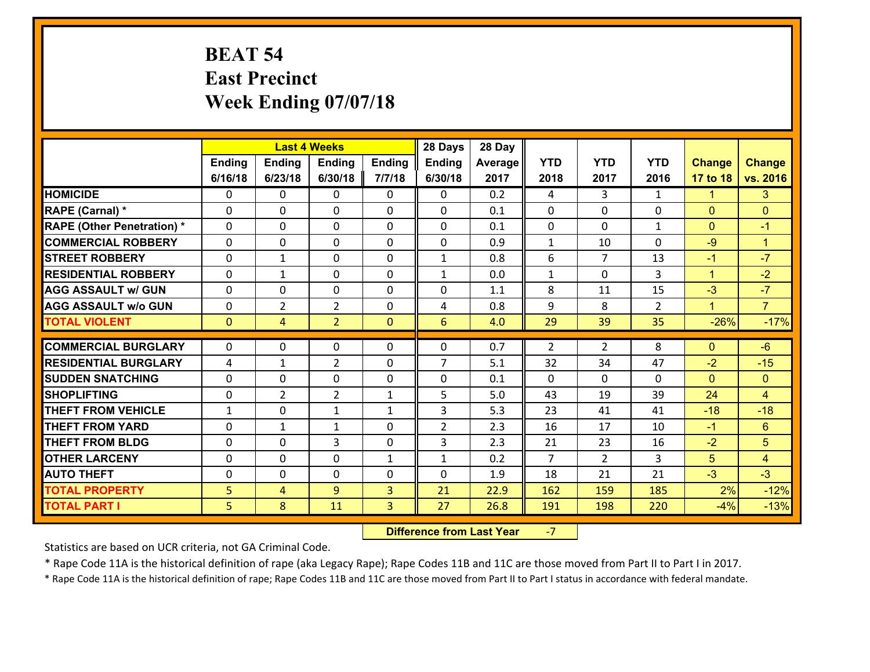# **BEAT 54 East Precinct Week Ending 07/07/18**

|                                   |                |                | <b>Last 4 Weeks</b> |              | 28 Days        | 28 Day  |                |                |                |                |                |
|-----------------------------------|----------------|----------------|---------------------|--------------|----------------|---------|----------------|----------------|----------------|----------------|----------------|
|                                   | Ending         | <b>Ending</b>  | <b>Ending</b>       | Ending       | <b>Ending</b>  | Average | <b>YTD</b>     | <b>YTD</b>     | <b>YTD</b>     | <b>Change</b>  | <b>Change</b>  |
|                                   | 6/16/18        | 6/23/18        | 6/30/18             | 7/7/18       | 6/30/18        | 2017    | 2018           | 2017           | 2016           | 17 to 18       | vs. 2016       |
| <b>HOMICIDE</b>                   | $\Omega$       | 0              | $\Omega$            | 0            | $\Omega$       | 0.2     | 4              | 3              | $\mathbf{1}$   | $\mathbf{1}$   | $\mathbf{3}$   |
| RAPE (Carnal) *                   | 0              | 0              | $\mathbf{0}$        | 0            | $\Omega$       | 0.1     | $\mathbf{0}$   | 0              | $\Omega$       | $\mathbf{0}$   | $\mathbf{0}$   |
| <b>RAPE (Other Penetration) *</b> | $\Omega$       | 0              | $\mathbf{0}$        | $\Omega$     | $\Omega$       | 0.1     | 0              | $\Omega$       | $\mathbf{1}$   | $\mathbf{0}$   | $-1$           |
| <b>COMMERCIAL ROBBERY</b>         | 0              | 0              | 0                   | 0            | 0              | 0.9     | $\mathbf{1}$   | 10             | $\Omega$       | $-9$           | $\mathbf{1}$   |
| <b>STREET ROBBERY</b>             | $\Omega$       | $\mathbf{1}$   | $\mathbf 0$         | 0            | $\mathbf{1}$   | 0.8     | 6              | $\overline{7}$ | 13             | $-1$           | $-7$           |
| <b>RESIDENTIAL ROBBERY</b>        | $\Omega$       | 1              | $\mathbf 0$         | $\Omega$     | $\mathbf{1}$   | 0.0     | $\mathbf{1}$   | $\Omega$       | 3              | $\mathbf{1}$   | $-2$           |
| <b>AGG ASSAULT w/ GUN</b>         | $\Omega$       | 0              | $\mathbf 0$         | 0            | 0              | 1.1     | 8              | 11             | 15             | $-3$           | $-7$           |
| <b>AGG ASSAULT w/o GUN</b>        | 0              | $\overline{2}$ | $\overline{2}$      | $\mathbf 0$  | 4              | 0.8     | 9              | 8              | $\overline{2}$ | $\mathbf{1}$   | $\overline{7}$ |
| <b>TOTAL VIOLENT</b>              | $\mathbf{0}$   | $\overline{4}$ | $\overline{2}$      | $\mathbf{0}$ | 6              | 4.0     | 29             | 39             | 35             | $-26%$         | $-17%$         |
| <b>COMMERCIAL BURGLARY</b>        | $\Omega$       | 0              | $\mathbf{0}$        | $\Omega$     | $\Omega$       | 0.7     | 2              | $\mathfrak{D}$ | 8              | $\mathbf{0}$   | $-6$           |
|                                   |                |                |                     |              | $\overline{7}$ |         |                |                |                |                |                |
| <b>RESIDENTIAL BURGLARY</b>       | 4              | 1              | $\overline{2}$      | 0            |                | 5.1     | 32             | 34             | 47             | $-2$           | $-15$          |
| <b>SUDDEN SNATCHING</b>           | 0              | 0              | $\mathbf 0$         | 0            | 0              | 0.1     | $\mathbf 0$    | 0              | 0<br>39        | $\overline{0}$ | $\mathbf{0}$   |
| <b>SHOPLIFTING</b>                | 0              | $\overline{2}$ | $\overline{2}$      | $\mathbf{1}$ | 5              | 5.0     | 43             | 19             |                | 24             | $\overline{4}$ |
| <b>THEFT FROM VEHICLE</b>         | $\mathbf{1}$   | 0              | 1                   | $\mathbf{1}$ | 3              | 5.3     | 23             | 41             | 41             | $-18$          | $-18$          |
| <b>THEFT FROM YARD</b>            | 0              | $\mathbf{1}$   | 1                   | 0            | $\overline{2}$ | 2.3     | 16             | 17             | 10             | $-1$           | $6\phantom{a}$ |
| <b>THEFT FROM BLDG</b>            | 0              | 0              | 3                   | 0            | 3              | 2.3     | 21             | 23             | 16             | $-2$           | 5              |
| <b>OTHER LARCENY</b>              | 0              | 0              | $\mathbf 0$         | $\mathbf{1}$ | $\mathbf{1}$   | 0.2     | $\overline{7}$ | $\overline{2}$ | 3              | 5              | $\overline{4}$ |
| <b>AUTO THEFT</b>                 | 0              | 0              | $\mathbf{0}$        | 0            | 0              | 1.9     | 18             | 21             | 21             | $-3$           | $-3$           |
| <b>TOTAL PROPERTY</b>             | 5 <sub>5</sub> | 4              | 9                   | 3            | 21             | 22.9    | 162            | 159            | 185            | 2%             | $-12%$         |
| <b>TOTAL PART I</b>               | 5              | 8              | 11                  | 3            | 27             | 26.8    | 191            | 198            | 220            | $-4%$          | $-13%$         |

 **Difference from Last Year**‐7

Statistics are based on UCR criteria, not GA Criminal Code.

\* Rape Code 11A is the historical definition of rape (aka Legacy Rape); Rape Codes 11B and 11C are those moved from Part II to Part I in 2017.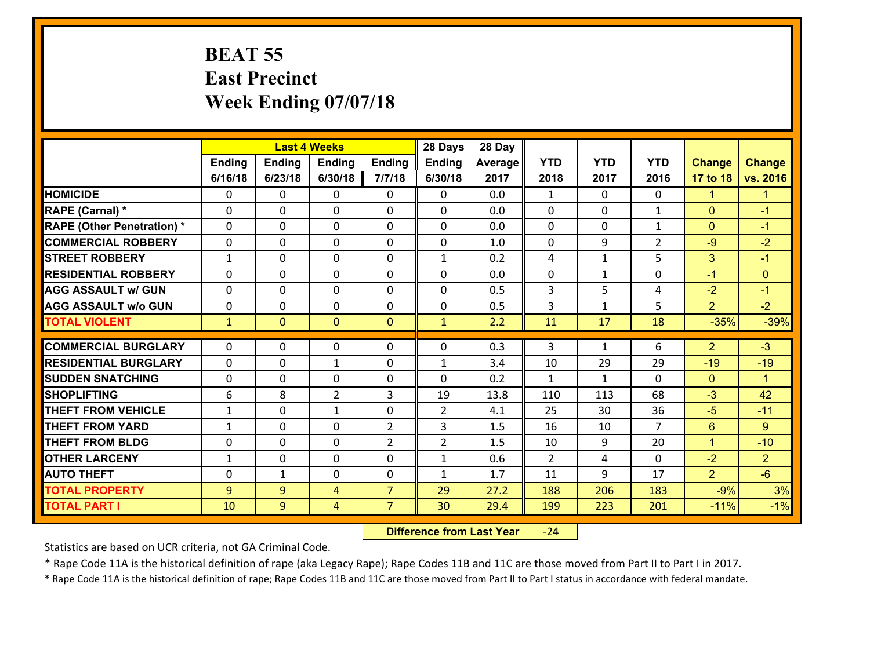#### **BEAT 55 East Precinct Week Ending 07/07/18**

|                                   |              |                | <b>Last 4 Weeks</b> |                | 28 Days        | 28 Day  |                         |              |                |                |                      |
|-----------------------------------|--------------|----------------|---------------------|----------------|----------------|---------|-------------------------|--------------|----------------|----------------|----------------------|
|                                   | Ending       | <b>Ending</b>  | <b>Ending</b>       | Ending         | <b>Ending</b>  | Average | <b>YTD</b>              | <b>YTD</b>   | <b>YTD</b>     | <b>Change</b>  | <b>Change</b>        |
|                                   | 6/16/18      | 6/23/18        | 6/30/18             | 7/7/18         | 6/30/18        | 2017    | 2018                    | 2017         | 2016           | 17 to 18       | vs. 2016             |
| <b>HOMICIDE</b>                   | 0            | 0              | $\mathbf{0}$        | 0              | 0              | 0.0     | $\mathbf{1}$            | $\Omega$     | $\Omega$       | $\mathbf{1}$   | $\blacktriangleleft$ |
| RAPE (Carnal) *                   | $\Omega$     | 0              | $\mathbf{0}$        | 0              | $\Omega$       | 0.0     | $\mathbf{0}$            | 0            | $\mathbf{1}$   | $\mathbf{0}$   | $-1$                 |
| <b>RAPE (Other Penetration) *</b> | $\Omega$     | 0              | $\Omega$            | $\Omega$       | $\Omega$       | 0.0     | $\Omega$                | $\Omega$     | $\mathbf{1}$   | $\mathbf{0}$   | $-1$                 |
| <b>COMMERCIAL ROBBERY</b>         | 0            | $\Omega$       | $\mathbf 0$         | $\Omega$       | 0              | 1.0     | $\mathbf 0$             | 9            | $\overline{2}$ | $-9$           | $-2$                 |
| <b>STREET ROBBERY</b>             | $\mathbf{1}$ | 0              | $\mathbf 0$         | 0              | $\mathbf{1}$   | 0.2     | 4                       | $\mathbf{1}$ | 5              | 3              | $-1$                 |
| <b>RESIDENTIAL ROBBERY</b>        | $\Omega$     | 0              | $\mathbf 0$         | 0              | 0              | 0.0     | $\mathbf 0$             | $\mathbf{1}$ | 0              | $-1$           | $\mathbf{0}$         |
| <b>AGG ASSAULT w/ GUN</b>         | 0            | 0              | $\mathbf 0$         | 0              | 0              | 0.5     | $\overline{3}$          | 5            | 4              | $-2$           | $-1$                 |
| <b>AGG ASSAULT w/o GUN</b>        | 0            | 0              | $\mathbf 0$         | 0              | 0              | 0.5     | $\overline{\mathbf{3}}$ | $\mathbf{1}$ | 5              | $\overline{2}$ | $-2$                 |
| <b>TOTAL VIOLENT</b>              | $\mathbf{1}$ | $\overline{0}$ | $\mathbf{0}$        | $\mathbf{0}$   | $\mathbf{1}$   | 2.2     | 11                      | 17           | 18             | $-35%$         | $-39%$               |
| <b>COMMERCIAL BURGLARY</b>        | $\Omega$     | 0              |                     |                | 0              | 0.3     | 3                       |              | 6              | $\overline{2}$ | $-3$                 |
|                                   |              |                | 0                   | 0              |                |         |                         | $\mathbf{1}$ |                |                |                      |
| <b>RESIDENTIAL BURGLARY</b>       | $\Omega$     | 0              | 1                   | $\Omega$       | 1              | 3.4     | 10                      | 29           | 29             | $-19$          | $-19$                |
| <b>SUDDEN SNATCHING</b>           | $\Omega$     | 0              | $\mathbf 0$         | $\Omega$       | $\Omega$       | 0.2     | $\mathbf{1}$            | $\mathbf{1}$ | $\Omega$       | $\Omega$       | $\blacktriangleleft$ |
| <b>SHOPLIFTING</b>                | 6            | 8              | $\overline{2}$      | 3              | 19             | 13.8    | 110                     | 113          | 68             | $-3$           | 42                   |
| <b>THEFT FROM VEHICLE</b>         | 1            | 0              | 1                   | 0              | $\overline{2}$ | 4.1     | 25                      | 30           | 36             | $-5$           | $-11$                |
| <b>THEFT FROM YARD</b>            | $\mathbf{1}$ | 0              | $\mathbf 0$         | $\overline{2}$ | 3              | 1.5     | 16                      | 10           | $\overline{7}$ | $6\phantom{1}$ | 9                    |
| <b>THEFT FROM BLDG</b>            | 0            | 0              | $\mathbf 0$         | $\overline{2}$ | $\overline{2}$ | 1.5     | 10                      | 9            | 20             | $\mathbf{1}$   | $-10$                |
| <b>OTHER LARCENY</b>              | $\mathbf{1}$ | 0              | $\mathbf 0$         | 0              | $\mathbf{1}$   | 0.6     | 2                       | 4            | 0              | $-2$           | 2 <sup>1</sup>       |
| <b>AUTO THEFT</b>                 | 0            | 1              | 0                   | 0              | $\mathbf{1}$   | 1.7     | 11                      | 9            | 17             | $\overline{2}$ | $-6$                 |
| <b>TOTAL PROPERTY</b>             | 9            | 9              | 4                   | $\overline{7}$ | 29             | 27.2    | 188                     | 206          | 183            | $-9%$          | 3%                   |
| <b>TOTAL PART I</b>               | 10           | 9              | 4                   | $\overline{7}$ | 30             | 29.4    | 199                     | 223          | 201            | $-11%$         | $-1%$                |

 **Difference from Last Year**‐24

Statistics are based on UCR criteria, not GA Criminal Code.

\* Rape Code 11A is the historical definition of rape (aka Legacy Rape); Rape Codes 11B and 11C are those moved from Part II to Part I in 2017.